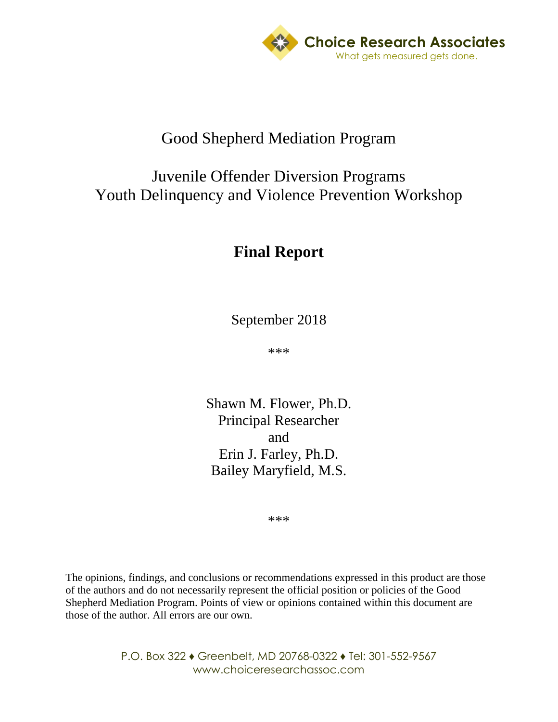

## Good Shepherd Mediation Program

## Juvenile Offender Diversion Programs Youth Delinquency and Violence Prevention Workshop

# **Final Report**

September 2018

\*\*\*

Shawn M. Flower, Ph.D. Principal Researcher and Erin J. Farley, Ph.D. Bailey Maryfield, M.S.

\*\*\*

The opinions, findings, and conclusions or recommendations expressed in this product are those of the authors and do not necessarily represent the official position or policies of the Good Shepherd Mediation Program. Points of view or opinions contained within this document are those of the author. All errors are our own.

> P.O. Box 322 ♦ Greenbelt, MD 20768-0322 ♦ Tel: 301-552-9567 www.choiceresearchassoc.com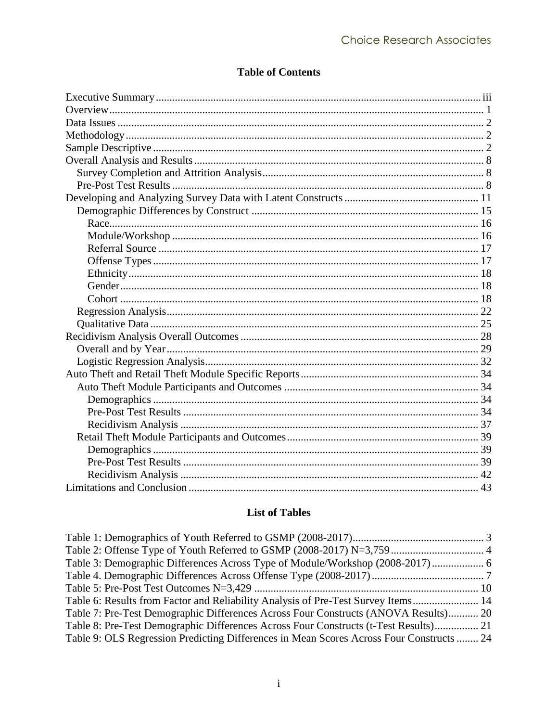### **Table of Contents**

#### **List of Tables**

| Table 3: Demographic Differences Across Type of Module/Workshop (2008-2017) 6            |  |
|------------------------------------------------------------------------------------------|--|
|                                                                                          |  |
|                                                                                          |  |
| Table 6: Results from Factor and Reliability Analysis of Pre-Test Survey Items 14        |  |
| Table 7: Pre-Test Demographic Differences Across Four Constructs (ANOVA Results) 20      |  |
| Table 8: Pre-Test Demographic Differences Across Four Constructs (t-Test Results) 21     |  |
| Table 9: OLS Regression Predicting Differences in Mean Scores Across Four Constructs  24 |  |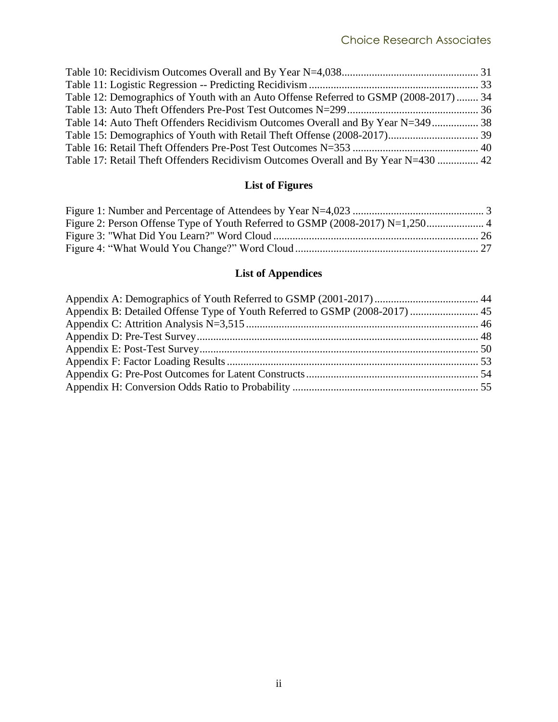| Table 12: Demographics of Youth with an Auto Offense Referred to GSMP (2008-2017)  34 |  |
|---------------------------------------------------------------------------------------|--|
|                                                                                       |  |
| Table 14: Auto Theft Offenders Recidivism Outcomes Overall and By Year N=349 38       |  |
|                                                                                       |  |
|                                                                                       |  |
| Table 17: Retail Theft Offenders Recidivism Outcomes Overall and By Year N=430  42    |  |

## **List of Figures**

## **List of Appendices**

| Appendix B: Detailed Offense Type of Youth Referred to GSMP (2008-2017)  45 |  |
|-----------------------------------------------------------------------------|--|
|                                                                             |  |
|                                                                             |  |
|                                                                             |  |
|                                                                             |  |
|                                                                             |  |
|                                                                             |  |
|                                                                             |  |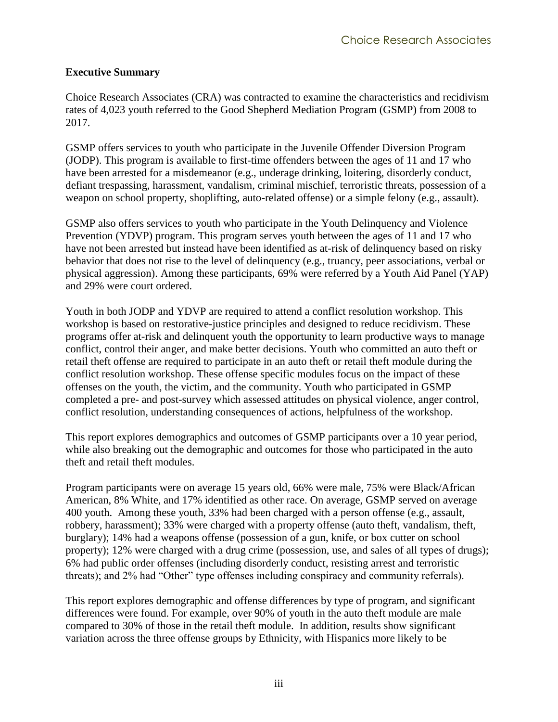#### <span id="page-3-0"></span>**Executive Summary**

Choice Research Associates (CRA) was contracted to examine the characteristics and recidivism rates of 4,023 youth referred to the Good Shepherd Mediation Program (GSMP) from 2008 to 2017.

GSMP offers services to youth who participate in the Juvenile Offender Diversion Program (JODP). This program is available to first-time offenders between the ages of 11 and 17 who have been arrested for a misdemeanor (e.g., underage drinking, loitering, disorderly conduct, defiant trespassing, harassment, vandalism, criminal mischief, terroristic threats, possession of a weapon on school property, shoplifting, auto-related offense) or a simple felony (e.g., assault).

GSMP also offers services to youth who participate in the Youth Delinquency and Violence Prevention (YDVP) program. This program serves youth between the ages of 11 and 17 who have not been arrested but instead have been identified as at-risk of delinquency based on risky behavior that does not rise to the level of delinquency (e.g., truancy, peer associations, verbal or physical aggression). Among these participants, 69% were referred by a Youth Aid Panel (YAP) and 29% were court ordered.

Youth in both JODP and YDVP are required to attend a conflict resolution workshop. This workshop is based on restorative-justice principles and designed to reduce recidivism. These programs offer at-risk and delinquent youth the opportunity to learn productive ways to manage conflict, control their anger, and make better decisions. Youth who committed an auto theft or retail theft offense are required to participate in an auto theft or retail theft module during the conflict resolution workshop. These offense specific modules focus on the impact of these offenses on the youth, the victim, and the community. Youth who participated in GSMP completed a pre- and post-survey which assessed attitudes on physical violence, anger control, conflict resolution, understanding consequences of actions, helpfulness of the workshop.

This report explores demographics and outcomes of GSMP participants over a 10 year period, while also breaking out the demographic and outcomes for those who participated in the auto theft and retail theft modules.

Program participants were on average 15 years old, 66% were male, 75% were Black/African American, 8% White, and 17% identified as other race. On average, GSMP served on average 400 youth. Among these youth, 33% had been charged with a person offense (e.g., assault, robbery, harassment); 33% were charged with a property offense (auto theft, vandalism, theft, burglary); 14% had a weapons offense (possession of a gun, knife, or box cutter on school property); 12% were charged with a drug crime (possession, use, and sales of all types of drugs); 6% had public order offenses (including disorderly conduct, resisting arrest and terroristic threats); and 2% had "Other" type offenses including conspiracy and community referrals).

This report explores demographic and offense differences by type of program, and significant differences were found. For example, over 90% of youth in the auto theft module are male compared to 30% of those in the retail theft module. In addition, results show significant variation across the three offense groups by Ethnicity, with Hispanics more likely to be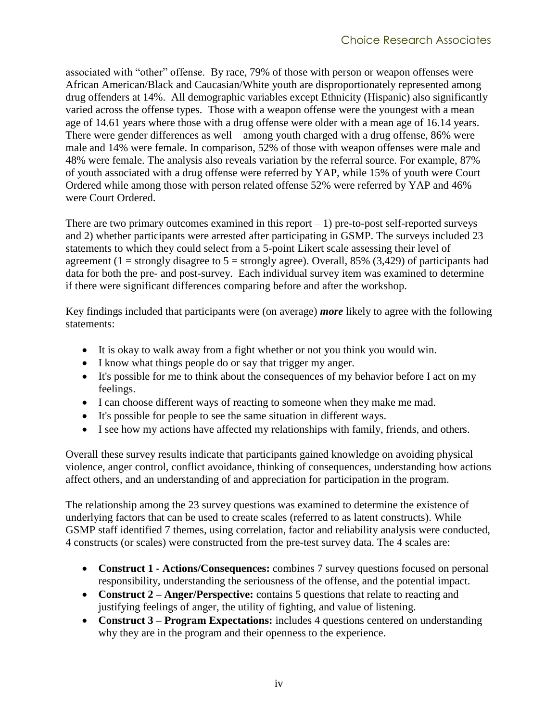associated with "other" offense. By race, 79% of those with person or weapon offenses were African American/Black and Caucasian/White youth are disproportionately represented among drug offenders at 14%. All demographic variables except Ethnicity (Hispanic) also significantly varied across the offense types. Those with a weapon offense were the youngest with a mean age of 14.61 years where those with a drug offense were older with a mean age of 16.14 years. There were gender differences as well – among youth charged with a drug offense, 86% were male and 14% were female. In comparison, 52% of those with weapon offenses were male and 48% were female. The analysis also reveals variation by the referral source. For example, 87% of youth associated with a drug offense were referred by YAP, while 15% of youth were Court Ordered while among those with person related offense 52% were referred by YAP and 46% were Court Ordered.

There are two primary outcomes examined in this report  $-1$ ) pre-to-post self-reported surveys and 2) whether participants were arrested after participating in GSMP. The surveys included 23 statements to which they could select from a 5-point Likert scale assessing their level of agreement (1 = strongly disagree to  $5$  = strongly agree). Overall, 85% (3,429) of participants had data for both the pre- and post-survey. Each individual survey item was examined to determine if there were significant differences comparing before and after the workshop.

Key findings included that participants were (on average) *more* likely to agree with the following statements:

- It is okay to walk away from a fight whether or not you think you would win.
- I know what things people do or say that trigger my anger.
- It's possible for me to think about the consequences of my behavior before I act on my feelings.
- I can choose different ways of reacting to someone when they make me mad.
- It's possible for people to see the same situation in different ways.
- I see how my actions have affected my relationships with family, friends, and others.

Overall these survey results indicate that participants gained knowledge on avoiding physical violence, anger control, conflict avoidance, thinking of consequences, understanding how actions affect others, and an understanding of and appreciation for participation in the program.

The relationship among the 23 survey questions was examined to determine the existence of underlying factors that can be used to create scales (referred to as latent constructs). While GSMP staff identified 7 themes, using correlation, factor and reliability analysis were conducted, 4 constructs (or scales) were constructed from the pre-test survey data. The 4 scales are:

- **Construct 1 - Actions/Consequences:** combines 7 survey questions focused on personal responsibility, understanding the seriousness of the offense, and the potential impact.
- **Construct 2 – Anger/Perspective:** contains 5 questions that relate to reacting and justifying feelings of anger, the utility of fighting, and value of listening.
- **Construct 3 Program Expectations:** includes 4 questions centered on understanding why they are in the program and their openness to the experience.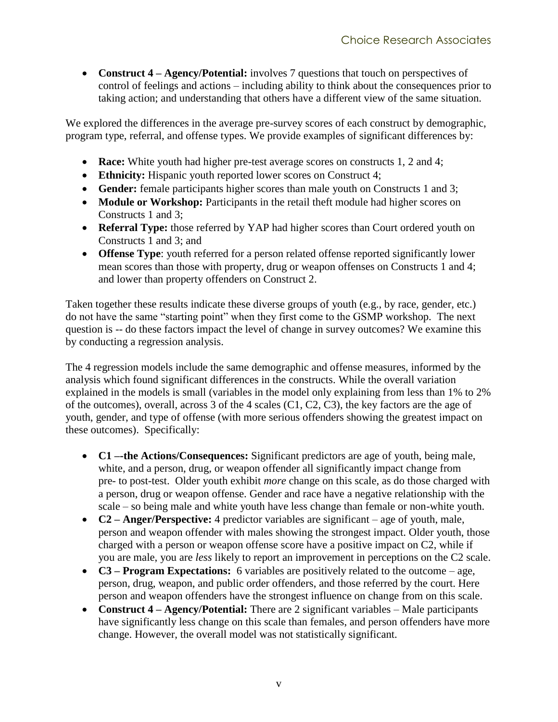• **Construct 4 – Agency/Potential:** involves 7 questions that touch on perspectives of control of feelings and actions – including ability to think about the consequences prior to taking action; and understanding that others have a different view of the same situation.

We explored the differences in the average pre-survey scores of each construct by demographic, program type, referral, and offense types. We provide examples of significant differences by:

- **Race:** White youth had higher pre-test average scores on constructs 1, 2 and 4;
- **Ethnicity:** Hispanic youth reported lower scores on Construct 4;
- **Gender:** female participants higher scores than male youth on Constructs 1 and 3;
- **Module or Workshop:** Participants in the retail theft module had higher scores on Constructs 1 and 3;
- **Referral Type:** those referred by YAP had higher scores than Court ordered youth on Constructs 1 and 3; and
- **Offense Type**: youth referred for a person related offense reported significantly lower mean scores than those with property, drug or weapon offenses on Constructs 1 and 4; and lower than property offenders on Construct 2.

Taken together these results indicate these diverse groups of youth (e.g., by race, gender, etc.) do not have the same "starting point" when they first come to the GSMP workshop. The next question is -- do these factors impact the level of change in survey outcomes? We examine this by conducting a regression analysis.

The 4 regression models include the same demographic and offense measures, informed by the analysis which found significant differences in the constructs. While the overall variation explained in the models is small (variables in the model only explaining from less than 1% to 2% of the outcomes), overall, across 3 of the 4 scales (C1, C2, C3), the key factors are the age of youth, gender, and type of offense (with more serious offenders showing the greatest impact on these outcomes). Specifically:

- **C1 –-the Actions/Consequences:** Significant predictors are age of youth, being male, white, and a person, drug, or weapon offender all significantly impact change from pre- to post-test. Older youth exhibit *more* change on this scale, as do those charged with a person, drug or weapon offense. Gender and race have a negative relationship with the scale – so being male and white youth have less change than female or non-white youth.
- **C2 – Anger/Perspective:** 4 predictor variables are significant age of youth, male, person and weapon offender with males showing the strongest impact. Older youth, those charged with a person or weapon offense score have a positive impact on C2, while if you are male, you are *less* likely to report an improvement in perceptions on the C2 scale.
- **C3 – Program Expectations:** 6 variables are positively related to the outcome age, person, drug, weapon, and public order offenders, and those referred by the court. Here person and weapon offenders have the strongest influence on change from on this scale.
- **Construct 4 – Agency/Potential:** There are 2 significant variables Male participants have significantly less change on this scale than females, and person offenders have more change. However, the overall model was not statistically significant.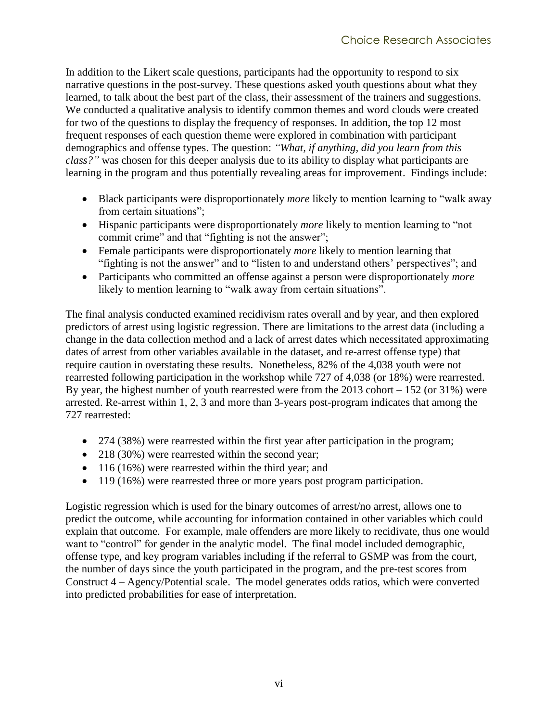In addition to the Likert scale questions, participants had the opportunity to respond to six narrative questions in the post-survey. These questions asked youth questions about what they learned, to talk about the best part of the class, their assessment of the trainers and suggestions. We conducted a qualitative analysis to identify common themes and word clouds were created for two of the questions to display the frequency of responses. In addition, the top 12 most frequent responses of each question theme were explored in combination with participant demographics and offense types. The question: *"What, if anything, did you learn from this class?"* was chosen for this deeper analysis due to its ability to display what participants are learning in the program and thus potentially revealing areas for improvement. Findings include:

- Black participants were disproportionately *more* likely to mention learning to "walk away from certain situations";
- Hispanic participants were disproportionately *more* likely to mention learning to "not commit crime" and that "fighting is not the answer";
- Female participants were disproportionately *more* likely to mention learning that "fighting is not the answer" and to "listen to and understand others' perspectives"; and
- Participants who committed an offense against a person were disproportionately *more* likely to mention learning to "walk away from certain situations".

The final analysis conducted examined recidivism rates overall and by year, and then explored predictors of arrest using logistic regression. There are limitations to the arrest data (including a change in the data collection method and a lack of arrest dates which necessitated approximating dates of arrest from other variables available in the dataset, and re-arrest offense type) that require caution in overstating these results. Nonetheless, 82% of the 4,038 youth were not rearrested following participation in the workshop while 727 of 4,038 (or 18%) were rearrested. By year, the highest number of youth rearrested were from the  $2013$  cohort  $-152$  (or  $31\%$ ) were arrested. Re-arrest within 1, 2, 3 and more than 3-years post-program indicates that among the 727 rearrested:

- 274 (38%) were rearrested within the first year after participation in the program;
- 218 (30%) were rearrested within the second year;
- 116 (16%) were rearrested within the third year; and
- 119 (16%) were rearrested three or more years post program participation.

Logistic regression which is used for the binary outcomes of arrest/no arrest, allows one to predict the outcome, while accounting for information contained in other variables which could explain that outcome. For example, male offenders are more likely to recidivate, thus one would want to "control" for gender in the analytic model. The final model included demographic, offense type, and key program variables including if the referral to GSMP was from the court, the number of days since the youth participated in the program, and the pre-test scores from Construct 4 – Agency/Potential scale. The model generates odds ratios, which were converted into predicted probabilities for ease of interpretation.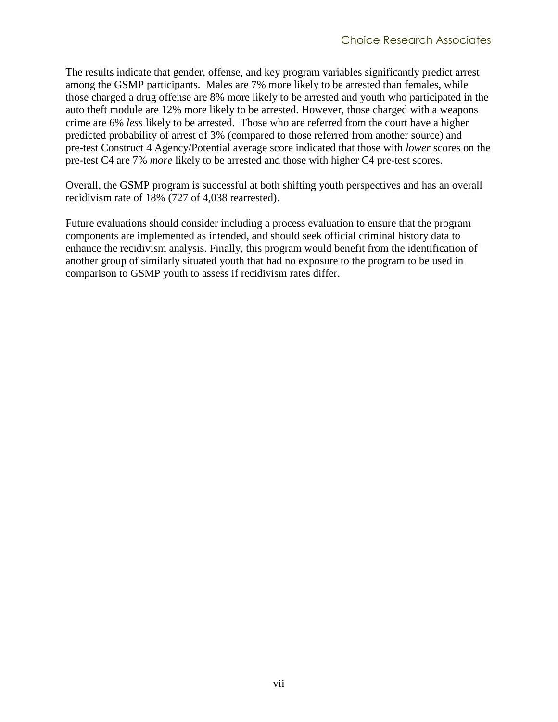The results indicate that gender, offense, and key program variables significantly predict arrest among the GSMP participants. Males are 7% more likely to be arrested than females, while those charged a drug offense are 8% more likely to be arrested and youth who participated in the auto theft module are 12% more likely to be arrested. However, those charged with a weapons crime are 6% *less* likely to be arrested. Those who are referred from the court have a higher predicted probability of arrest of 3% (compared to those referred from another source) and pre-test Construct 4 Agency/Potential average score indicated that those with *lower* scores on the pre-test C4 are 7% *more* likely to be arrested and those with higher C4 pre-test scores.

Overall, the GSMP program is successful at both shifting youth perspectives and has an overall recidivism rate of 18% (727 of 4,038 rearrested).

Future evaluations should consider including a process evaluation to ensure that the program components are implemented as intended, and should seek official criminal history data to enhance the recidivism analysis. Finally, this program would benefit from the identification of another group of similarly situated youth that had no exposure to the program to be used in comparison to GSMP youth to assess if recidivism rates differ.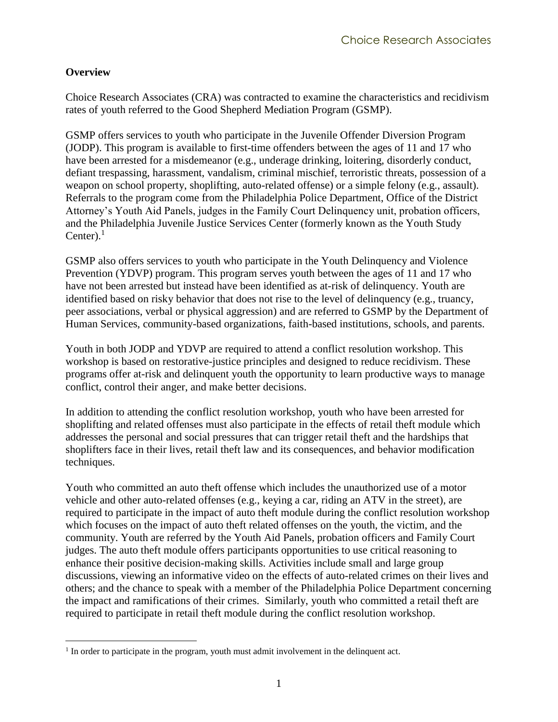#### <span id="page-8-0"></span>**Overview**

 $\overline{a}$ 

Choice Research Associates (CRA) was contracted to examine the characteristics and recidivism rates of youth referred to the Good Shepherd Mediation Program (GSMP).

GSMP offers services to youth who participate in the Juvenile Offender Diversion Program (JODP). This program is available to first-time offenders between the ages of 11 and 17 who have been arrested for a misdemeanor (e.g., underage drinking, loitering, disorderly conduct, defiant trespassing, harassment, vandalism, criminal mischief, terroristic threats, possession of a weapon on school property, shoplifting, auto-related offense) or a simple felony (e.g., assault). Referrals to the program come from the Philadelphia Police Department, Office of the District Attorney's Youth Aid Panels, judges in the Family Court Delinquency unit, probation officers, and the Philadelphia Juvenile Justice Services Center (formerly known as the Youth Study Center). $<sup>1</sup>$ </sup>

GSMP also offers services to youth who participate in the Youth Delinquency and Violence Prevention (YDVP) program. This program serves youth between the ages of 11 and 17 who have not been arrested but instead have been identified as at-risk of delinquency. Youth are identified based on risky behavior that does not rise to the level of delinquency (e.g., truancy, peer associations, verbal or physical aggression) and are referred to GSMP by the Department of Human Services, community-based organizations, faith-based institutions, schools, and parents.

Youth in both JODP and YDVP are required to attend a conflict resolution workshop. This workshop is based on restorative-justice principles and designed to reduce recidivism. These programs offer at-risk and delinquent youth the opportunity to learn productive ways to manage conflict, control their anger, and make better decisions.

In addition to attending the conflict resolution workshop, youth who have been arrested for shoplifting and related offenses must also participate in the effects of retail theft module which addresses the personal and social pressures that can trigger retail theft and the hardships that shoplifters face in their lives, retail theft law and its consequences, and behavior modification techniques.

Youth who committed an auto theft offense which includes the unauthorized use of a motor vehicle and other auto-related offenses (e.g., keying a car, riding an ATV in the street), are required to participate in the impact of auto theft module during the conflict resolution workshop which focuses on the impact of auto theft related offenses on the youth, the victim, and the community. Youth are referred by the Youth Aid Panels, probation officers and Family Court judges. The auto theft module offers participants opportunities to use critical reasoning to enhance their positive decision-making skills. Activities include small and large group discussions, viewing an informative video on the effects of auto-related crimes on their lives and others; and the chance to speak with a member of the Philadelphia Police Department concerning the impact and ramifications of their crimes. Similarly, youth who committed a retail theft are required to participate in retail theft module during the conflict resolution workshop.

 $<sup>1</sup>$  In order to participate in the program, youth must admit involvement in the delinquent act.</sup>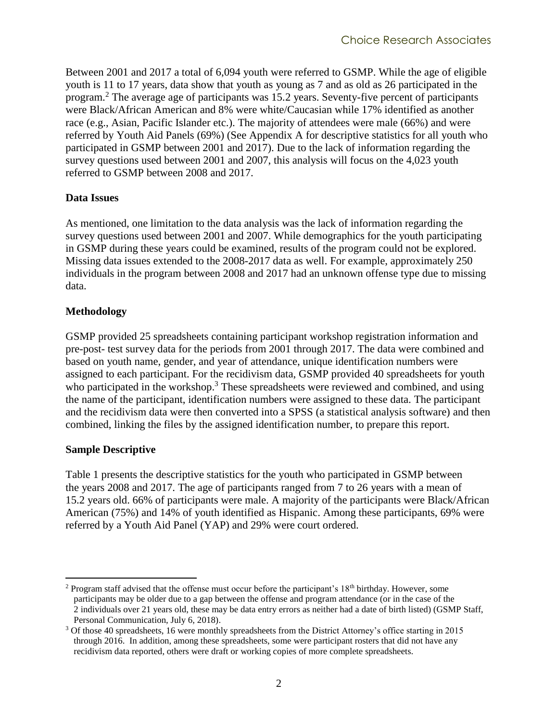Between 2001 and 2017 a total of 6,094 youth were referred to GSMP. While the age of eligible youth is 11 to 17 years, data show that youth as young as 7 and as old as 26 participated in the program.<sup>2</sup> The average age of participants was 15.2 years. Seventy-five percent of participants were Black/African American and 8% were white/Caucasian while 17% identified as another race (e.g., Asian, Pacific Islander etc.). The majority of attendees were male (66%) and were referred by Youth Aid Panels (69%) (See [Appendix A](#page-51-0) for descriptive statistics for all youth who participated in GSMP between 2001 and 2017). Due to the lack of information regarding the survey questions used between 2001 and 2007, this analysis will focus on the 4,023 youth referred to GSMP between 2008 and 2017.

#### <span id="page-9-0"></span>**Data Issues**

As mentioned, one limitation to the data analysis was the lack of information regarding the survey questions used between 2001 and 2007. While demographics for the youth participating in GSMP during these years could be examined, results of the program could not be explored. Missing data issues extended to the 2008-2017 data as well. For example, approximately 250 individuals in the program between 2008 and 2017 had an unknown offense type due to missing data.

#### <span id="page-9-1"></span>**Methodology**

GSMP provided 25 spreadsheets containing participant workshop registration information and pre-post- test survey data for the periods from 2001 through 2017. The data were combined and based on youth name, gender, and year of attendance, unique identification numbers were assigned to each participant. For the recidivism data, GSMP provided 40 spreadsheets for youth who participated in the workshop.<sup>3</sup> These spreadsheets were reviewed and combined, and using the name of the participant, identification numbers were assigned to these data. The participant and the recidivism data were then converted into a SPSS (a statistical analysis software) and then combined, linking the files by the assigned identification number, to prepare this report.

#### <span id="page-9-2"></span>**Sample Descriptive**

[Table 1](#page-10-0) presents the descriptive statistics for the youth who participated in GSMP between the years 2008 and 2017. The age of participants ranged from 7 to 26 years with a mean of 15.2 years old. 66% of participants were male. A majority of the participants were Black/African American (75%) and 14% of youth identified as Hispanic. Among these participants, 69% were referred by a Youth Aid Panel (YAP) and 29% were court ordered.

 $\overline{a}$ <sup>2</sup> Program staff advised that the offense must occur before the participant's  $18<sup>th</sup>$  birthday. However, some participants may be older due to a gap between the offense and program attendance (or in the case of the 2 individuals over 21 years old, these may be data entry errors as neither had a date of birth listed) (GSMP Staff, Personal Communication, July 6, 2018).

<sup>3</sup> Of those 40 spreadsheets, 16 were monthly spreadsheets from the District Attorney's office starting in 2015 through 2016. In addition, among these spreadsheets, some were participant rosters that did not have any recidivism data reported, others were draft or working copies of more complete spreadsheets.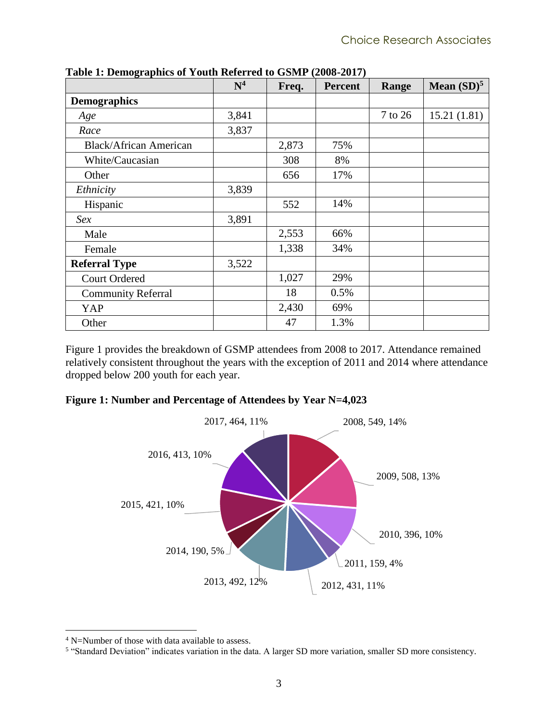<span id="page-10-4"></span><span id="page-10-2"></span>

| o                             | $\mathbf{N}^4$ | Freq. | <b>Percent</b> | Range   | Mean $(SD)^5$ |
|-------------------------------|----------------|-------|----------------|---------|---------------|
| <b>Demographics</b>           |                |       |                |         |               |
| Age                           | 3,841          |       |                | 7 to 26 | 15.21(1.81)   |
| Race                          | 3,837          |       |                |         |               |
| <b>Black/African American</b> |                | 2,873 | 75%            |         |               |
| White/Caucasian               |                | 308   | 8%             |         |               |
| Other                         |                | 656   | 17%            |         |               |
| Ethnicity                     | 3,839          |       |                |         |               |
| Hispanic                      |                | 552   | 14%            |         |               |
| Sex                           | 3,891          |       |                |         |               |
| Male                          |                | 2,553 | 66%            |         |               |
| Female                        |                | 1,338 | 34%            |         |               |
| <b>Referral Type</b>          | 3,522          |       |                |         |               |
| <b>Court Ordered</b>          |                | 1,027 | 29%            |         |               |
| <b>Community Referral</b>     |                | 18    | 0.5%           |         |               |
| YAP                           |                | 2,430 | 69%            |         |               |
| Other                         |                | 47    | 1.3%           |         |               |

<span id="page-10-3"></span><span id="page-10-0"></span>**Table 1: Demographics of Youth Referred to GSMP (2008-2017)**

[Figure 1](#page-10-1) provides the breakdown of GSMP attendees from 2008 to 2017. Attendance remained relatively consistent throughout the years with the exception of 2011 and 2014 where attendance dropped below 200 youth for each year.

#### <span id="page-10-1"></span>**Figure 1: Number and Percentage of Attendees by Year N=4,023**



<sup>4</sup> N=Number of those with data available to assess.

 $\overline{a}$ 

<sup>5</sup> "Standard Deviation" indicates variation in the data. A larger SD more variation, smaller SD more consistency.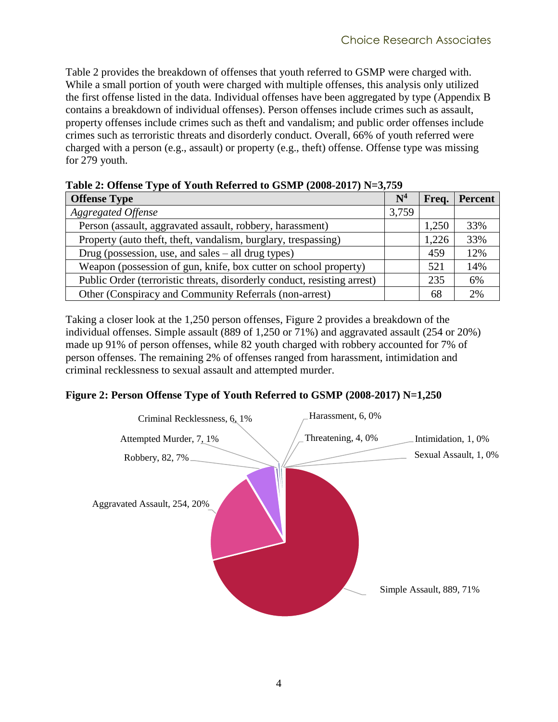[Table 2](#page-11-0) provides the breakdown of offenses that youth referred to GSMP were charged with. While a small portion of youth were charged with multiple offenses, this analysis only utilized the first offense listed in the data. Individual offenses have been aggregated by type [\(Appendix B](#page-52-0) contains a breakdown of individual offenses). Person offenses include crimes such as assault, property offenses include crimes such as theft and vandalism; and public order offenses include crimes such as terroristic threats and disorderly conduct. Overall, 66% of youth referred were charged with a person (e.g., assault) or property (e.g., theft) offense. Offense type was missing for 279 youth.

| TWO IS THE CHANGE IT IS NOT THE THEFT FOR THE REPORT TO THE VALUE OF THE CHANGE IT IS NOT THE CHANGE IT IS NOT |                |       |                |  |  |  |  |
|----------------------------------------------------------------------------------------------------------------|----------------|-------|----------------|--|--|--|--|
| <b>Offense Type</b>                                                                                            | $\mathrm{N}^4$ | Freq. | <b>Percent</b> |  |  |  |  |
| <b>Aggregated Offense</b>                                                                                      | 3,759          |       |                |  |  |  |  |
| Person (assault, aggravated assault, robbery, harassment)                                                      |                | 1,250 | 33%            |  |  |  |  |
| Property (auto theft, theft, vandalism, burglary, trespassing)                                                 |                | 1,226 | 33%            |  |  |  |  |
| Drug (possession, use, and sales $-$ all drug types)                                                           |                | 459   | 12%            |  |  |  |  |
| Weapon (possession of gun, knife, box cutter on school property)                                               |                | 521   | 14%            |  |  |  |  |
| Public Order (terroristic threats, disorderly conduct, resisting arrest)                                       |                | 235   | 6%             |  |  |  |  |
| Other (Conspiracy and Community Referrals (non-arrest)                                                         |                | 68    | 2%             |  |  |  |  |

<span id="page-11-0"></span>**Table 2: Offense Type of Youth Referred to GSMP (2008-2017) N=3,759**

Taking a closer look at the 1,250 person offenses, [Figure 2](#page-11-1) provides a breakdown of the individual offenses. Simple assault (889 of 1,250 or 71%) and aggravated assault (254 or 20%) made up 91% of person offenses, while 82 youth charged with robbery accounted for 7% of person offenses. The remaining 2% of offenses ranged from harassment, intimidation and criminal recklessness to sexual assault and attempted murder.

#### <span id="page-11-1"></span>**Figure 2: Person Offense Type of Youth Referred to GSMP (2008-2017) N=1,250**

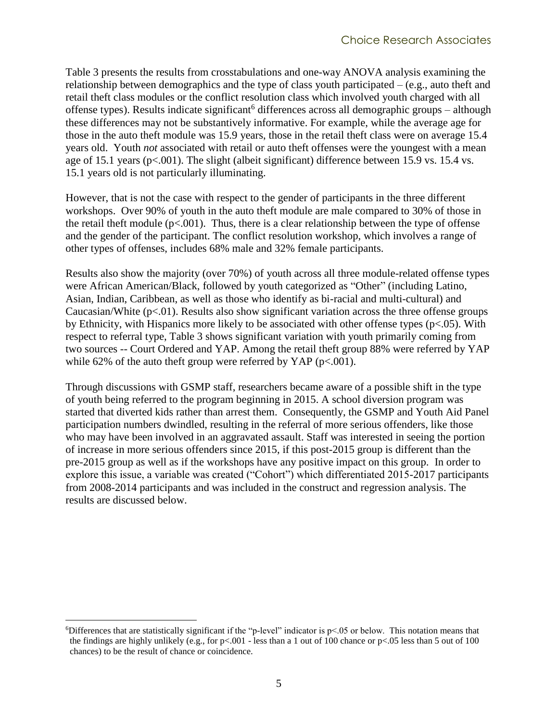<span id="page-12-0"></span>[Table 3](#page-13-0) presents the results from crosstabulations and one-way ANOVA analysis examining the relationship between demographics and the type of class youth participated – (e.g., auto theft and retail theft class modules or the conflict resolution class which involved youth charged with all offense types). Results indicate significant<sup>6</sup> differences across all demographic groups – although these differences may not be substantively informative. For example, while the average age for those in the auto theft module was 15.9 years, those in the retail theft class were on average 15.4 years old. Youth *not* associated with retail or auto theft offenses were the youngest with a mean age of 15.1 years (p<.001). The slight (albeit significant) difference between 15.9 vs. 15.4 vs. 15.1 years old is not particularly illuminating.

However, that is not the case with respect to the gender of participants in the three different workshops. Over 90% of youth in the auto theft module are male compared to 30% of those in the retail theft module  $(p<.001)$ . Thus, there is a clear relationship between the type of offense and the gender of the participant. The conflict resolution workshop, which involves a range of other types of offenses, includes 68% male and 32% female participants.

Results also show the majority (over 70%) of youth across all three module-related offense types were African American/Black, followed by youth categorized as "Other" (including Latino, Asian, Indian, Caribbean, as well as those who identify as bi-racial and multi-cultural) and Caucasian/White  $(p<.01)$ . Results also show significant variation across the three offense groups by Ethnicity, with Hispanics more likely to be associated with other offense types ( $p < .05$ ). With respect to referral type, Table 3 shows significant variation with youth primarily coming from two sources -- Court Ordered and YAP. Among the retail theft group 88% were referred by YAP while 62% of the auto theft group were referred by YAP ( $p < .001$ ).

Through discussions with GSMP staff, researchers became aware of a possible shift in the type of youth being referred to the program beginning in 2015. A school diversion program was started that diverted kids rather than arrest them. Consequently, the GSMP and Youth Aid Panel participation numbers dwindled, resulting in the referral of more serious offenders, like those who may have been involved in an aggravated assault. Staff was interested in seeing the portion of increase in more serious offenders since 2015, if this post-2015 group is different than the pre-2015 group as well as if the workshops have any positive impact on this group. In order to explore this issue, a variable was created ("Cohort") which differentiated 2015-2017 participants from 2008-2014 participants and was included in the construct and regression analysis. The results are discussed below.

 $\overline{a}$ <sup>6</sup>Differences that are statistically significant if the "p-level" indicator is p<.05 or below. This notation means that the findings are highly unlikely (e.g., for  $p<.001$  - less than a 1 out of 100 chance or  $p<.05$  less than 5 out of 100 chances) to be the result of chance or coincidence.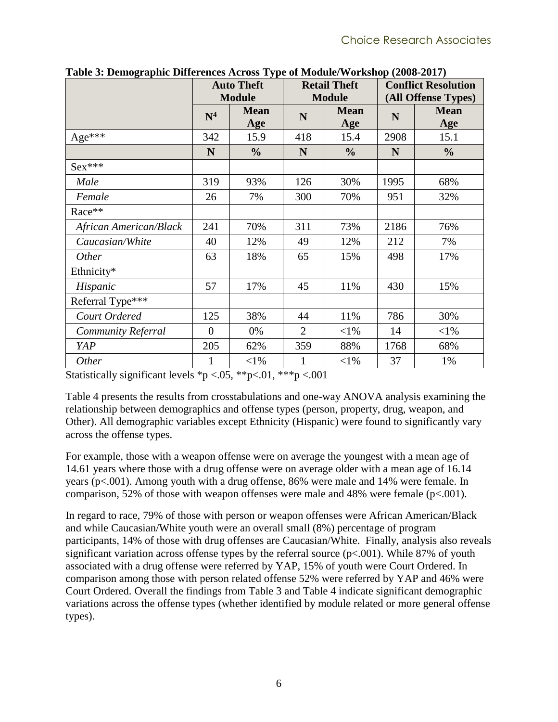| $\mathbf{v}$ . Beinographic Biner enew rich $\cos 2y$ pc |                | <b>Auto Theft</b><br><b>Module</b>            |                | <b>Retail Theft</b><br><b>Module</b> | <b>Conflict Resolution</b><br>(All Offense Types) |                    |  |
|----------------------------------------------------------|----------------|-----------------------------------------------|----------------|--------------------------------------|---------------------------------------------------|--------------------|--|
|                                                          | N <sup>4</sup> | <b>Mean</b><br><b>Mean</b><br>N<br>Age<br>Age |                |                                      | N                                                 | <b>Mean</b><br>Age |  |
| Age***                                                   | 342            | 15.9                                          | 418            | 15.4                                 | 2908                                              | 15.1               |  |
|                                                          | N              | $\frac{0}{0}$                                 | N              | $\frac{0}{0}$                        | N                                                 | $\frac{0}{0}$      |  |
| $Sex***$                                                 |                |                                               |                |                                      |                                                   |                    |  |
| Male                                                     | 319            | 93%                                           | 126            | 30%                                  | 1995                                              | 68%                |  |
| Female                                                   | 26             | 7%                                            | 300            | 70%                                  | 951                                               | 32%                |  |
| Race**                                                   |                |                                               |                |                                      |                                                   |                    |  |
| African American/Black                                   | 241            | 70%                                           | 311            | 73%                                  | 2186                                              | 76%                |  |
| Caucasian/White                                          | 40             | 12%                                           | 49             | 12%                                  | 212                                               | 7%                 |  |
| <i>Other</i>                                             | 63             | 18%                                           | 65             | 15%                                  | 498                                               | 17%                |  |
| Ethnicity*                                               |                |                                               |                |                                      |                                                   |                    |  |
| Hispanic                                                 | 57             | 17%                                           | 45             | 11%                                  | 430                                               | 15%                |  |
| Referral Type***                                         |                |                                               |                |                                      |                                                   |                    |  |
| Court Ordered                                            | 125            | 38%                                           | 44             | 11%                                  | 786                                               | 30%                |  |
| Community Referral                                       | $\overline{0}$ | 0%                                            | $\overline{2}$ | $<$ 1%                               | 14                                                | $<$ 1%             |  |
| YAP                                                      | 205            | 62%                                           | 359            | 88%                                  | 1768                                              | 68%                |  |
| <b>Other</b>                                             | 1              | ${<}1\%$                                      | 1              | $<$ 1%                               | 37                                                | 1%                 |  |

<span id="page-13-0"></span>**Table 3: Demographic Differences Across Type of Module/Workshop (2008-2017)**

Statistically significant levels  $\sp{\ast}p < .05$ ,  $\sp{\ast} \sp{\ast}p < .01$ ,  $\sp{\ast} \sp{\ast} \sp{\ast}p < .001$ 

[Table 4](#page-14-0) presents the results from crosstabulations and one-way ANOVA analysis examining the relationship between demographics and offense types (person, property, drug, weapon, and Other). All demographic variables except Ethnicity (Hispanic) were found to significantly vary across the offense types.

For example, those with a weapon offense were on average the youngest with a mean age of 14.61 years where those with a drug offense were on average older with a mean age of 16.14 years (p<.001). Among youth with a drug offense, 86% were male and 14% were female. In comparison, 52% of those with weapon offenses were male and 48% were female  $(p<.001)$ .

In regard to race, 79% of those with person or weapon offenses were African American/Black and while Caucasian/White youth were an overall small (8%) percentage of program participants, 14% of those with drug offenses are Caucasian/White. Finally, analysis also reveals significant variation across offense types by the referral source  $(p<.001)$ . While 87% of youth associated with a drug offense were referred by YAP, 15% of youth were Court Ordered. In comparison among those with person related offense 52% were referred by YAP and 46% were Court Ordered. Overall the findings from [Table 3](#page-13-0) and [Table 4](#page-14-0) indicate significant demographic variations across the offense types (whether identified by module related or more general offense types).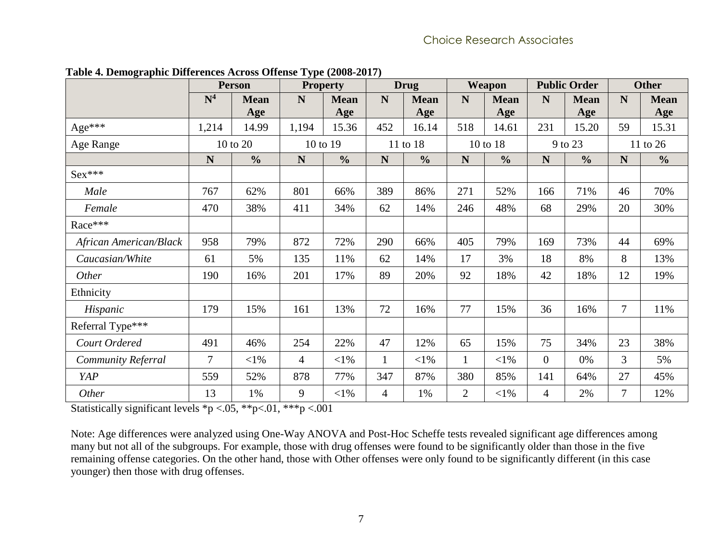<span id="page-14-0"></span>

|                        | <b>Person</b>  |               | <b>Drug</b><br><b>Property</b> |               |              | Weapon        |                | <b>Public Order</b> |                | <b>Other</b>  |                |               |
|------------------------|----------------|---------------|--------------------------------|---------------|--------------|---------------|----------------|---------------------|----------------|---------------|----------------|---------------|
|                        | N <sup>4</sup> | <b>Mean</b>   | N                              | <b>Mean</b>   | N            | <b>Mean</b>   | N              | <b>Mean</b>         | N              | <b>Mean</b>   | N              | <b>Mean</b>   |
|                        |                | Age           |                                | Age           |              | Age           |                | Age                 |                | Age           |                | Age           |
| Age***                 | 1,214          | 14.99         | 1,194                          | 15.36         | 452          | 16.14         | 518            | 14.61               | 231            | 15.20         | 59             | 15.31         |
| Age Range              |                | 10 to 20      |                                | 10 to 19      |              | 11 to 18      |                | 10 to 18            | 9 to 23        |               | 11 to 26       |               |
|                        | N              | $\frac{0}{0}$ | ${\bf N}$                      | $\frac{0}{0}$ | $\mathbf N$  | $\frac{0}{0}$ | ${\bf N}$      | $\frac{0}{0}$       | N              | $\frac{0}{0}$ | $\mathbf N$    | $\frac{0}{0}$ |
| $Sex***$               |                |               |                                |               |              |               |                |                     |                |               |                |               |
| Male                   | 767            | 62%           | 801                            | 66%           | 389          | 86%           | 271            | 52%                 | 166            | 71%           | 46             | 70%           |
| Female                 | 470            | 38%           | 411                            | 34%           | 62           | 14%           | 246            | 48%                 | 68             | 29%           | 20             | 30%           |
| Race***                |                |               |                                |               |              |               |                |                     |                |               |                |               |
| African American/Black | 958            | 79%           | 872                            | 72%           | 290          | 66%           | 405            | 79%                 | 169            | 73%           | 44             | 69%           |
| Caucasian/White        | 61             | 5%            | 135                            | 11%           | 62           | 14%           | 17             | 3%                  | 18             | 8%            | 8              | 13%           |
| Other                  | 190            | 16%           | 201                            | 17%           | 89           | 20%           | 92             | 18%                 | 42             | 18%           | 12             | 19%           |
| Ethnicity              |                |               |                                |               |              |               |                |                     |                |               |                |               |
| Hispanic               | 179            | 15%           | 161                            | 13%           | 72           | 16%           | 77             | 15%                 | 36             | 16%           | $\overline{7}$ | 11%           |
| Referral Type***       |                |               |                                |               |              |               |                |                     |                |               |                |               |
| Court Ordered          | 491            | 46%           | 254                            | 22%           | 47           | 12%           | 65             | 15%                 | 75             | 34%           | 23             | 38%           |
| Community Referral     | 7              | $<$ 1%        | 4                              | $<$ 1%        | $\mathbf{1}$ | $<$ 1%        |                | $<$ 1%              | $\overline{0}$ | 0%            | 3              | 5%            |
| YAP                    | 559            | 52%           | 878                            | 77%           | 347          | 87%           | 380            | 85%                 | 141            | 64%           | 27             | 45%           |
| Other                  | 13             | 1%            | 9                              | $<$ l%        | 4            | 1%            | $\overline{2}$ | $<$ 1%              | 4              | 2%            | 7              | 12%           |

**Table 4. Demographic Differences Across Offense Type (2008-2017)**

Statistically significant levels \*p <.05, \*\*p<.01, \*\*\*p <.001

Note: Age differences were analyzed using One-Way ANOVA and Post-Hoc Scheffe tests revealed significant age differences among many but not all of the subgroups. For example, those with drug offenses were found to be significantly older than those in the five remaining offense categories. On the other hand, those with Other offenses were only found to be significantly different (in this case younger) then those with drug offenses.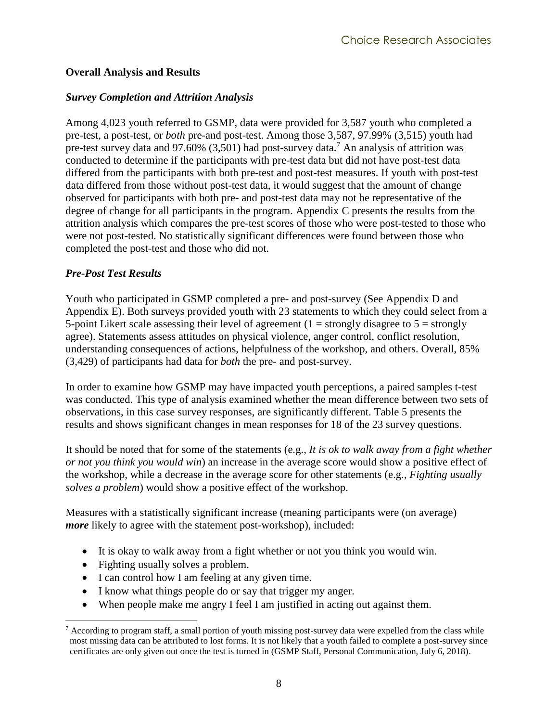#### <span id="page-15-0"></span>**Overall Analysis and Results**

#### <span id="page-15-1"></span>*Survey Completion and Attrition Analysis*

Among 4,023 youth referred to GSMP, data were provided for 3,587 youth who completed a pre-test, a post-test, or *both* pre-and post-test. Among those 3,587, 97.99% (3,515) youth had pre-test survey data and 97.60%  $(3,501)$  had post-survey data.<sup>7</sup> An analysis of attrition was conducted to determine if the participants with pre-test data but did not have post-test data differed from the participants with both pre-test and post-test measures. If youth with post-test data differed from those without post-test data, it would suggest that the amount of change observed for participants with both pre- and post-test data may not be representative of the degree of change for all participants in the program. [Appendix C](#page-53-0) presents the results from the attrition analysis which compares the pre-test scores of those who were post-tested to those who were not post-tested. No statistically significant differences were found between those who completed the post-test and those who did not.

#### <span id="page-15-2"></span>*Pre-Post Test Results*

Youth who participated in GSMP completed a pre- and post-survey (See [Appendix D](#page-55-0) and [Appendix E\)](#page-57-0). Both surveys provided youth with 23 statements to which they could select from a 5-point Likert scale assessing their level of agreement  $(1 = strongly$  disagree to  $5 = strongly$ agree). Statements assess attitudes on physical violence, anger control, conflict resolution, understanding consequences of actions, helpfulness of the workshop, and others. Overall, 85% (3,429) of participants had data for *both* the pre- and post-survey.

In order to examine how GSMP may have impacted youth perceptions, a paired samples t-test was conducted. This type of analysis examined whether the mean difference between two sets of observations, in this case survey responses, are significantly different. [Table 5](#page-17-0) presents the results and shows significant changes in mean responses for 18 of the 23 survey questions.

It should be noted that for some of the statements (e.g., *It is ok to walk away from a fight whether or not you think you would win*) an increase in the average score would show a positive effect of the workshop, while a decrease in the average score for other statements (e.g., *Fighting usually solves a problem*) would show a positive effect of the workshop.

Measures with a statistically significant increase (meaning participants were (on average) *more* likely to agree with the statement post-workshop), included:

- It is okay to walk away from a fight whether or not you think you would win.
- Fighting usually solves a problem.
- I can control how I am feeling at any given time.
- I know what things people do or say that trigger my anger.
- When people make me angry I feel I am justified in acting out against them.

 $\overline{a}$  $<sup>7</sup>$  According to program staff, a small portion of youth missing post-survey data were expelled from the class while</sup> most missing data can be attributed to lost forms. It is not likely that a youth failed to complete a post-survey since certificates are only given out once the test is turned in (GSMP Staff, Personal Communication, July 6, 2018).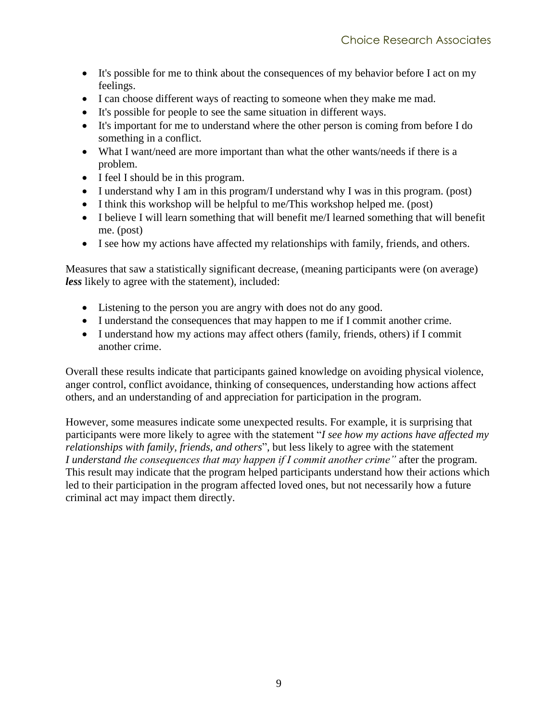- It's possible for me to think about the consequences of my behavior before I act on my feelings.
- I can choose different ways of reacting to someone when they make me mad.
- It's possible for people to see the same situation in different ways.
- It's important for me to understand where the other person is coming from before I do something in a conflict.
- What I want/need are more important than what the other wants/needs if there is a problem.
- I feel I should be in this program.
- I understand why I am in this program/I understand why I was in this program. (post)
- I think this workshop will be helpful to me/This workshop helped me. (post)
- I believe I will learn something that will benefit me/I learned something that will benefit me. (post)
- I see how my actions have affected my relationships with family, friends, and others.

Measures that saw a statistically significant decrease, (meaning participants were (on average) *less* likely to agree with the statement), included:

- Listening to the person you are angry with does not do any good.
- I understand the consequences that may happen to me if I commit another crime.
- I understand how my actions may affect others (family, friends, others) if I commit another crime.

Overall these results indicate that participants gained knowledge on avoiding physical violence, anger control, conflict avoidance, thinking of consequences, understanding how actions affect others, and an understanding of and appreciation for participation in the program.

However, some measures indicate some unexpected results. For example, it is surprising that participants were more likely to agree with the statement "*I see how my actions have affected my relationships with family, friends, and others*", but less likely to agree with the statement *I understand the consequences that may happen if I commit another crime"* after the program*.*  This result may indicate that the program helped participants understand how their actions which led to their participation in the program affected loved ones, but not necessarily how a future criminal act may impact them directly.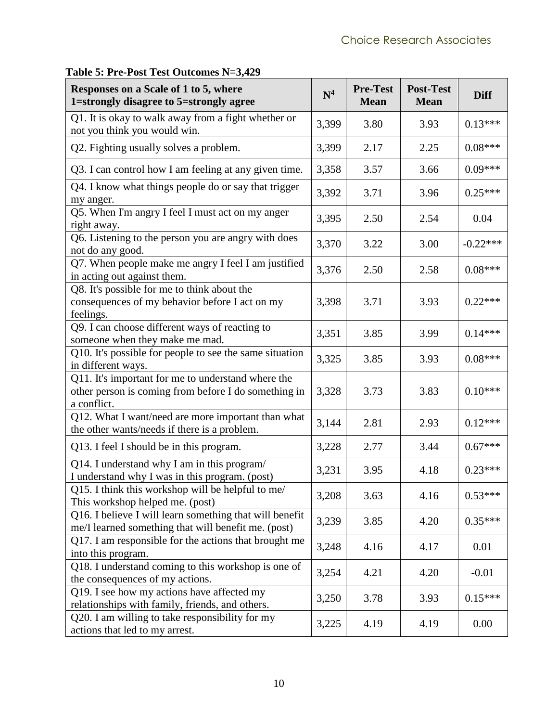| Responses on a Scale of 1 to 5, where<br>1=strongly disagree to 5=strongly agree                                          | N <sup>4</sup> | <b>Pre-Test</b><br><b>Mean</b> | <b>Post-Test</b><br><b>Mean</b> | <b>Diff</b> |
|---------------------------------------------------------------------------------------------------------------------------|----------------|--------------------------------|---------------------------------|-------------|
| Q1. It is okay to walk away from a fight whether or<br>not you think you would win.                                       | 3,399          | 3.80                           | 3.93                            | $0.13***$   |
| Q2. Fighting usually solves a problem.                                                                                    | 3,399          | 2.17                           | 2.25                            | $0.08***$   |
| Q3. I can control how I am feeling at any given time.                                                                     | 3,358          | 3.57                           | 3.66                            | $0.09***$   |
| Q4. I know what things people do or say that trigger<br>my anger.                                                         | 3,392          | 3.71                           | 3.96                            | $0.25***$   |
| Q5. When I'm angry I feel I must act on my anger<br>right away.                                                           | 3,395          | 2.50                           | 2.54                            | 0.04        |
| Q6. Listening to the person you are angry with does<br>not do any good.                                                   | 3,370          | 3.22                           | 3.00                            | $-0.22***$  |
| Q7. When people make me angry I feel I am justified<br>in acting out against them.                                        | 3,376          | 2.50                           | 2.58                            | $0.08***$   |
| Q8. It's possible for me to think about the<br>consequences of my behavior before I act on my<br>feelings.                | 3,398          | 3.71                           | 3.93                            | $0.22***$   |
| Q9. I can choose different ways of reacting to<br>someone when they make me mad.                                          | 3,351          | 3.85                           | 3.99                            | $0.14***$   |
| Q10. It's possible for people to see the same situation<br>in different ways.                                             | 3,325          | 3.85                           | 3.93                            | $0.08***$   |
| Q11. It's important for me to understand where the<br>other person is coming from before I do something in<br>a conflict. | 3,328          | 3.73                           | 3.83                            | $0.10***$   |
| Q12. What I want/need are more important than what<br>the other wants/needs if there is a problem.                        | 3,144          | 2.81                           | 2.93                            | $0.12***$   |
| Q13. I feel I should be in this program.                                                                                  | 3,228          | 2.77                           | 3.44                            | $0.67***$   |
| Q14. I understand why I am in this program/<br>I understand why I was in this program. (post)                             | 3,231          | 3.95                           | 4.18                            | $0.23***$   |
| Q15. I think this workshop will be helpful to me/<br>This workshop helped me. (post)                                      | 3,208          | 3.63                           | 4.16                            | $0.53***$   |
| Q16. I believe I will learn something that will benefit<br>me/I learned something that will benefit me. (post)            | 3,239          | 3.85                           | 4.20                            | $0.35***$   |
| Q17. I am responsible for the actions that brought me<br>into this program.                                               | 3,248          | 4.16                           | 4.17                            | 0.01        |
| Q18. I understand coming to this workshop is one of<br>the consequences of my actions.                                    | 3,254          | 4.21                           | 4.20                            | $-0.01$     |
| Q19. I see how my actions have affected my<br>relationships with family, friends, and others.                             | 3,250          | 3.78                           | 3.93                            | $0.15***$   |
| Q20. I am willing to take responsibility for my<br>actions that led to my arrest.                                         | 3,225          | 4.19                           | 4.19                            | 0.00        |

## <span id="page-17-0"></span>**Table 5: Pre-Post Test Outcomes N=3,429**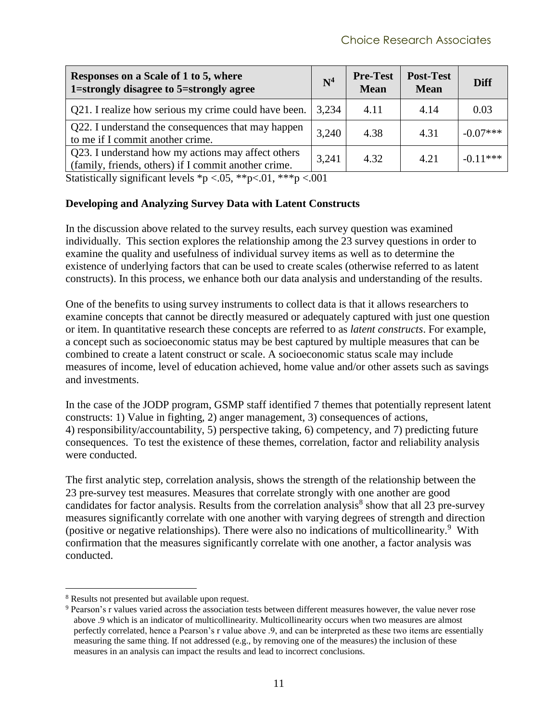| Responses on a Scale of 1 to 5, where<br>1=strongly disagree to 5=strongly agree                           | $\mathbf{N}^4$ | <b>Pre-Test</b><br><b>Mean</b> | <b>Post-Test</b><br><b>Mean</b> | <b>Diff</b> |
|------------------------------------------------------------------------------------------------------------|----------------|--------------------------------|---------------------------------|-------------|
| Q21. I realize how serious my crime could have been.                                                       | 3,234          | 4.11                           | 4.14                            | 0.03        |
| Q22. I understand the consequences that may happen<br>to me if I commit another crime.                     | 3,240          | 4.38                           | 4.31                            | $-0.07***$  |
| Q23. I understand how my actions may affect others<br>(family, friends, others) if I commit another crime. | 3,241          | 4.32                           | 4.21                            | $-0.11***$  |

Statistically significant levels  $\rm *p < .05, \rm **p < .01, \rm ***p < .001$ 

#### <span id="page-18-0"></span>**Developing and Analyzing Survey Data with Latent Constructs**

In the discussion above related to the survey results, each survey question was examined individually. This section explores the relationship among the 23 survey questions in order to examine the quality and usefulness of individual survey items as well as to determine the existence of underlying factors that can be used to create scales (otherwise referred to as latent constructs). In this process, we enhance both our data analysis and understanding of the results.

One of the benefits to using survey instruments to collect data is that it allows researchers to examine concepts that cannot be directly measured or adequately captured with just one question or item. In quantitative research these concepts are referred to as *latent constructs*. For example, a concept such as socioeconomic status may be best captured by multiple measures that can be combined to create a latent construct or scale. A socioeconomic status scale may include measures of income, level of education achieved, home value and/or other assets such as savings and investments.

In the case of the JODP program, GSMP staff identified 7 themes that potentially represent latent constructs: 1) Value in fighting, 2) anger management, 3) consequences of actions, 4) responsibility/accountability, 5) perspective taking, 6) competency, and 7) predicting future consequences. To test the existence of these themes, correlation, factor and reliability analysis were conducted.

The first analytic step, correlation analysis, shows the strength of the relationship between the 23 pre-survey test measures. Measures that correlate strongly with one another are good candidates for factor analysis. Results from the correlation analysis<sup>8</sup> show that all 23 pre-survey measures significantly correlate with one another with varying degrees of strength and direction (positive or negative relationships). There were also no indications of multicollinearity.<sup>9</sup> With confirmation that the measures significantly correlate with one another, a factor analysis was conducted.

 $\overline{a}$ 

<sup>8</sup> Results not presented but available upon request.

<sup>&</sup>lt;sup>9</sup> Pearson's r values varied across the association tests between different measures however, the value never rose above .9 which is an indicator of multicollinearity. Multicollinearity occurs when two measures are almost perfectly correlated, hence a Pearson's r value above .9, and can be interpreted as these two items are essentially measuring the same thing. If not addressed (e.g., by removing one of the measures) the inclusion of these measures in an analysis can impact the results and lead to incorrect conclusions.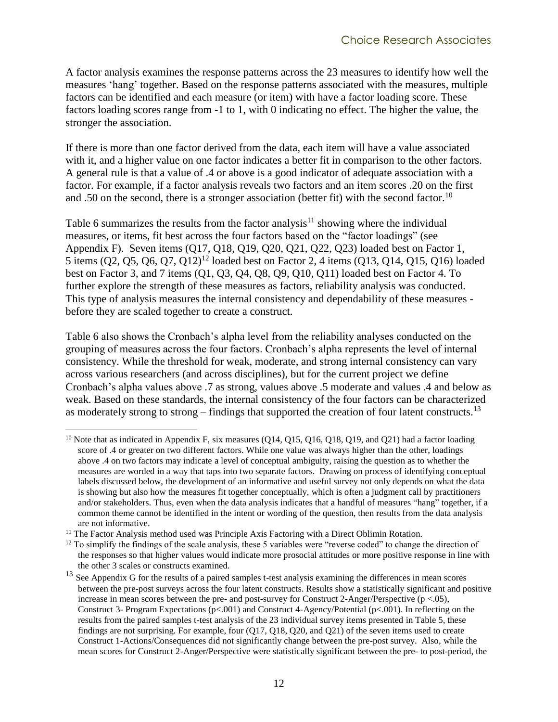A factor analysis examines the response patterns across the 23 measures to identify how well the measures 'hang' together. Based on the response patterns associated with the measures, multiple factors can be identified and each measure (or item) with have a factor loading score. These factors loading scores range from -1 to 1, with 0 indicating no effect. The higher the value, the stronger the association.

If there is more than one factor derived from the data, each item will have a value associated with it, and a higher value on one factor indicates a better fit in comparison to the other factors. A general rule is that a value of .4 or above is a good indicator of adequate association with a factor. For example, if a factor analysis reveals two factors and an item scores .20 on the first and .50 on the second, there is a stronger association (better fit) with the second factor.<sup>10</sup>

[Table 6](#page-21-0) summarizes the results from the factor analysis<sup>11</sup> showing where the individual measures, or items, fit best across the four factors based on the "factor loadings" (see Appendix F). Seven items (Q17, Q18, Q19, Q20, Q21, Q22, Q23) loaded best on Factor 1, 5 items (Q2, Q5, Q6, Q7, Q12)<sup>12</sup> loaded best on Factor 2, 4 items (Q13, Q14, Q15, Q16) loaded best on Factor 3, and 7 items (Q1, Q3, Q4, Q8, Q9, Q10, Q11) loaded best on Factor 4. To further explore the strength of these measures as factors, reliability analysis was conducted. This type of analysis measures the internal consistency and dependability of these measures before they are scaled together to create a construct.

[Table 6](#page-21-0) also shows the Cronbach's alpha level from the reliability analyses conducted on the grouping of measures across the four factors. Cronbach's alpha represents the level of internal consistency. While the threshold for weak, moderate, and strong internal consistency can vary across various researchers (and across disciplines), but for the current project we define Cronbach's alpha values above .7 as strong, values above .5 moderate and values .4 and below as weak. Based on these standards, the internal consistency of the four factors can be characterized as moderately strong to strong – findings that supported the creation of four latent constructs.<sup>13</sup>

 $\overline{a}$ <sup>10</sup> Note that as indicated in Appendix F, six measures (Q14, Q15, Q16, Q18, Q19, and Q21) had a factor loading score of .4 or greater on two different factors. While one value was always higher than the other, loadings above .4 on two factors may indicate a level of conceptual ambiguity, raising the question as to whether the measures are worded in a way that taps into two separate factors. Drawing on process of identifying conceptual labels discussed below, the development of an informative and useful survey not only depends on what the data is showing but also how the measures fit together conceptually, which is often a judgment call by practitioners and/or stakeholders. Thus, even when the data analysis indicates that a handful of measures "hang" together, if a common theme cannot be identified in the intent or wording of the question, then results from the data analysis are not informative.

<sup>&</sup>lt;sup>11</sup> The Factor Analysis method used was Principle Axis Factoring with a Direct Oblimin Rotation.

 $12$  To simplify the findings of the scale analysis, these 5 variables were "reverse coded" to change the direction of the responses so that higher values would indicate more prosocial attitudes or more positive response in line with the other 3 scales or constructs examined.

<sup>&</sup>lt;sup>13</sup> See Appendix G for the results of a paired samples t-test analysis examining the differences in mean scores between the pre-post surveys across the four latent constructs. Results show a statistically significant and positive increase in mean scores between the pre- and post-survey for Construct 2-Anger/Perspective ( $p < .05$ ), Construct 3- Program Expectations ( $p<.001$ ) and Construct 4-Agency/Potential ( $p<.001$ ). In reflecting on the results from the paired samples t-test analysis of the 23 individual survey items presented i[n Table 5,](#page-17-0) these findings are not surprising. For example, four (Q17, Q18, Q20, and Q21) of the seven items used to create Construct 1-Actions/Consequences did not significantly change between the pre-post survey. Also, while the mean scores for Construct 2-Anger/Perspective were statistically significant between the pre- to post-period, the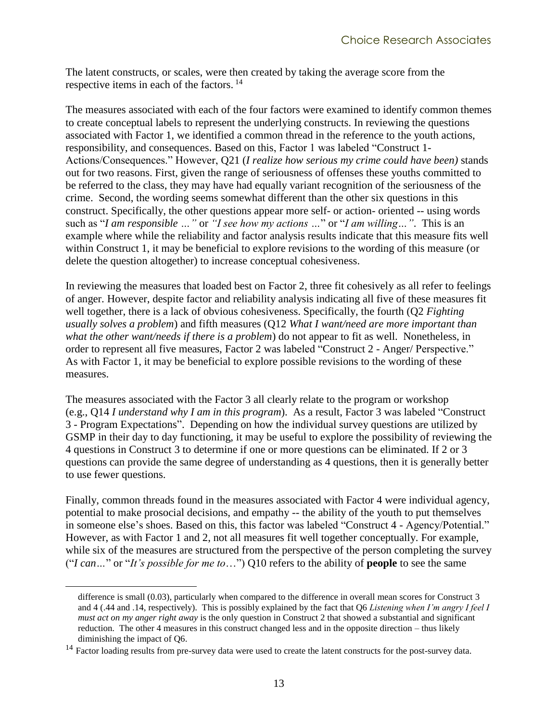The latent constructs, or scales, were then created by taking the average score from the respective items in each of the factors.<sup>14</sup>

The measures associated with each of the four factors were examined to identify common themes to create conceptual labels to represent the underlying constructs. In reviewing the questions associated with Factor 1, we identified a common thread in the reference to the youth actions, responsibility, and consequences. Based on this, Factor 1 was labeled "Construct 1- Actions/Consequences." However, Q21 (*I realize how serious my crime could have been)* stands out for two reasons. First, given the range of seriousness of offenses these youths committed to be referred to the class, they may have had equally variant recognition of the seriousness of the crime. Second, the wording seems somewhat different than the other six questions in this construct. Specifically, the other questions appear more self- or action- oriented -- using words such as "*I am responsible …"* or *"I see how my actions …*" or "*I am willing…"*. This is an example where while the reliability and factor analysis results indicate that this measure fits well within Construct 1, it may be beneficial to explore revisions to the wording of this measure (or delete the question altogether) to increase conceptual cohesiveness.

In reviewing the measures that loaded best on Factor 2, three fit cohesively as all refer to feelings of anger. However, despite factor and reliability analysis indicating all five of these measures fit well together, there is a lack of obvious cohesiveness. Specifically, the fourth (Q2 *Fighting usually solves a problem*) and fifth measures (Q12 *What I want/need are more important than what the other want/needs if there is a problem*) do not appear to fit as well. Nonetheless, in order to represent all five measures, Factor 2 was labeled "Construct 2 - Anger/ Perspective." As with Factor 1, it may be beneficial to explore possible revisions to the wording of these measures.

The measures associated with the Factor 3 all clearly relate to the program or workshop (e.g., Q14 *I understand why I am in this program*). As a result, Factor 3 was labeled "Construct 3 - Program Expectations". Depending on how the individual survey questions are utilized by GSMP in their day to day functioning, it may be useful to explore the possibility of reviewing the 4 questions in Construct 3 to determine if one or more questions can be eliminated. If 2 or 3 questions can provide the same degree of understanding as 4 questions, then it is generally better to use fewer questions.

Finally, common threads found in the measures associated with Factor 4 were individual agency, potential to make prosocial decisions, and empathy -- the ability of the youth to put themselves in someone else's shoes. Based on this, this factor was labeled "Construct 4 - Agency/Potential." However, as with Factor 1 and 2, not all measures fit well together conceptually. For example, while six of the measures are structured from the perspective of the person completing the survey ("*I can…*" or "*It's possible for me to*…") Q10 refers to the ability of **people** to see the same

 $\overline{a}$ 

difference is small (0.03), particularly when compared to the difference in overall mean scores for Construct 3 and 4 (.44 and .14, respectively). This is possibly explained by the fact that Q6 *Listening when I'm angry I feel I must act on my anger right away* is the only question in Construct 2 that showed a substantial and significant reduction. The other 4 measures in this construct changed less and in the opposite direction – thus likely diminishing the impact of Q6.

<sup>&</sup>lt;sup>14</sup> Factor loading results from pre-survey data were used to create the latent constructs for the post-survey data.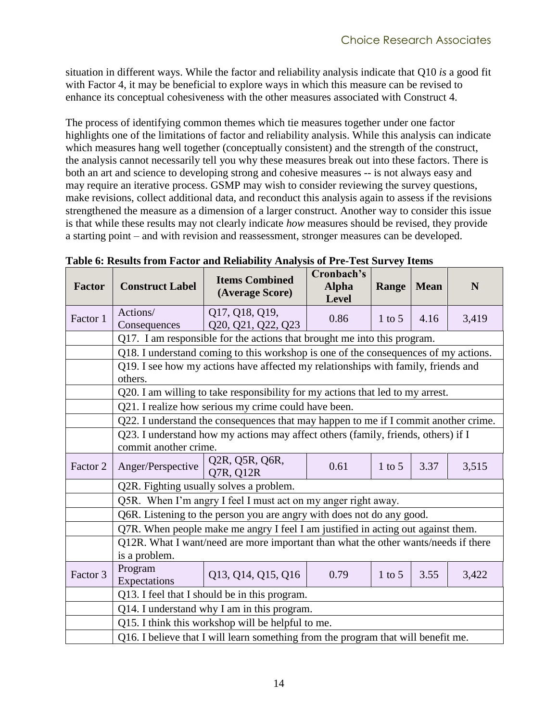situation in different ways. While the factor and reliability analysis indicate that Q10 *is* a good fit with Factor 4, it may be beneficial to explore ways in which this measure can be revised to enhance its conceptual cohesiveness with the other measures associated with Construct 4.

The process of identifying common themes which tie measures together under one factor highlights one of the limitations of factor and reliability analysis. While this analysis can indicate which measures hang well together (conceptually consistent) and the strength of the construct, the analysis cannot necessarily tell you why these measures break out into these factors. There is both an art and science to developing strong and cohesive measures -- is not always easy and may require an iterative process. GSMP may wish to consider reviewing the survey questions, make revisions, collect additional data, and reconduct this analysis again to assess if the revisions strengthened the measure as a dimension of a larger construct. Another way to consider this issue is that while these results may not clearly indicate *how* measures should be revised, they provide a starting point – and with revision and reassessment, stronger measures can be developed.

| <b>Factor</b> | <b>Construct Label</b>                                                                                                                 | <b>Items Combined</b><br>(Average Score)                                          | Cronbach's<br><b>Alpha</b><br><b>Level</b> | Range    | <b>Mean</b> | N     |  |  |  |  |
|---------------|----------------------------------------------------------------------------------------------------------------------------------------|-----------------------------------------------------------------------------------|--------------------------------------------|----------|-------------|-------|--|--|--|--|
| Factor 1      | Actions/<br>Consequences                                                                                                               | Q17, Q18, Q19,<br>Q20, Q21, Q22, Q23                                              | 0.86                                       | $1$ to 5 | 4.16        | 3,419 |  |  |  |  |
|               | Q17. I am responsible for the actions that brought me into this program.                                                               |                                                                                   |                                            |          |             |       |  |  |  |  |
|               | Q18. I understand coming to this workshop is one of the consequences of my actions.                                                    |                                                                                   |                                            |          |             |       |  |  |  |  |
|               | Q19. I see how my actions have affected my relationships with family, friends and<br>others.                                           |                                                                                   |                                            |          |             |       |  |  |  |  |
|               |                                                                                                                                        |                                                                                   |                                            |          |             |       |  |  |  |  |
|               | Q20. I am willing to take responsibility for my actions that led to my arrest.<br>Q21. I realize how serious my crime could have been. |                                                                                   |                                            |          |             |       |  |  |  |  |
|               | Q22. I understand the consequences that may happen to me if I commit another crime.                                                    |                                                                                   |                                            |          |             |       |  |  |  |  |
|               | Q23. I understand how my actions may affect others (family, friends, others) if I<br>commit another crime.                             |                                                                                   |                                            |          |             |       |  |  |  |  |
| Factor 2      | Anger/Perspective                                                                                                                      | Q2R, Q5R, Q6R,<br>Q7R, Q12R                                                       | 0.61                                       | $1$ to 5 | 3.37        | 3,515 |  |  |  |  |
|               |                                                                                                                                        | Q2R. Fighting usually solves a problem.                                           |                                            |          |             |       |  |  |  |  |
|               |                                                                                                                                        | Q5R. When I'm angry I feel I must act on my anger right away.                     |                                            |          |             |       |  |  |  |  |
|               |                                                                                                                                        | Q6R. Listening to the person you are angry with does not do any good.             |                                            |          |             |       |  |  |  |  |
|               |                                                                                                                                        | Q7R. When people make me angry I feel I am justified in acting out against them.  |                                            |          |             |       |  |  |  |  |
|               | Q12R. What I want/need are more important than what the other wants/needs if there<br>is a problem.                                    |                                                                                   |                                            |          |             |       |  |  |  |  |
| Factor 3      | Program<br>Expectations                                                                                                                | Q13, Q14, Q15, Q16                                                                | 0.79                                       | $1$ to 5 | 3.55        | 3,422 |  |  |  |  |
|               |                                                                                                                                        | Q13. I feel that I should be in this program.                                     |                                            |          |             |       |  |  |  |  |
|               |                                                                                                                                        | Q14. I understand why I am in this program.                                       |                                            |          |             |       |  |  |  |  |
|               |                                                                                                                                        | Q15. I think this workshop will be helpful to me.                                 |                                            |          |             |       |  |  |  |  |
|               |                                                                                                                                        | Q16. I believe that I will learn something from the program that will benefit me. |                                            |          |             |       |  |  |  |  |

<span id="page-21-0"></span>**Table 6: Results from Factor and Reliability Analysis of Pre-Test Survey Items**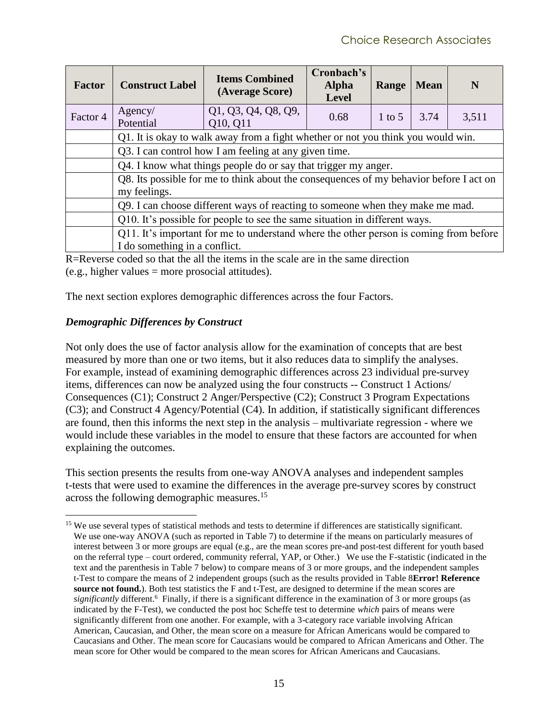| <b>Factor</b> | <b>Construct Label</b>                                                           | <b>Items Combined</b><br>(Average Score)                                               | Cronbach's<br><b>Alpha</b><br>Level | Range    | <b>Mean</b> | N     |  |  |  |
|---------------|----------------------------------------------------------------------------------|----------------------------------------------------------------------------------------|-------------------------------------|----------|-------------|-------|--|--|--|
| Factor 4      | Agency/<br>Potential                                                             | Q1, Q3, Q4, Q8, Q9,<br>Q10, Q11                                                        | 0.68                                | $1$ to 5 | 3.74        | 3,511 |  |  |  |
|               | Q1. It is okay to walk away from a fight whether or not you think you would win. |                                                                                        |                                     |          |             |       |  |  |  |
|               | Q3. I can control how I am feeling at any given time.                            |                                                                                        |                                     |          |             |       |  |  |  |
|               | Q4. I know what things people do or say that trigger my anger.                   |                                                                                        |                                     |          |             |       |  |  |  |
|               | my feelings.                                                                     | Q8. Its possible for me to think about the consequences of my behavior before I act on |                                     |          |             |       |  |  |  |
|               |                                                                                  | Q9. I can choose different ways of reacting to someone when they make me mad.          |                                     |          |             |       |  |  |  |
|               |                                                                                  | Q10. It's possible for people to see the same situation in different ways.             |                                     |          |             |       |  |  |  |
|               |                                                                                  | Q11. It's important for me to understand where the other person is coming from before  |                                     |          |             |       |  |  |  |
|               | I do something in a conflict.                                                    |                                                                                        |                                     |          |             |       |  |  |  |

R=Reverse coded so that the all the items in the scale are in the same direction  $(e.g., higher values = more prosocial attitudes).$ 

The next section explores demographic differences across the four Factors.

#### <span id="page-22-0"></span>*Demographic Differences by Construct*

 $\overline{a}$ 

Not only does the use of factor analysis allow for the examination of concepts that are best measured by more than one or two items, but it also reduces data to simplify the analyses. For example, instead of examining demographic differences across 23 individual pre-survey items, differences can now be analyzed using the four constructs -- Construct 1 Actions/ Consequences (C1); Construct 2 Anger/Perspective (C2); Construct 3 Program Expectations (C3); and Construct 4 Agency/Potential (C4). In addition, if statistically significant differences are found, then this informs the next step in the analysis – multivariate regression - where we would include these variables in the model to ensure that these factors are accounted for when explaining the outcomes.

This section presents the results from one-way ANOVA analyses and independent samples t-tests that were used to examine the differences in the average pre-survey scores by construct across the following demographic measures.<sup>15</sup>

<sup>&</sup>lt;sup>15</sup> We use several types of statistical methods and tests to determine if differences are statistically significant. We use one-way ANOVA (such as reported in [Table 7\)](#page-27-0) to determine if the means on particularly measures of interest between 3 or more groups are equal (e.g., are the mean scores pre-and post-test different for youth based on the referral type – court ordered, community referral, YAP, or Other.) We use the F-statistic (indicated in the text and the parenthesis in [Table 7](#page-27-0) below) to compare means of 3 or more groups, and the independent samples t-Test to compare the means of 2 independent groups (such as the results provided in [Table 8](#page-28-0)**Error! Reference source not found.**). Both test statistics the F and t-Test, are designed to determine if the mean scores are *significantly* different.[6](#page-12-0) Finally, if there is a significant difference in the examination of 3 or more groups (as indicated by the F-Test), we conducted the post hoc Scheffe test to determine *which* pairs of means were significantly different from one another. For example, with a 3-category race variable involving African American, Caucasian, and Other, the mean score on a measure for African Americans would be compared to Caucasians and Other. The mean score for Caucasians would be compared to African Americans and Other. The mean score for Other would be compared to the mean scores for African Americans and Caucasians.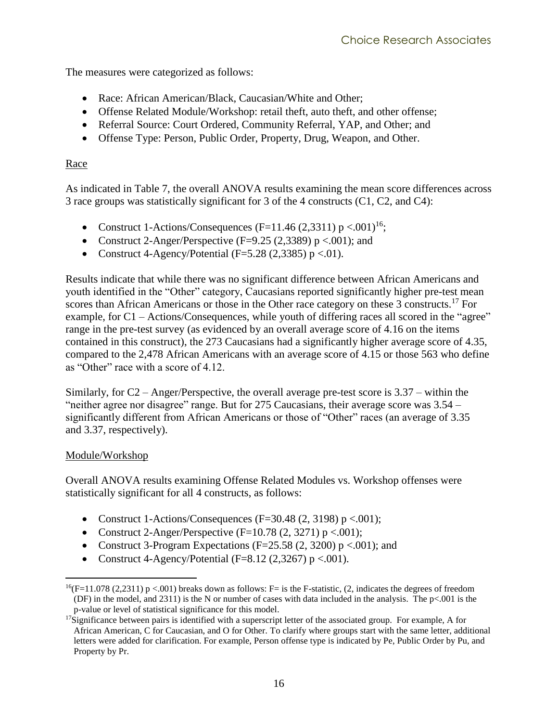The measures were categorized as follows:

- <span id="page-23-2"></span>• Race: African American/Black, Caucasian/White and Other:
- Offense Related Module/Workshop: retail theft, auto theft, and other offense;
- Referral Source: Court Ordered, Community Referral, YAP, and Other; and
- Offense Type: Person, Public Order, Property, Drug, Weapon, and Other.

#### <span id="page-23-0"></span>Race

As indicated in [Table 7,](#page-27-0) the overall ANOVA results examining the mean score differences across 3 race groups was statistically significant for 3 of the 4 constructs (C1, C2, and C4):

- Construct 1-Actions/Consequences (F=11.46 (2.3311)  $p < .001$ )<sup>16</sup>;
- Construct 2-Anger/Perspective ( $F=9.25$  (2,3389) p <.001); and
- Construct 4-Agency/Potential ( $F=5.28$  (2,3385) p <.01).

Results indicate that while there was no significant difference between African Americans and youth identified in the "Other" category, Caucasians reported significantly higher pre-test mean scores than African Americans or those in the Other race category on these 3 constructs.<sup>17</sup> For example, for C1 – Actions/Consequences, while youth of differing races all scored in the "agree" range in the pre-test survey (as evidenced by an overall average score of 4.16 on the items contained in this construct), the 273 Caucasians had a significantly higher average score of 4.35, compared to the 2,478 African Americans with an average score of 4.15 or those 563 who define as "Other" race with a score of 4.12.

Similarly, for C2 – Anger/Perspective, the overall average pre-test score is 3.37 – within the "neither agree nor disagree" range. But for 275 Caucasians, their average score was 3.54 – significantly different from African Americans or those of "Other" races (an average of 3.35 and 3.37, respectively).

#### <span id="page-23-1"></span>Module/Workshop

Overall ANOVA results examining Offense Related Modules vs. Workshop offenses were statistically significant for all 4 constructs, as follows:

- Construct 1-Actions/Consequences (F=30.48 (2, 3198)  $p < .001$ );
- Construct 2-Anger/Perspective (F=10.78  $(2, 3271)$  p <.001);
- Construct 3-Program Expectations (F=25.58  $(2, 3200)$  p <.001); and
- Construct 4-Agency/Potential (F=8.12 (2,3267) p <.001).

 $\overline{a}$  $^{16}(F=11.078$  (2,2311) p <.001) breaks down as follows: F= is the F-statistic, (2, indicates the degrees of freedom (DF) in the model, and 2311) is the N or number of cases with data included in the analysis. The p<.001 is the p-value or level of statistical significance for this model.

 $17$ Significance between pairs is identified with a superscript letter of the associated group. For example, A for African American, C for Caucasian, and O for Other. To clarify where groups start with the same letter, additional letters were added for clarification. For example, Person offense type is indicated by Pe, Public Order by Pu, and Property by Pr.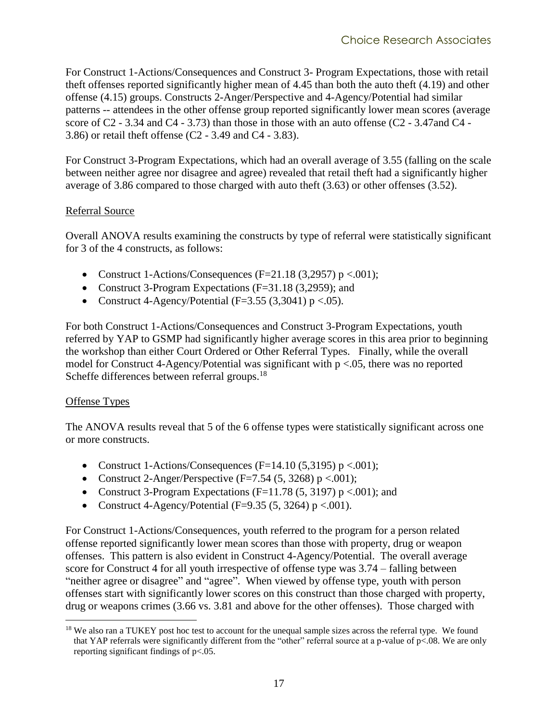For Construct 1-Actions/Consequences and Construct 3- Program Expectations, those with retail theft offenses reported significantly higher mean of 4.45 than both the auto theft (4.19) and other offense (4.15) groups. Constructs 2-Anger/Perspective and 4-Agency/Potential had similar patterns -- attendees in the other offense group reported significantly lower mean scores (average score of C2 - 3.34 and C4 - 3.73) than those in those with an auto offense (C2 - 3.47and C4 - 3.86) or retail theft offense (C2 - 3.49 and C4 - 3.83).

For Construct 3-Program Expectations, which had an overall average of 3.55 (falling on the scale between neither agree nor disagree and agree) revealed that retail theft had a significantly higher average of 3.86 compared to those charged with auto theft (3.63) or other offenses (3.52).

#### <span id="page-24-0"></span>Referral Source

Overall ANOVA results examining the constructs by type of referral were statistically significant for 3 of the 4 constructs, as follows:

- Construct 1-Actions/Consequences (F=21.18  $(3,2957)$  p <.001);
- Construct 3-Program Expectations (F=31.18 (3,2959); and
- Construct 4-Agency/Potential ( $F=3.55$  (3,3041) p <.05).

For both Construct 1-Actions/Consequences and Construct 3-Program Expectations, youth referred by YAP to GSMP had significantly higher average scores in this area prior to beginning the workshop than either Court Ordered or Other Referral Types. Finally, while the overall model for Construct 4-Agency/Potential was significant with p <.05, there was no reported Scheffe differences between referral groups.<sup>18</sup>

#### <span id="page-24-1"></span>Offense Types

 $\overline{a}$ 

The ANOVA results reveal that 5 of the 6 offense types were statistically significant across one or more constructs.

- Construct 1-Actions/Consequences (F=14.10 (5,3195)  $p < .001$ );
- Construct 2-Anger/Perspective  $(F=7.54 (5, 3268) p < .001)$ ;
- Construct 3-Program Expectations (F=11.78 (5, 3197)  $p < .001$ ); and
- Construct 4-Agency/Potential (F=9.35 (5, 3264)  $p < .001$ ).

For Construct 1-Actions/Consequences, youth referred to the program for a person related offense reported significantly lower mean scores than those with property, drug or weapon offenses. This pattern is also evident in Construct 4-Agency/Potential. The overall average score for Construct 4 for all youth irrespective of offense type was 3.74 – falling between "neither agree or disagree" and "agree". When viewed by offense type, youth with person offenses start with significantly lower scores on this construct than those charged with property, drug or weapons crimes (3.66 vs. 3.81 and above for the other offenses). Those charged with

<sup>&</sup>lt;sup>18</sup> We also ran a TUKEY post hoc test to account for the unequal sample sizes across the referral type. We found that YAP referrals were significantly different from the "other" referral source at a p-value of p<.08. We are only reporting significant findings of p<.05.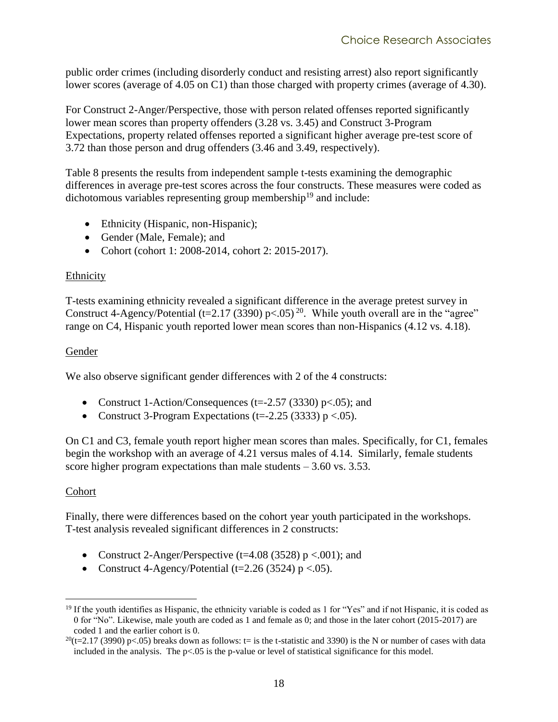public order crimes (including disorderly conduct and resisting arrest) also report significantly lower scores (average of 4.05 on C1) than those charged with property crimes (average of 4.30).

For Construct 2-Anger/Perspective, those with person related offenses reported significantly lower mean scores than property offenders (3.28 vs. 3.45) and Construct 3-Program Expectations, property related offenses reported a significant higher average pre-test score of 3.72 than those person and drug offenders (3.46 and 3.49, respectively).

[Table 8](#page-28-0) presents the results from independent sample t-tests examining the demographic differences in average pre-test scores across the four constructs. These measures were coded as dichotomous variables representing group membership<sup>19</sup> and include:

- Ethnicity (Hispanic, non-Hispanic);
- Gender (Male, Female); and
- Cohort (cohort 1: 2008-2014, cohort 2: 2015-2017).

#### <span id="page-25-0"></span>Ethnicity

T-tests examining ethnicity revealed a significant difference in the average pretest survey in Construct 4-Agency/Potential (t=2.17 (3390) p < 0.05)<sup>20</sup>. While youth overall are in the "agree" range on C4, Hispanic youth reported lower mean scores than non-Hispanics (4.12 vs. 4.18).

#### <span id="page-25-1"></span>Gender

We also observe significant gender differences with 2 of the 4 constructs:

- Construct 1-Action/Consequences (t= $-2.57$  (3330) p<.05); and
- Construct 3-Program Expectations (t= $-2.25$  (3333) p <.05).

On C1 and C3, female youth report higher mean scores than males. Specifically, for C1, females begin the workshop with an average of 4.21 versus males of 4.14. Similarly, female students score higher program expectations than male students  $-3.60$  vs. 3.53.

#### <span id="page-25-2"></span>Cohort

Finally, there were differences based on the cohort year youth participated in the workshops. T-test analysis revealed significant differences in 2 constructs:

- Construct 2-Anger/Perspective (t=4.08 (3528)  $p < .001$ ); and
- Construct 4-Agency/Potential (t=2.26 (3524)  $p < .05$ ).

 $\overline{a}$  $19$  If the youth identifies as Hispanic, the ethnicity variable is coded as 1 for "Yes" and if not Hispanic, it is coded as 0 for "No". Likewise, male youth are coded as 1 and female as 0; and those in the later cohort (2015-2017) are coded 1 and the earlier cohort is 0.

 $^{20}(t=2.17 \text{ (3990)} \text{ p} < .05)$  breaks down as follows: t= is the t-statistic and 3390) is the N or number of cases with data included in the analysis. The p<.05 is the p-value or level of statistical significance for this model.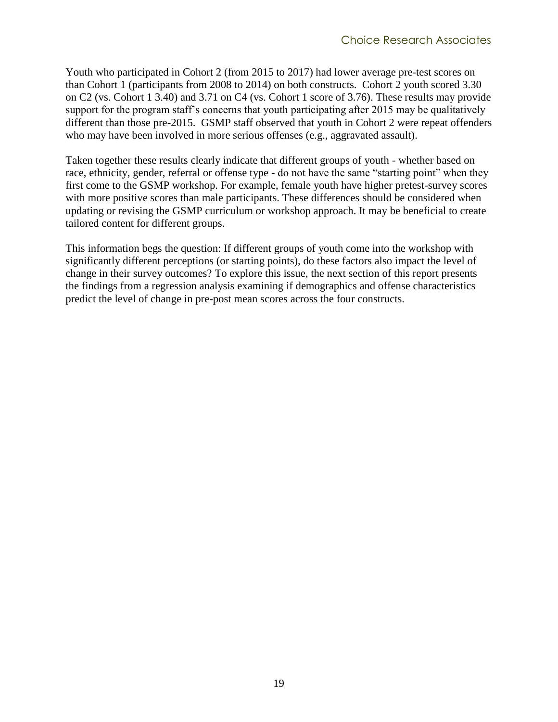Youth who participated in Cohort 2 (from 2015 to 2017) had lower average pre-test scores on than Cohort 1 (participants from 2008 to 2014) on both constructs. Cohort 2 youth scored 3.30 on C2 (vs. Cohort 1 3.40) and 3.71 on C4 (vs. Cohort 1 score of 3.76). These results may provide support for the program staff's concerns that youth participating after 2015 may be qualitatively different than those pre-2015. GSMP staff observed that youth in Cohort 2 were repeat offenders who may have been involved in more serious offenses (e.g., aggravated assault).

Taken together these results clearly indicate that different groups of youth - whether based on race, ethnicity, gender, referral or offense type - do not have the same "starting point" when they first come to the GSMP workshop. For example, female youth have higher pretest-survey scores with more positive scores than male participants. These differences should be considered when updating or revising the GSMP curriculum or workshop approach. It may be beneficial to create tailored content for different groups.

This information begs the question: If different groups of youth come into the workshop with significantly different perceptions (or starting points), do these factors also impact the level of change in their survey outcomes? To explore this issue, the next section of this report presents the findings from a regression analysis examining if demographics and offense characteristics predict the level of change in pre-post mean scores across the four constructs.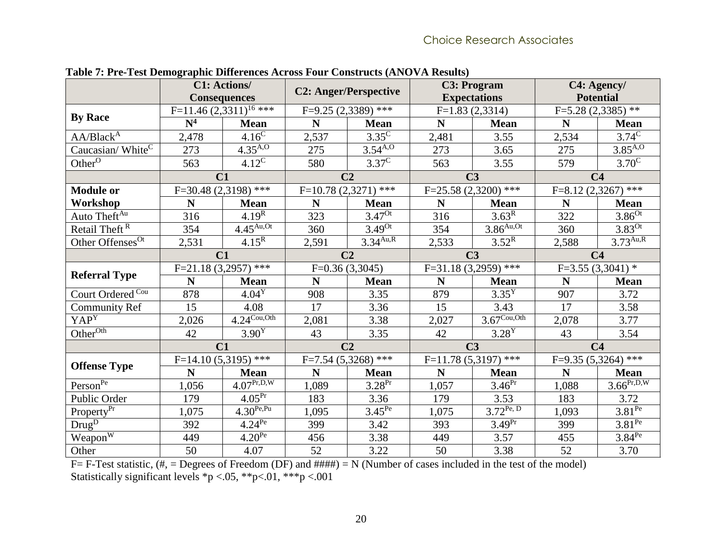<span id="page-27-0"></span>

|                                            |                       | <b>C1: Actions/</b><br><b>Consequences</b> | <b>C2: Anger/Perspective</b> |                       |             | <b>C3: Program</b><br><b>Expectations</b> | C4: Agency/<br><b>Potential</b> |                         |  |
|--------------------------------------------|-----------------------|--------------------------------------------|------------------------------|-----------------------|-------------|-------------------------------------------|---------------------------------|-------------------------|--|
|                                            |                       | F=11.46 $(2,3311)^{16}$ ***                |                              | $F=9.25(2,3389)$ ***  |             | $F=1.83(2,3314)$                          | $F=5.28(2,3385)$ **             |                         |  |
| <b>By Race</b>                             | $\mathbf{N}^4$        | <b>Mean</b>                                | N                            | <b>Mean</b>           | $\mathbf N$ | <b>Mean</b>                               | N                               | <b>Mean</b>             |  |
| AA/Black <sup>A</sup>                      | 2,478                 | $4.16^{\overline{C}}$                      | 2,537                        | $3.35^{\circ}$        | 2,481       | 3.55                                      | 2,534                           | $3.74^{\circ}$          |  |
| Caucasian/White <sup>C</sup>               | 273                   | $4.35^{A,0}$                               | 275                          | $3.54^{A,0}$          | 273         | 3.65                                      | 275                             | $3.\overline{85^{A,0}}$ |  |
| Other <sup><math>\overline{0}</math></sup> | 563                   | $4.12^{\circ}$                             | 580                          | $3.37^{\circ}$        | 563         | 3.55                                      | 579                             | $3.70^{\overline{C}}$   |  |
|                                            | C1                    |                                            |                              | C <sub>2</sub>        |             | C <sub>3</sub>                            |                                 | C <sub>4</sub>          |  |
| <b>Module or</b>                           |                       | $F=30.48(2,3198)$ ***                      |                              | $F=10.78(2,3271)$ *** |             | $F=25.58(2,3200)$ ***                     | $***$<br>$F=8.12(2,3267)$       |                         |  |
| Workshop                                   | N                     | <b>Mean</b>                                | N                            | <b>Mean</b>           | $\mathbf N$ | <b>Mean</b>                               | N                               | <b>Mean</b>             |  |
| Auto Theft <sup>Au</sup>                   | 316                   | $4.19^{R}$                                 | 323                          | $3.47^{0t}$           | 316         | 3.63 <sup>R</sup>                         | 322                             | $3.86^{Ot}$             |  |
| Retail Theft <sup>R</sup>                  | 354                   | $4.45$ <sup>Au,Ot</sup>                    | 360                          | $3.49^{0t}$           | 354         | $3.86$ Au,Ot                              | 360                             | $3.83^{Ot}$             |  |
| Other Offenses <sup>Ot</sup>               | 2,531                 | $4.15^{\overline{R}}$                      | 2,591                        | 3.34 <sup>Au,R</sup>  | 2,533       | $3.52^{\overline{R}}$                     | 2,588                           | $3.73^{Au,R}$           |  |
|                                            | C1                    |                                            |                              | C <sub>2</sub>        |             | C <sub>3</sub>                            | C <sub>4</sub>                  |                         |  |
|                                            | $F=21.18(3,2957)$ *** |                                            |                              | $F=0.36(3,3045)$      |             | $F=31.18(3,2959)$ ***                     |                                 | $F=3.55(3,3041)$ *      |  |
| <b>Referral Type</b>                       | N                     | <b>Mean</b>                                | N                            | <b>Mean</b>           | N           | <b>Mean</b>                               | N                               | <b>Mean</b>             |  |
| Court Ordered <sup>Cou</sup>               | 878                   | $4.04^Y$                                   | 908                          | 3.35                  | 879         | $3.35^{\overline{Y}}$                     | 907                             | 3.72                    |  |
| <b>Community Ref</b>                       | 15                    | 4.08                                       | 17                           | 3.36                  | 15          | 3.43                                      | 17                              | 3.58                    |  |
| YAP <sup>Y</sup>                           | 2,026                 | $4.24^{\text{Cou,Oth}}$                    | 2,081                        | 3.38                  | 2,027       | $3.67^{\text{Cou}, \text{Oth}}$           | 2,078                           | 3.77                    |  |
| Other <sup>Oth</sup>                       | 42                    | $3.90^{\overline{Y}}$                      | 43                           | 3.35                  | 42          | $3.28^{\overline{Y}}$                     | 43                              | 3.54                    |  |
|                                            | C <sub>1</sub>        |                                            |                              | C <sub>2</sub>        |             | C <sub>3</sub>                            |                                 | C <sub>4</sub>          |  |
| <b>Offense Type</b>                        |                       | $F=14.10(5,3195)$ ***                      |                              | $F=7.54(5,3268)$ ***  |             | $F=11.78(5,3197)$ ***                     |                                 | $F=9.35(5,3264)$ ***    |  |
|                                            | N                     | <b>Mean</b>                                | N                            | <b>Mean</b>           | $\mathbf N$ | <b>Mean</b>                               | N                               | <b>Mean</b>             |  |
| Person <sup>Pe</sup>                       | 1,056                 | $4.07^{\overline{\mathrm{Pr,D,W}}}$        | 1,089                        | $3.28^{Pr}$           | 1,057       | $3.46^{Pr}$                               | 1,088                           | $3.66^{Pr,D,W}$         |  |
| Public Order                               | 179                   | 4.05 <sup>Pr</sup>                         | 183                          | 3.36                  | 179         | 3.53                                      | 183                             | 3.72                    |  |
| Property <sup>Pr</sup>                     | 1,075                 | $4.30^{Pe, Pu}$                            | 1,095                        | $3.45^{Pe}$           | 1,075       | $3.72^{Pe, D}$                            | 1,093                           | $3.81^{Pe}$             |  |
| $\overline{Drug^D}$                        | 392                   | $4.24^{Pe}$                                | 399                          | 3.42                  | 393         | 3.49 <sup>Pr</sup>                        | 399                             | $3.81^{Pe}$             |  |
| Weapon <sup>W</sup>                        | 449                   | $4.20^{Pe}$                                | 456                          | 3.38                  | 449         | 3.57                                      | 455                             | $3.84^{Pe}$             |  |
| Other                                      | 50                    | 4.07                                       | 52                           | 3.22                  | 50          | 3.38                                      | 52                              | 3.70                    |  |

**Table 7: Pre-Test Demographic Differences Across Four Constructs (ANOVA Results)**

 $F=$  F-Test statistic,  $(\#,-)$  Degrees of Freedom (DF) and  $\#$ ### $)$  = N (Number of cases included in the test of the model) Statistically significant levels \*p <.05, \*\*p<.01, \*\*\*p <.001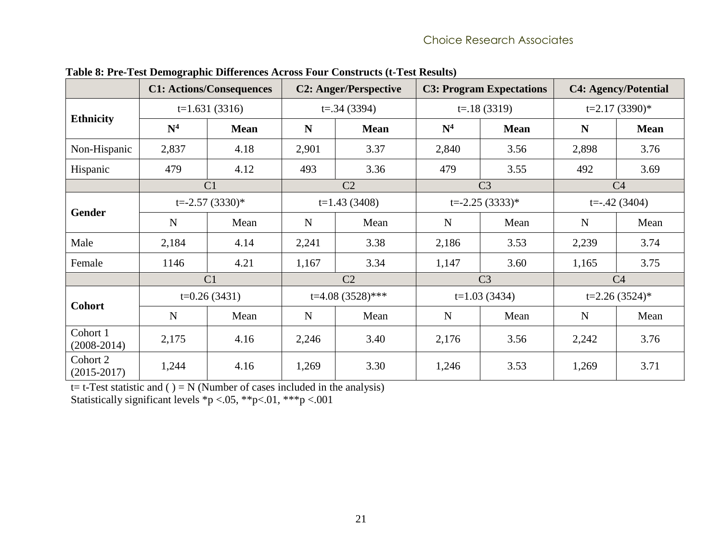|                             |                | <b>C1: Actions/Consequences</b> |                | <b>C2: Anger/Perspective</b> | <b>C3: Program Expectations</b> |                    |                 | <b>C4: Agency/Potential</b> |  |
|-----------------------------|----------------|---------------------------------|----------------|------------------------------|---------------------------------|--------------------|-----------------|-----------------------------|--|
|                             |                | $t=1.631(3316)$                 |                | $t=.34(3394)$                |                                 | $t = 18(3319)$     | $t=2.17(3390)*$ |                             |  |
| <b>Ethnicity</b>            | $\mathbf{N}^4$ | <b>Mean</b>                     | N              | <b>Mean</b>                  | N <sup>4</sup>                  | <b>Mean</b>        | N               | <b>Mean</b>                 |  |
| Non-Hispanic                | 2,837          | 4.18                            | 2,901          | 3.37                         | 2,840                           | 3.56               | 2,898           | 3.76                        |  |
| Hispanic                    | 479            | 4.12                            | 493            | 3.36                         | 479                             | 3.55               | 492             | 3.69                        |  |
|                             |                | C <sub>1</sub>                  | C <sub>2</sub> |                              |                                 | C <sub>3</sub>     | C <sub>4</sub>  |                             |  |
|                             |                | $t = -2.57(3330)^*$             | $t=1.43(3408)$ |                              |                                 | $t = -2.25(3333)*$ | $t=-.42(3404)$  |                             |  |
| <b>Gender</b>               | $\mathbf N$    | Mean                            | $\mathbf N$    | Mean                         | $\mathbf N$                     | Mean               | $\mathbf N$     | Mean                        |  |
| Male                        | 2,184          | 4.14                            | 2,241          | 3.38                         | 2,186                           | 3.53               | 2,239           | 3.74                        |  |
| Female                      | 1146           | 4.21                            | 1,167          | 3.34                         | 1,147                           | 3.60               | 1,165           | 3.75                        |  |
|                             |                | C <sub>1</sub>                  |                | C <sub>2</sub>               |                                 | C <sub>3</sub>     |                 | C <sub>4</sub>              |  |
| <b>Cohort</b>               |                | $t=0.26(3431)$                  |                | t=4.08 $(3528)$ ***          |                                 | $t=1.03(3434)$     |                 | $t=2.26(3524)*$             |  |
|                             | $\mathbf N$    | Mean                            | $\mathbf N$    | Mean                         | $\mathbf N$                     | Mean               | N               | Mean                        |  |
| Cohort 1<br>$(2008-2014)$   | 2,175          | 4.16                            | 2,246          | 3.40                         | 2,176                           | 3.56               | 2,242           | 3.76                        |  |
| Cohort 2<br>$(2015 - 2017)$ | 1,244          | 4.16                            | 1,269          | 3.30                         | 1,246                           | 3.53               | 1,269           | 3.71                        |  |

**Table 8: Pre-Test Demographic Differences Across Four Constructs (t-Test Results)**

<span id="page-28-0"></span>t= t-Test statistic and  $() = N$  (Number of cases included in the analysis)

Statistically significant levels \*p <.05, \*\*p<.01, \*\*\*p <.001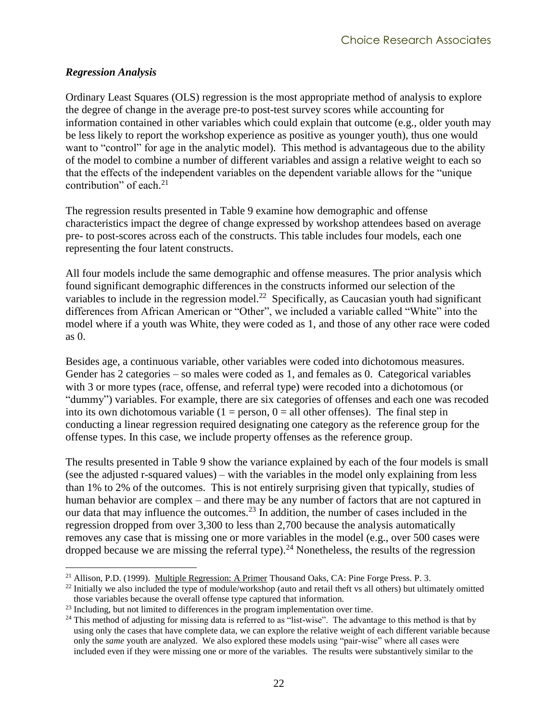#### <span id="page-29-0"></span>*Regression Analysis*

 $\overline{a}$ 

Ordinary Least Squares (OLS) regression is the most appropriate method of analysis to explore the degree of change in the average pre-to post-test survey scores while accounting for information contained in other variables which could explain that outcome (e.g., older youth may be less likely to report the workshop experience as positive as younger youth), thus one would want to "control" for age in the analytic model). This method is advantageous due to the ability of the model to combine a number of different variables and assign a relative weight to each so that the effects of the independent variables on the dependent variable allows for the "unique contribution" of each. 21

The regression results presented in [Table 9](#page-31-0) examine how demographic and offense characteristics impact the degree of change expressed by workshop attendees based on average pre- to post-scores across each of the constructs. This table includes four models, each one representing the four latent constructs.

All four models include the same demographic and offense measures. The prior analysis which found significant demographic differences in the constructs informed our selection of the variables to include in the regression model.<sup>22</sup> Specifically, as Caucasian youth had significant differences from African American or "Other", we included a variable called "White" into the model where if a youth was White, they were coded as 1, and those of any other race were coded as 0.

Besides age, a continuous variable, other variables were coded into dichotomous measures. Gender has 2 categories – so males were coded as 1, and females as 0. Categorical variables with 3 or more types (race, offense, and referral type) were recoded into a dichotomous (or "dummy") variables. For example, there are six categories of offenses and each one was recoded into its own dichotomous variable  $(1 = person, 0 = all other offenses)$ . The final step in conducting a linear regression required designating one category as the reference group for the offense types. In this case, we include property offenses as the reference group.

The results presented in [Table 9](#page-31-0) show the variance explained by each of the four models is small (see the adjusted r-squared values) – with the variables in the model only explaining from less than 1% to 2% of the outcomes. This is not entirely surprising given that typically, studies of human behavior are complex – and there may be any number of factors that are not captured in our data that may influence the outcomes.<sup>23</sup> In addition, the number of cases included in the regression dropped from over 3,300 to less than 2,700 because the analysis automatically removes any case that is missing one or more variables in the model (e.g., over 500 cases were dropped because we are missing the referral type).<sup>24</sup> Nonetheless, the results of the regression

<sup>21</sup> Allison, P.D. (1999). Multiple Regression: A Primer Thousand Oaks, CA: Pine Forge Press. P. 3.

 $^{22}$  Initially we also included the type of module/workshop (auto and retail theft vs all others) but ultimately omitted those variables because the overall offense type captured that information.

<sup>&</sup>lt;sup>23</sup> Including, but not limited to differences in the program implementation over time.

 $24$  This method of adjusting for missing data is referred to as "list-wise". The advantage to this method is that by using only the cases that have complete data, we can explore the relative weight of each different variable because only the *same* youth are analyzed. We also explored these models using "pair-wise" where all cases were included even if they were missing one or more of the variables. The results were substantively similar to the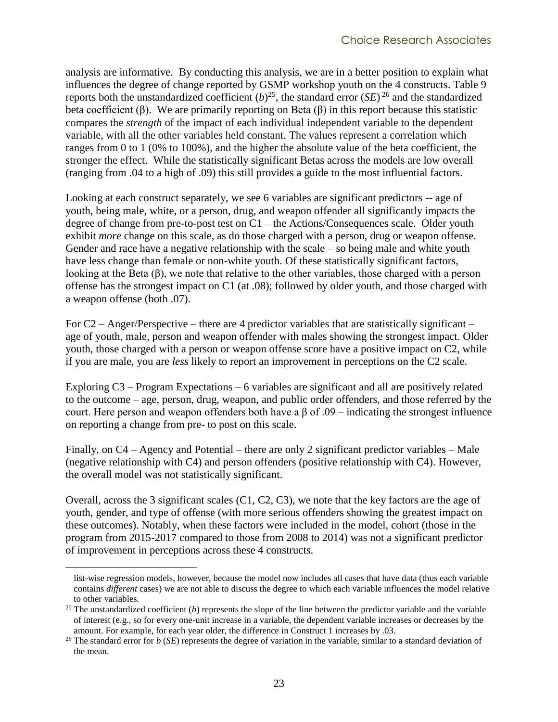analysis are informative. By conducting this analysis, we are in a better position to explain what influences the degree of change reported by GSMP workshop youth on the 4 constructs. [Table 9](#page-31-0) reports both the unstandardized coefficient  $(b)^{25}$ , the standard error  $(SE)^{26}$  and the standardized beta coefficient (β). We are primarily reporting on Beta (β) in this report because this statistic compares the *strength* of the impact of each individual independent variable to the dependent variable, with all the other variables held constant. The values represent a correlation which ranges from 0 to 1 (0% to 100%), and the higher the absolute value of the beta coefficient, the stronger the effect. While the statistically significant Betas across the models are low overall (ranging from .04 to a high of .09) this still provides a guide to the most influential factors.

Looking at each construct separately, we see 6 variables are significant predictors -- age of youth, being male, white, or a person, drug, and weapon offender all significantly impacts the degree of change from pre-to-post test on C1 – the Actions/Consequences scale. Older youth exhibit *more* change on this scale, as do those charged with a person, drug or weapon offense. Gender and race have a negative relationship with the scale – so being male and white youth have less change than female or non-white youth. Of these statistically significant factors, looking at the Beta (β), we note that relative to the other variables, those charged with a person offense has the strongest impact on C1 (at .08); followed by older youth, and those charged with a weapon offense (both .07).

For  $C2$  – Anger/Perspective – there are 4 predictor variables that are statistically significant – age of youth, male, person and weapon offender with males showing the strongest impact. Older youth, those charged with a person or weapon offense score have a positive impact on C2, while if you are male, you are *less* likely to report an improvement in perceptions on the C2 scale.

Exploring C3 – Program Expectations – 6 variables are significant and all are positively related to the outcome – age, person, drug, weapon, and public order offenders, and those referred by the court. Here person and weapon offenders both have a β of .09 – indicating the strongest influence on reporting a change from pre- to post on this scale.

Finally, on C4 – Agency and Potential – there are only 2 significant predictor variables – Male (negative relationship with C4) and person offenders (positive relationship with C4). However, the overall model was not statistically significant.

Overall, across the 3 significant scales (C1, C2, C3), we note that the key factors are the age of youth, gender, and type of offense (with more serious offenders showing the greatest impact on these outcomes). Notably, when these factors were included in the model, cohort (those in the program from 2015-2017 compared to those from 2008 to 2014) was not a significant predictor of improvement in perceptions across these 4 constructs.

 $\overline{a}$ 

list-wise regression models, however, because the model now includes all cases that have data (thus each variable contains *different* cases) we are not able to discuss the degree to which each variable influences the model relative to other variables.

 $25$  The unstandardized coefficient (*b*) represents the slope of the line between the predictor variable and the variable of interest (e.g., so for every one-unit increase in a variable, the dependent variable increases or decreases by the amount. For example, for each year older, the difference in Construct 1 increases by .03.

<sup>&</sup>lt;sup>26</sup> The standard error for *b* (*SE*) represents the degree of variation in the variable, similar to a standard deviation of the mean.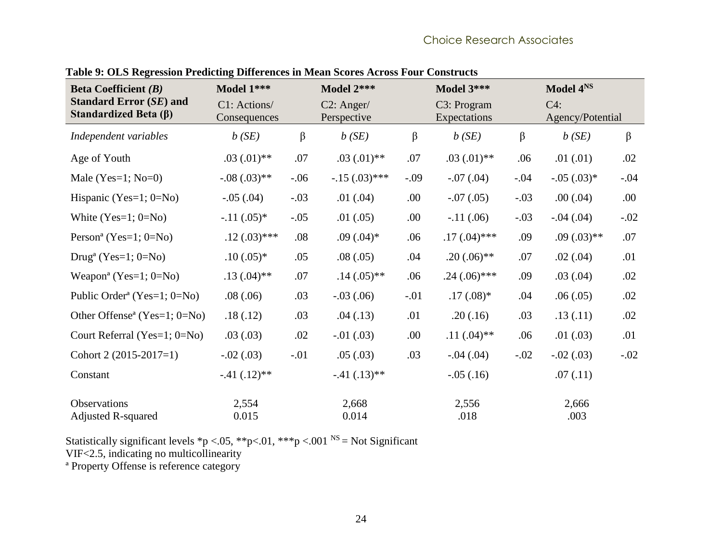<span id="page-31-0"></span>

| <b>Beta Coefficient</b> $(B)$                                 | Model 1***                   |         | Model 2***                   |         | Model 3***                  |         | Model 4NS                  |         |
|---------------------------------------------------------------|------------------------------|---------|------------------------------|---------|-----------------------------|---------|----------------------------|---------|
| <b>Standard Error (SE) and</b><br>Standardized Beta $(\beta)$ | C1: Actions/<br>Consequences |         | $C2$ : Anger/<br>Perspective |         | C3: Program<br>Expectations |         | $C4$ :<br>Agency/Potential |         |
| Independent variables                                         | b(SE)                        | $\beta$ | b(SE)                        | $\beta$ | b(SE)                       | $\beta$ | b(SE)                      | $\beta$ |
| Age of Youth                                                  | $.03(0.01)$ **               | .07     | $.03(0.01)$ **               | .07     | $.03(.01)**$                | .06     | .01(0.01)                  | .02     |
| Male (Yes=1; $No=0$ )                                         | $-.08(.03)**$                | $-.06$  | $-.15(.03)$ ***              | $-.09$  | $-.07(.04)$                 | $-.04$  | $-.05(.03)*$               | $-.04$  |
| Hispanic (Yes= $1; 0 = No$ )                                  | $-.05(.04)$                  | $-.03$  | .01(.04)                     | .00.    | $-.07(.05)$                 | $-.03$  | .00(.04)                   | .00.    |
| White $(Yes=1; 0=NO)$                                         | $-.11(.05)*$                 | $-.05$  | .01(.05)                     | .00.    | $-.11(.06)$                 | $-.03$  | $-.04(.04)$                | $-.02$  |
| Person <sup>a</sup> (Yes=1; $0=No$ )                          | $.12(.03)$ ***               | .08     | $.09(.04)*$                  | .06     | $.17(.04)$ ***              | .09     | $.09(.03)$ **              | .07     |
| Drug <sup>a</sup> (Yes=1; $0=No$ )                            | $.10(.05)*$                  | .05     | .08(.05)                     | .04     | $.20(.06)$ **               | .07     | .02(.04)                   | .01     |
| Weapon <sup>a</sup> (Yes=1; $0=No$ )                          | $.13(.04)$ **                | .07     | $.14(.05)$ **                | .06     | $.24(.06)$ ***              | .09     | .03(.04)                   | .02     |
| Public Order <sup>a</sup> (Yes=1; $0=No$ )                    | .08(.06)                     | .03     | $-.03(.06)$                  | $-.01$  | $.17(.08)$ *                | .04     | .06(.05)                   | .02     |
| Other Offense <sup>a</sup> (Yes=1; $0=No$ )                   | .18(.12)                     | .03     | .04(.13)                     | .01     | .20(.16)                    | .03     | .13(.11)                   | .02     |
| Court Referral (Yes=1; 0=No)                                  | .03(0.03)                    | .02     | $-.01(.03)$                  | .00.    | $.11(.04)$ **               | .06     | .01(.03)                   | .01     |
| Cohort 2 $(2015-2017=1)$                                      | $-.02(.03)$                  | $-.01$  | .05(.03)                     | .03     | $-.04(.04)$                 | $-.02$  | $-.02(.03)$                | $-.02$  |
| Constant                                                      | $-.41(.12)**$                |         | $-.41(.13)**$                |         | $-.05(.16)$                 |         | .07(0.11)                  |         |
| <b>Observations</b><br><b>Adjusted R-squared</b>              | 2,554<br>0.015               |         | 2,668<br>0.014               |         | 2,556<br>.018               |         | 2,666<br>.003              |         |

**Table 9: OLS Regression Predicting Differences in Mean Scores Across Four Constructs**

Statistically significant levels \*p <.05, \*\*p<.01, \*\*\*p <.001  $^{NS}$  = Not Significant VIF<2.5, indicating no multicollinearity

ª Property Offense is reference category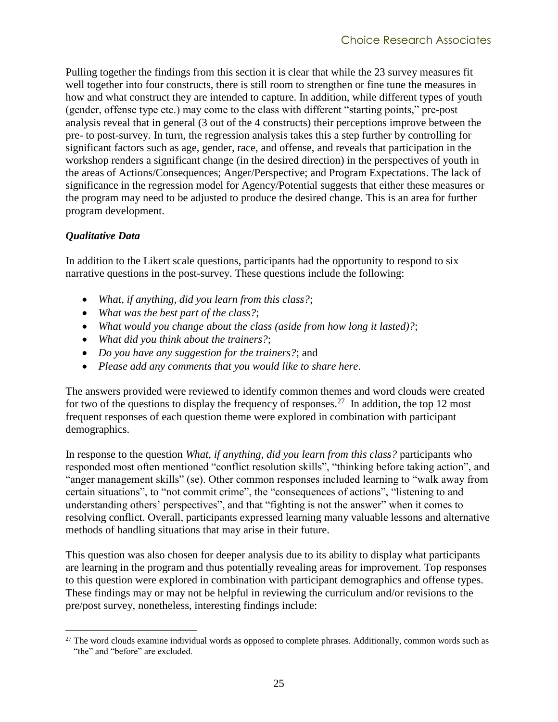Pulling together the findings from this section it is clear that while the 23 survey measures fit well together into four constructs, there is still room to strengthen or fine tune the measures in how and what construct they are intended to capture. In addition, while different types of youth (gender, offense type etc.) may come to the class with different "starting points," pre-post analysis reveal that in general (3 out of the 4 constructs) their perceptions improve between the pre- to post-survey. In turn, the regression analysis takes this a step further by controlling for significant factors such as age, gender, race, and offense, and reveals that participation in the workshop renders a significant change (in the desired direction) in the perspectives of youth in the areas of Actions/Consequences; Anger/Perspective; and Program Expectations. The lack of significance in the regression model for Agency/Potential suggests that either these measures or the program may need to be adjusted to produce the desired change. This is an area for further program development.

#### <span id="page-32-0"></span>*Qualitative Data*

 $\overline{a}$ 

In addition to the Likert scale questions, participants had the opportunity to respond to six narrative questions in the post-survey. These questions include the following:

- *What, if anything, did you learn from this class?*;
- *What was the best part of the class?*;
- *What would you change about the class (aside from how long it lasted)?*;
- *What did you think about the trainers?*;
- *Do you have any suggestion for the trainers?*; and
- *Please add any comments that you would like to share here*.

The answers provided were reviewed to identify common themes and word clouds were created for two of the questions to display the frequency of responses.<sup>27</sup> In addition, the top 12 most frequent responses of each question theme were explored in combination with participant demographics.

In response to the question *What, if anything, did you learn from this class?* participants who responded most often mentioned "conflict resolution skills", "thinking before taking action", and "anger management skills" (se). Other common responses included learning to "walk away from certain situations", to "not commit crime", the "consequences of actions", "listening to and understanding others' perspectives", and that "fighting is not the answer" when it comes to resolving conflict. Overall, participants expressed learning many valuable lessons and alternative methods of handling situations that may arise in their future.

This question was also chosen for deeper analysis due to its ability to display what participants are learning in the program and thus potentially revealing areas for improvement. Top responses to this question were explored in combination with participant demographics and offense types. These findings may or may not be helpful in reviewing the curriculum and/or revisions to the pre/post survey, nonetheless, interesting findings include:

 $^{27}$  The word clouds examine individual words as opposed to complete phrases. Additionally, common words such as "the" and "before" are excluded.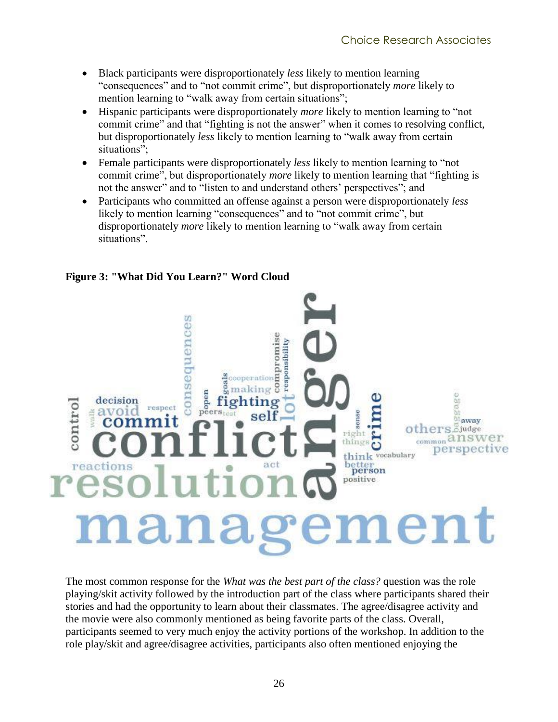- Black participants were disproportionately *less* likely to mention learning "consequences" and to "not commit crime", but disproportionately *more* likely to mention learning to "walk away from certain situations";
- Hispanic participants were disproportionately *more* likely to mention learning to "not commit crime" and that "fighting is not the answer" when it comes to resolving conflict, but disproportionately *less* likely to mention learning to "walk away from certain situations";
- Female participants were disproportionately *less* likely to mention learning to "not" commit crime", but disproportionately *more* likely to mention learning that "fighting is not the answer" and to "listen to and understand others' perspectives"; and
- Participants who committed an offense against a person were disproportionately *less* likely to mention learning "consequences" and to "not commit crime", but disproportionately *more* likely to mention learning to "walk away from certain situations".

<span id="page-33-0"></span>

**Figure 3: "What Did You Learn?" Word Cloud**

The most common response for the *What was the best part of the class?* question was the role playing/skit activity followed by the introduction part of the class where participants shared their stories and had the opportunity to learn about their classmates. The agree/disagree activity and the movie were also commonly mentioned as being favorite parts of the class. Overall, participants seemed to very much enjoy the activity portions of the workshop. In addition to the role play/skit and agree/disagree activities, participants also often mentioned enjoying the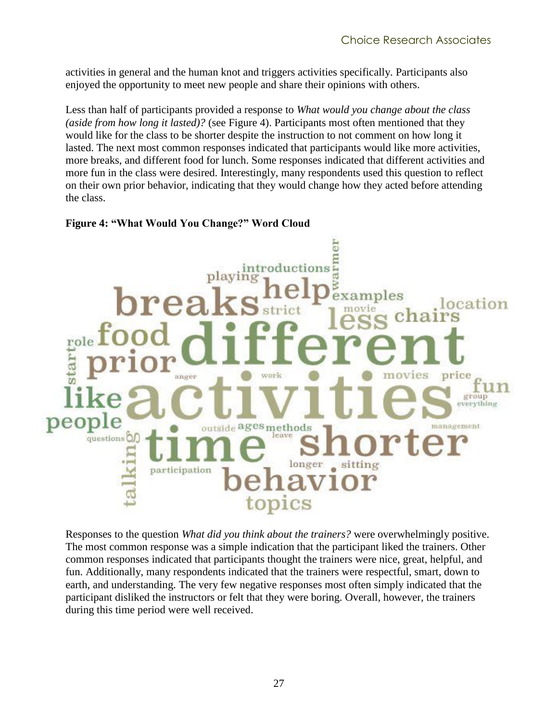activities in general and the human knot and triggers activities specifically. Participants also enjoyed the opportunity to meet new people and share their opinions with others.

Less than half of participants provided a response to *What would you change about the class (aside from how long it lasted)?* (see [Figure 4\)](#page-34-0). Participants most often mentioned that they would like for the class to be shorter despite the instruction to not comment on how long it lasted. The next most common responses indicated that participants would like more activities, more breaks, and different food for lunch. Some responses indicated that different activities and more fun in the class were desired. Interestingly, many respondents used this question to reflect on their own prior behavior, indicating that they would change how they acted before attending the class.

#### ā introductions playing exam ocation starts price work anger group everything e peop management outside ages methods leave questions<sup>Of</sup> sitting longer participation topics

#### <span id="page-34-0"></span>**Figure 4: "What Would You Change?" Word Cloud**

Responses to the question *What did you think about the trainers?* were overwhelmingly positive. The most common response was a simple indication that the participant liked the trainers. Other common responses indicated that participants thought the trainers were nice, great, helpful, and fun. Additionally, many respondents indicated that the trainers were respectful, smart, down to earth, and understanding. The very few negative responses most often simply indicated that the participant disliked the instructors or felt that they were boring. Overall, however, the trainers during this time period were well received.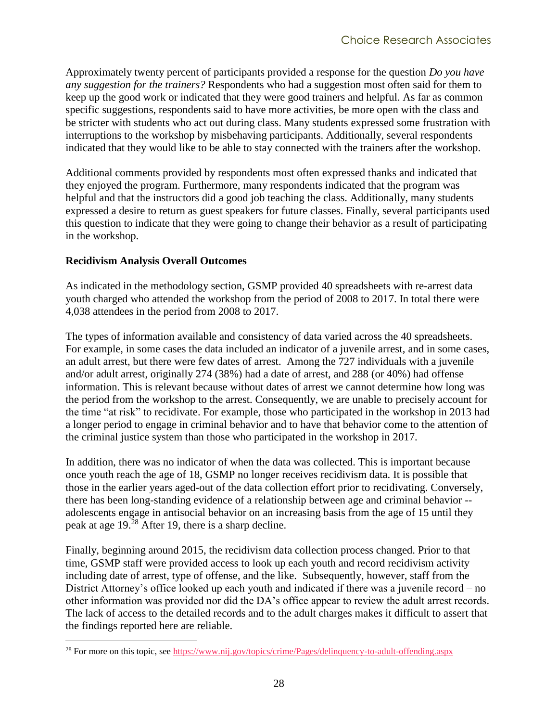Approximately twenty percent of participants provided a response for the question *Do you have any suggestion for the trainers?* Respondents who had a suggestion most often said for them to keep up the good work or indicated that they were good trainers and helpful. As far as common specific suggestions, respondents said to have more activities, be more open with the class and be stricter with students who act out during class. Many students expressed some frustration with interruptions to the workshop by misbehaving participants. Additionally, several respondents indicated that they would like to be able to stay connected with the trainers after the workshop.

Additional comments provided by respondents most often expressed thanks and indicated that they enjoyed the program. Furthermore, many respondents indicated that the program was helpful and that the instructors did a good job teaching the class. Additionally, many students expressed a desire to return as guest speakers for future classes. Finally, several participants used this question to indicate that they were going to change their behavior as a result of participating in the workshop.

#### <span id="page-35-0"></span>**Recidivism Analysis Overall Outcomes**

 $\overline{a}$ 

As indicated in the methodology section, GSMP provided 40 spreadsheets with re-arrest data youth charged who attended the workshop from the period of 2008 to 2017. In total there were 4,038 attendees in the period from 2008 to 2017.

The types of information available and consistency of data varied across the 40 spreadsheets. For example, in some cases the data included an indicator of a juvenile arrest, and in some cases, an adult arrest, but there were few dates of arrest. Among the 727 individuals with a juvenile and/or adult arrest, originally 274 (38%) had a date of arrest, and 288 (or 40%) had offense information. This is relevant because without dates of arrest we cannot determine how long was the period from the workshop to the arrest. Consequently, we are unable to precisely account for the time "at risk" to recidivate. For example, those who participated in the workshop in 2013 had a longer period to engage in criminal behavior and to have that behavior come to the attention of the criminal justice system than those who participated in the workshop in 2017.

In addition, there was no indicator of when the data was collected. This is important because once youth reach the age of 18, GSMP no longer receives recidivism data. It is possible that those in the earlier years aged-out of the data collection effort prior to recidivating. Conversely, there has been long-standing evidence of a relationship between age and criminal behavior - adolescents engage in antisocial behavior on an increasing basis from the age of 15 until they peak at age 19.<sup>28</sup> After 19, there is a sharp decline.

Finally, beginning around 2015, the recidivism data collection process changed. Prior to that time, GSMP staff were provided access to look up each youth and record recidivism activity including date of arrest, type of offense, and the like. Subsequently, however, staff from the District Attorney's office looked up each youth and indicated if there was a juvenile record – no other information was provided nor did the DA's office appear to review the adult arrest records. The lack of access to the detailed records and to the adult charges makes it difficult to assert that the findings reported here are reliable.

<sup>&</sup>lt;sup>28</sup> For more on this topic, see<https://www.nij.gov/topics/crime/Pages/delinquency-to-adult-offending.aspx>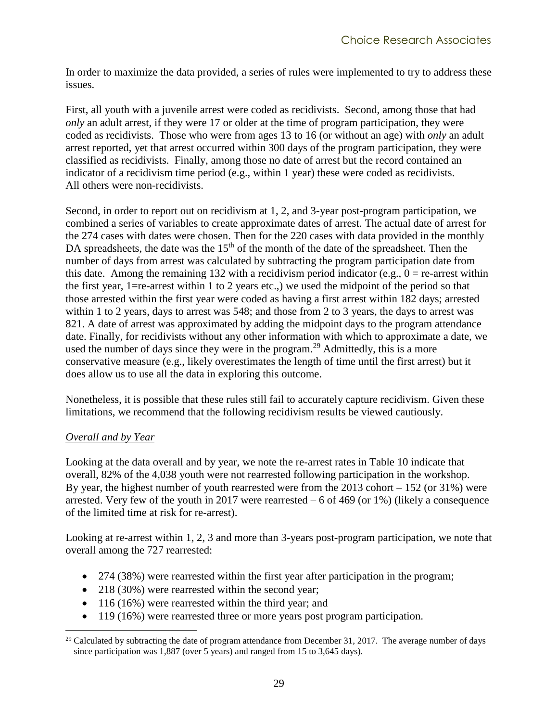In order to maximize the data provided, a series of rules were implemented to try to address these issues.

First, all youth with a juvenile arrest were coded as recidivists. Second, among those that had *only* an adult arrest, if they were 17 or older at the time of program participation, they were coded as recidivists. Those who were from ages 13 to 16 (or without an age) with *only* an adult arrest reported, yet that arrest occurred within 300 days of the program participation, they were classified as recidivists. Finally, among those no date of arrest but the record contained an indicator of a recidivism time period (e.g., within 1 year) these were coded as recidivists. All others were non-recidivists.

Second, in order to report out on recidivism at 1, 2, and 3-year post-program participation, we combined a series of variables to create approximate dates of arrest. The actual date of arrest for the 274 cases with dates were chosen. Then for the 220 cases with data provided in the monthly DA spreadsheets, the date was the 15<sup>th</sup> of the month of the date of the spreadsheet. Then the number of days from arrest was calculated by subtracting the program participation date from this date. Among the remaining 132 with a recidivism period indicator (e.g.,  $0 =$  re-arrest within the first year, 1=re-arrest within 1 to 2 years etc.,) we used the midpoint of the period so that those arrested within the first year were coded as having a first arrest within 182 days; arrested within 1 to 2 years, days to arrest was 548; and those from 2 to 3 years, the days to arrest was 821. A date of arrest was approximated by adding the midpoint days to the program attendance date. Finally, for recidivists without any other information with which to approximate a date, we used the number of days since they were in the program.<sup>29</sup> Admittedly, this is a more conservative measure (e.g., likely overestimates the length of time until the first arrest) but it does allow us to use all the data in exploring this outcome.

Nonetheless, it is possible that these rules still fail to accurately capture recidivism. Given these limitations, we recommend that the following recidivism results be viewed cautiously.

#### <span id="page-36-0"></span>*Overall and by Year*

Looking at the data overall and by year, we note the re-arrest rates in [Table 10](#page-38-0) indicate that overall, 82% of the 4,038 youth were not rearrested following participation in the workshop. By year, the highest number of youth rearrested were from the  $2013$  cohort  $-152$  (or  $31\%$ ) were arrested. Very few of the youth in 2017 were rearrested – 6 of 469 (or 1%) (likely a consequence of the limited time at risk for re-arrest).

Looking at re-arrest within 1, 2, 3 and more than 3-years post-program participation, we note that overall among the 727 rearrested:

- 274 (38%) were rearrested within the first year after participation in the program;
- 218 (30%) were rearrested within the second year;
- 116 (16%) were rearrested within the third year; and
- 119 (16%) were rearrested three or more years post program participation.

 $\overline{a}$ <sup>29</sup> Calculated by subtracting the date of program attendance from December 31, 2017. The average number of days since participation was 1,887 (over 5 years) and ranged from 15 to 3,645 days).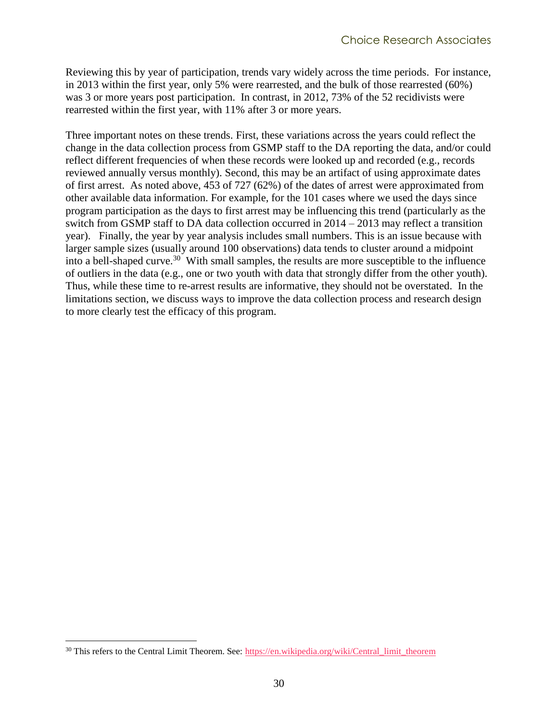Reviewing this by year of participation, trends vary widely across the time periods. For instance, in 2013 within the first year, only 5% were rearrested, and the bulk of those rearrested (60%) was 3 or more years post participation. In contrast, in 2012, 73% of the 52 recidivists were rearrested within the first year, with 11% after 3 or more years.

Three important notes on these trends. First, these variations across the years could reflect the change in the data collection process from GSMP staff to the DA reporting the data, and/or could reflect different frequencies of when these records were looked up and recorded (e.g., records reviewed annually versus monthly). Second, this may be an artifact of using approximate dates of first arrest. As noted above, 453 of 727 (62%) of the dates of arrest were approximated from other available data information. For example, for the 101 cases where we used the days since program participation as the days to first arrest may be influencing this trend (particularly as the switch from GSMP staff to DA data collection occurred in 2014 – 2013 may reflect a transition year). Finally, the year by year analysis includes small numbers. This is an issue because with larger sample sizes (usually around 100 observations) data tends to cluster around a midpoint into a bell-shaped curve.<sup>30</sup> With small samples, the results are more susceptible to the influence of outliers in the data (e.g., one or two youth with data that strongly differ from the other youth). Thus, while these time to re-arrest results are informative, they should not be overstated. In the limitations section, we discuss ways to improve the data collection process and research design to more clearly test the efficacy of this program.

 $\overline{a}$ 

<sup>&</sup>lt;sup>30</sup> This refers to the Central Limit Theorem. See: https://en.wikipedia.org/wiki/Central\_limit\_theorem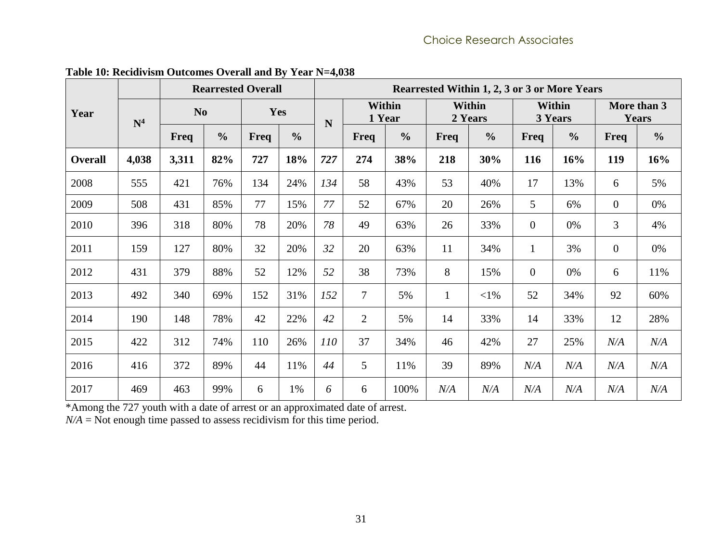<span id="page-38-0"></span>

| <b>Rearrested Overall</b> |                |                |               |      |               | Rearrested Within 1, 2, 3 or 3 or More Years |                         |               |                          |               |                          |               |                             |               |
|---------------------------|----------------|----------------|---------------|------|---------------|----------------------------------------------|-------------------------|---------------|--------------------------|---------------|--------------------------|---------------|-----------------------------|---------------|
| Year                      | $\mathbf{N}^4$ | N <sub>o</sub> |               | Yes  |               | N                                            | <b>Within</b><br>1 Year |               | <b>Within</b><br>2 Years |               | <b>Within</b><br>3 Years |               | More than 3<br><b>Years</b> |               |
|                           |                | Freq           | $\frac{0}{0}$ | Freq | $\frac{0}{0}$ |                                              | Freq                    | $\frac{0}{0}$ | Freq                     | $\frac{0}{0}$ | Freq                     | $\frac{0}{0}$ | <b>Freq</b>                 | $\frac{0}{0}$ |
| <b>Overall</b>            | 4,038          | 3,311          | 82%           | 727  | 18%           | 727                                          | 274                     | 38%           | 218                      | 30%           | 116                      | 16%           | 119                         | 16%           |
| 2008                      | 555            | 421            | 76%           | 134  | 24%           | 134                                          | 58                      | 43%           | 53                       | 40%           | 17                       | 13%           | 6                           | 5%            |
| 2009                      | 508            | 431            | 85%           | 77   | 15%           | 77                                           | 52                      | 67%           | 20                       | 26%           | 5                        | 6%            | $\overline{0}$              | 0%            |
| 2010                      | 396            | 318            | 80%           | 78   | 20%           | 78                                           | 49                      | 63%           | 26                       | 33%           | $\mathbf{0}$             | 0%            | 3                           | 4%            |
| 2011                      | 159            | 127            | 80%           | 32   | 20%           | 32                                           | 20                      | 63%           | 11                       | 34%           | 1                        | 3%            | $\theta$                    | 0%            |
| 2012                      | 431            | 379            | 88%           | 52   | 12%           | 52                                           | 38                      | 73%           | 8                        | 15%           | $\mathbf{0}$             | $0\%$         | 6                           | 11%           |
| 2013                      | 492            | 340            | 69%           | 152  | 31%           | 152                                          | $\tau$                  | 5%            | $\mathbf{1}$             | $<$ 1%        | 52                       | 34%           | 92                          | 60%           |
| 2014                      | 190            | 148            | 78%           | 42   | 22%           | 42                                           | $\overline{2}$          | 5%            | 14                       | 33%           | 14                       | 33%           | 12                          | 28%           |
| 2015                      | 422            | 312            | 74%           | 110  | 26%           | 110                                          | 37                      | 34%           | 46                       | 42%           | 27                       | 25%           | N/A                         | N/A           |
| 2016                      | 416            | 372            | 89%           | 44   | 11%           | 44                                           | 5                       | 11%           | 39                       | 89%           | N/A                      | N/A           | N/A                         | N/A           |
| 2017                      | 469            | 463            | 99%           | 6    | 1%            | 6                                            | 6                       | 100%          | N/A                      | N/A           | N/A                      | N/A           | N/A                         | N/A           |

**Table 10: Recidivism Outcomes Overall and By Year N=4,038**

\*Among the 727 youth with a date of arrest or an approximated date of arrest.

 $N/A$  = Not enough time passed to assess recidivism for this time period.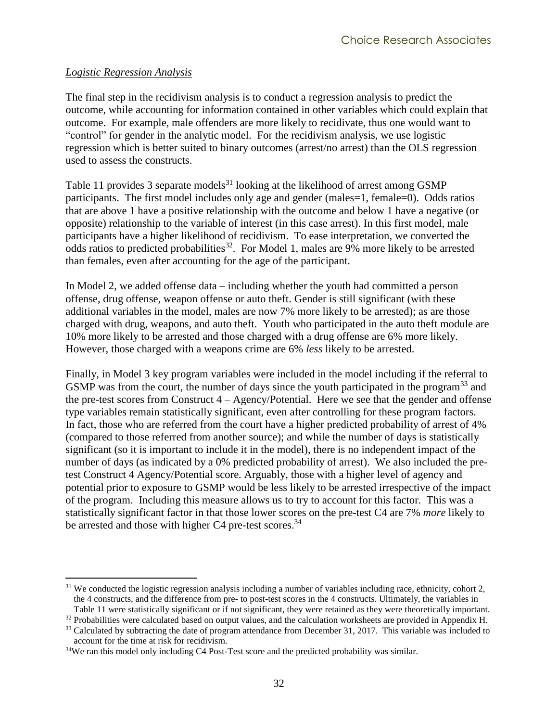#### <span id="page-39-0"></span>*Logistic Regression Analysis*

 $\overline{a}$ 

The final step in the recidivism analysis is to conduct a regression analysis to predict the outcome, while accounting for information contained in other variables which could explain that outcome. For example, male offenders are more likely to recidivate, thus one would want to "control" for gender in the analytic model. For the recidivism analysis, we use logistic regression which is better suited to binary outcomes (arrest/no arrest) than the OLS regression used to assess the constructs.

[Table 11](#page-40-0) provides 3 separate models $31$  looking at the likelihood of arrest among GSMP participants. The first model includes only age and gender (males=1, female=0). Odds ratios that are above 1 have a positive relationship with the outcome and below 1 have a negative (or opposite) relationship to the variable of interest (in this case arrest). In this first model, male participants have a higher likelihood of recidivism. To ease interpretation, we converted the odds ratios to predicted probabilities<sup>32</sup>. For Model 1, males are 9% more likely to be arrested than females, even after accounting for the age of the participant.

In Model 2, we added offense data – including whether the youth had committed a person offense, drug offense, weapon offense or auto theft. Gender is still significant (with these additional variables in the model, males are now 7% more likely to be arrested); as are those charged with drug, weapons, and auto theft. Youth who participated in the auto theft module are 10% more likely to be arrested and those charged with a drug offense are 6% more likely. However, those charged with a weapons crime are 6% *less* likely to be arrested.

Finally, in Model 3 key program variables were included in the model including if the referral to GSMP was from the court, the number of days since the youth participated in the program<sup>33</sup> and the pre-test scores from Construct 4 – Agency/Potential. Here we see that the gender and offense type variables remain statistically significant, even after controlling for these program factors. In fact, those who are referred from the court have a higher predicted probability of arrest of 4% (compared to those referred from another source); and while the number of days is statistically significant (so it is important to include it in the model), there is no independent impact of the number of days (as indicated by a 0% predicted probability of arrest). We also included the pretest Construct 4 Agency/Potential score. Arguably, those with a higher level of agency and potential prior to exposure to GSMP would be less likely to be arrested irrespective of the impact of the program. Including this measure allows us to try to account for this factor. This was a statistically significant factor in that those lower scores on the pre-test C4 are 7% *more* likely to be arrested and those with higher C4 pre-test scores.<sup>34</sup>

 $31$  We conducted the logistic regression analysis including a number of variables including race, ethnicity, cohort 2, the 4 constructs, and the difference from pre- to post-test scores in the 4 constructs. Ultimately, the variables in [Table 11](#page-40-0) were statistically significant or if not significant, they were retained as they were theoretically important.

 $32$  Probabilities were calculated based on output values, and the calculation worksheets are provided in Appendix H.

<sup>&</sup>lt;sup>33</sup> Calculated by subtracting the date of program attendance from December 31, 2017. This variable was included to account for the time at risk for recidivism.

<sup>&</sup>lt;sup>34</sup>We ran this model only including C4 Post-Test score and the predicted probability was similar.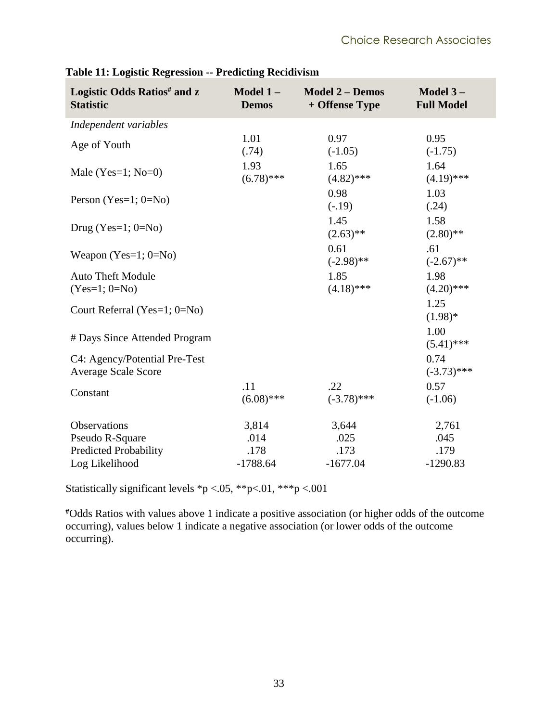| Logistic Odds Ratios <sup>#</sup> and z<br><b>Statistic</b> | Model $1-$<br><b>Demos</b> | <b>Model 2 - Demos</b><br>+ Offense Type | Model $3-$<br><b>Full Model</b> |
|-------------------------------------------------------------|----------------------------|------------------------------------------|---------------------------------|
| Independent variables                                       |                            |                                          |                                 |
| Age of Youth                                                | 1.01<br>(.74)              | 0.97<br>$(-1.05)$                        | 0.95<br>$(-1.75)$               |
| Male (Yes=1; $No=0$ )                                       | 1.93<br>$(6.78)$ ***       | 1.65<br>$(4.82)$ ***                     | 1.64<br>$(4.19)$ ***            |
| Person (Yes=1; $0=No$ )                                     |                            | 0.98<br>$(-.19)$                         | 1.03<br>(.24)                   |
| Drug (Yes= $1; 0=N_0$ )                                     |                            | 1.45<br>$(2.63)$ **                      | 1.58<br>$(2.80)$ **             |
| Weapon $(Yes=1; 0=No)$                                      |                            | 0.61<br>$(-2.98)$ **                     | .61<br>$(-2.67)$ **             |
| <b>Auto Theft Module</b><br>$(Yes=1; 0=No)$                 |                            | 1.85<br>$(4.18)$ ***                     | 1.98<br>$(4.20)$ ***            |
| Court Referral (Yes=1; 0=No)                                |                            |                                          | 1.25<br>$(1.98)*$               |
| # Days Since Attended Program                               |                            |                                          | 1.00<br>$(5.41)$ ***            |
| C4: Agency/Potential Pre-Test<br><b>Average Scale Score</b> |                            |                                          | 0.74<br>$(-3.73)$ ***           |
| Constant                                                    | .11<br>$(6.08)$ ***        | .22<br>$(-3.78)$ ***                     | 0.57<br>$(-1.06)$               |
| Observations                                                | 3,814                      | 3,644                                    | 2,761                           |
| Pseudo R-Square                                             | .014                       | .025                                     | .045                            |
| Predicted Probability                                       | .178                       | .173                                     | .179                            |
| Log Likelihood                                              | $-1788.64$                 | $-1677.04$                               | $-1290.83$                      |

<span id="page-40-0"></span>**Table 11: Logistic Regression -- Predicting Recidivism**

Statistically significant levels  $\frac{*p}{<}$  0.05,  $\frac{*p}{<}$  0.01,  $\frac{*kp}{<}$  0.001

**#**Odds Ratios with values above 1 indicate a positive association (or higher odds of the outcome occurring), values below 1 indicate a negative association (or lower odds of the outcome occurring).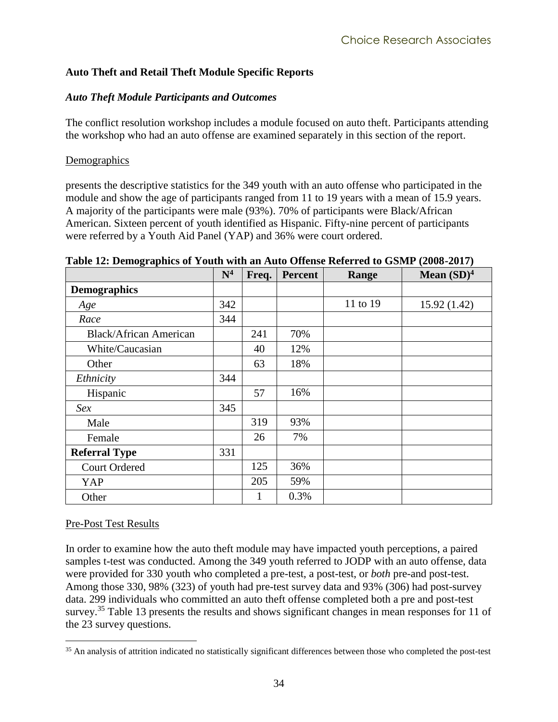#### <span id="page-41-0"></span>**Auto Theft and Retail Theft Module Specific Reports**

#### <span id="page-41-1"></span>*Auto Theft Module Participants and Outcomes*

The conflict resolution workshop includes a module focused on auto theft. Participants attending the workshop who had an auto offense are examined separately in this section of the report.

#### <span id="page-41-2"></span>**Demographics**

presents the descriptive statistics for the 349 youth with an auto offense who participated in the module and show the age of participants ranged from 11 to 19 years with a mean of 15.9 years. A majority of the participants were male (93%). 70% of participants were Black/African American. Sixteen percent of youth identified as Hispanic. Fifty-nine percent of participants were referred by a Youth Aid Panel (YAP) and 36% were court ordered.

|                               | $\mathbf{N}^4$ | Freq. | Percent | Range    | Mean $(SD)^4$ |
|-------------------------------|----------------|-------|---------|----------|---------------|
| <b>Demographics</b>           |                |       |         |          |               |
| Age                           | 342            |       |         | 11 to 19 | 15.92(1.42)   |
| Race                          | 344            |       |         |          |               |
| <b>Black/African American</b> |                | 241   | 70%     |          |               |
| White/Caucasian               |                | 40    | 12%     |          |               |
| Other                         |                | 63    | 18%     |          |               |
| Ethnicity                     | 344            |       |         |          |               |
| Hispanic                      |                | 57    | 16%     |          |               |
| Sex                           | 345            |       |         |          |               |
| Male                          |                | 319   | 93%     |          |               |
| Female                        |                | 26    | 7%      |          |               |
| <b>Referral Type</b>          | 331            |       |         |          |               |
| <b>Court Ordered</b>          |                | 125   | 36%     |          |               |
| YAP                           |                | 205   | 59%     |          |               |
| Other                         |                | 1     | 0.3%    |          |               |

<span id="page-41-4"></span>**Table 12: Demographics of Youth with an Auto Offense Referred to GSMP (2008-2017)**

#### <span id="page-41-3"></span>Pre-Post Test Results

 $\overline{a}$ 

In order to examine how the auto theft module may have impacted youth perceptions, a paired samples t-test was conducted. Among the 349 youth referred to JODP with an auto offense, data were provided for 330 youth who completed a pre-test, a post-test, or *both* pre-and post-test. Among those 330, 98% (323) of youth had pre-test survey data and 93% (306) had post-survey data. 299 individuals who committed an auto theft offense completed both a pre and post-test survey.<sup>35</sup> [Table 13](#page-43-0) presents the results and shows significant changes in mean responses for 11 of the 23 survey questions.

<sup>&</sup>lt;sup>35</sup> An analysis of attrition indicated no statistically significant differences between those who completed the post-test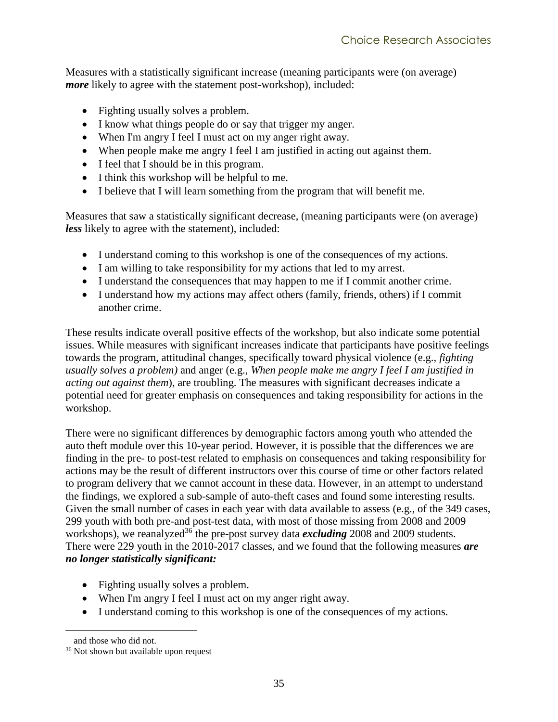Measures with a statistically significant increase (meaning participants were (on average) *more* likely to agree with the statement post-workshop), included:

- Fighting usually solves a problem.
- I know what things people do or say that trigger my anger.
- When I'm angry I feel I must act on my anger right away.
- When people make me angry I feel I am justified in acting out against them.
- I feel that I should be in this program.
- I think this workshop will be helpful to me.
- I believe that I will learn something from the program that will benefit me.

Measures that saw a statistically significant decrease, (meaning participants were (on average) *less* likely to agree with the statement), included:

- I understand coming to this workshop is one of the consequences of my actions.
- I am willing to take responsibility for my actions that led to my arrest.
- I understand the consequences that may happen to me if I commit another crime.
- I understand how my actions may affect others (family, friends, others) if I commit another crime.

These results indicate overall positive effects of the workshop, but also indicate some potential issues. While measures with significant increases indicate that participants have positive feelings towards the program, attitudinal changes, specifically toward physical violence (e.g., *fighting usually solves a problem)* and anger (e.g., *When people make me angry I feel I am justified in acting out against them*), are troubling. The measures with significant decreases indicate a potential need for greater emphasis on consequences and taking responsibility for actions in the workshop.

There were no significant differences by demographic factors among youth who attended the auto theft module over this 10-year period. However, it is possible that the differences we are finding in the pre- to post-test related to emphasis on consequences and taking responsibility for actions may be the result of different instructors over this course of time or other factors related to program delivery that we cannot account in these data. However, in an attempt to understand the findings, we explored a sub-sample of auto-theft cases and found some interesting results. Given the small number of cases in each year with data available to assess (e.g., of the 349 cases, 299 youth with both pre-and post-test data, with most of those missing from 2008 and 2009 workshops), we reanalyzed<sup>36</sup> the pre-post survey data *excluding* 2008 and 2009 students. There were 229 youth in the 2010-2017 classes, and we found that the following measures *are no longer statistically significant:*

- Fighting usually solves a problem.
- When I'm angry I feel I must act on my anger right away.
- I understand coming to this workshop is one of the consequences of my actions.

 $\overline{a}$ 

and those who did not.

<sup>36</sup> Not shown but available upon request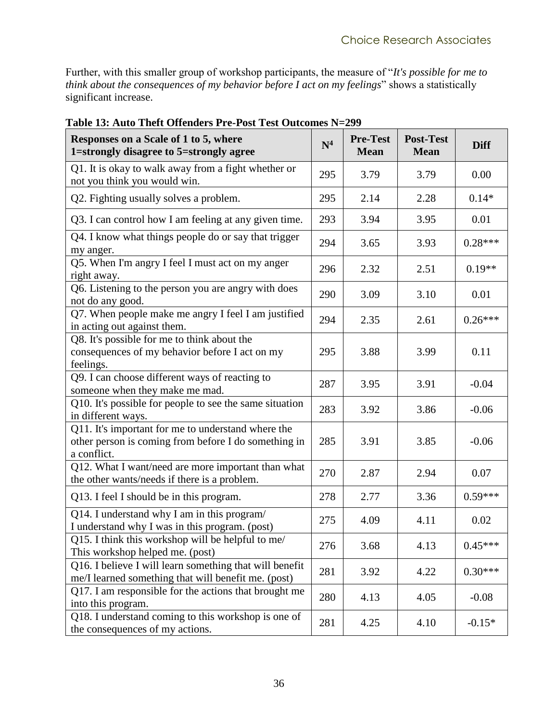Further, with this smaller group of workshop participants, the measure of "*It's possible for me to think about the consequences of my behavior before I act on my feelings*" shows a statistically significant increase.

| Responses on a Scale of 1 to 5, where<br>1=strongly disagree to 5=strongly agree                                          | $\mathbf{N}^4$ | <b>Pre-Test</b><br><b>Mean</b> | <b>Post-Test</b><br><b>Mean</b> | <b>Diff</b> |
|---------------------------------------------------------------------------------------------------------------------------|----------------|--------------------------------|---------------------------------|-------------|
| Q1. It is okay to walk away from a fight whether or<br>not you think you would win.                                       | 295            | 3.79                           | 3.79                            | 0.00        |
| Q2. Fighting usually solves a problem.                                                                                    | 295            | 2.14                           | 2.28                            | $0.14*$     |
| Q3. I can control how I am feeling at any given time.                                                                     | 293            | 3.94                           | 3.95                            | 0.01        |
| Q4. I know what things people do or say that trigger<br>my anger.                                                         | 294            | 3.65                           | 3.93                            | $0.28***$   |
| Q5. When I'm angry I feel I must act on my anger<br>right away.                                                           | 296            | 2.32                           | 2.51                            | $0.19**$    |
| Q6. Listening to the person you are angry with does<br>not do any good.                                                   | 290            | 3.09                           | 3.10                            | 0.01        |
| Q7. When people make me angry I feel I am justified<br>in acting out against them.                                        | 294            | 2.35                           | 2.61                            | $0.26***$   |
| Q8. It's possible for me to think about the<br>consequences of my behavior before I act on my<br>feelings.                | 295            | 3.88                           | 3.99                            | 0.11        |
| Q9. I can choose different ways of reacting to<br>someone when they make me mad.                                          | 287            | 3.95                           | 3.91                            | $-0.04$     |
| Q10. It's possible for people to see the same situation<br>in different ways.                                             | 283            | 3.92                           | 3.86                            | $-0.06$     |
| Q11. It's important for me to understand where the<br>other person is coming from before I do something in<br>a conflict. | 285            | 3.91                           | 3.85                            | $-0.06$     |
| Q12. What I want/need are more important than what<br>the other wants/needs if there is a problem.                        | 270            | 2.87                           | 2.94                            | 0.07        |
| Q13. I feel I should be in this program.                                                                                  | 278            | 2.77                           | 3.36                            | $0.59***$   |
| Q14. I understand why I am in this program/<br>I understand why I was in this program. (post)                             | 275            | 4.09                           | 4.11                            | 0.02        |
| Q15. I think this workshop will be helpful to me/<br>This workshop helped me. (post)                                      | 276            | 3.68                           | 4.13                            | $0.45***$   |
| Q16. I believe I will learn something that will benefit<br>me/I learned something that will benefit me. (post)            | 281            | 3.92                           | 4.22                            | $0.30***$   |
| Q17. I am responsible for the actions that brought me<br>into this program.                                               | 280            | 4.13                           | 4.05                            | $-0.08$     |
| Q18. I understand coming to this workshop is one of<br>the consequences of my actions.                                    | 281            | 4.25                           | 4.10                            | $-0.15*$    |

<span id="page-43-0"></span>**Table 13: Auto Theft Offenders Pre-Post Test Outcomes N=299**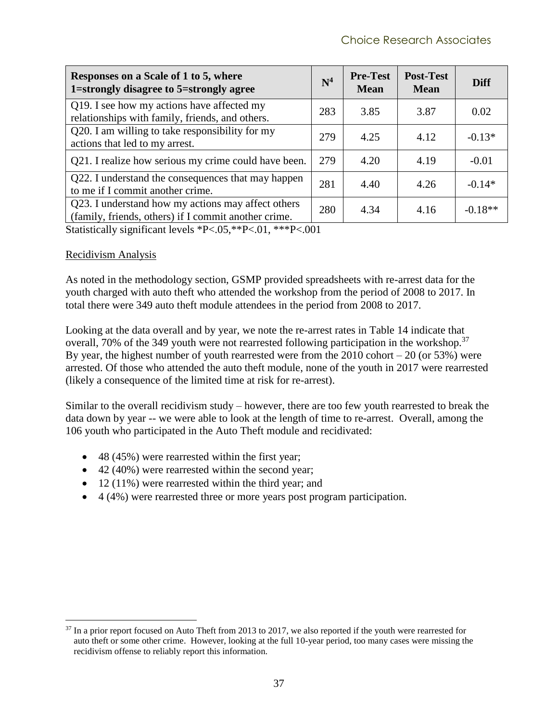| Responses on a Scale of 1 to 5, where<br>1=strongly disagree to 5=strongly agree                           | $\mathbf{N}^4$ | <b>Pre-Test</b><br><b>Mean</b> | <b>Post-Test</b><br><b>Mean</b> | Diff      |
|------------------------------------------------------------------------------------------------------------|----------------|--------------------------------|---------------------------------|-----------|
| Q19. I see how my actions have affected my<br>relationships with family, friends, and others.              | 283            | 3.85                           | 3.87                            | 0.02      |
| Q20. I am willing to take responsibility for my<br>actions that led to my arrest.                          | 279            | 4.25                           | 4.12                            | $-0.13*$  |
| Q21. I realize how serious my crime could have been.                                                       | 279            | 4.20                           | 4.19                            | $-0.01$   |
| Q22. I understand the consequences that may happen<br>to me if I commit another crime.                     | 281            | 4.40                           | 4.26                            | $-0.14*$  |
| Q23. I understand how my actions may affect others<br>(family, friends, others) if I commit another crime. | 280            | 4.34                           | 4.16                            | $-0.18**$ |

Statistically significant levels \*P<.05,\*\*P<.01, \*\*\*P<.001

#### <span id="page-44-0"></span>Recidivism Analysis

 $\overline{a}$ 

As noted in the methodology section, GSMP provided spreadsheets with re-arrest data for the youth charged with auto theft who attended the workshop from the period of 2008 to 2017. In total there were 349 auto theft module attendees in the period from 2008 to 2017.

Looking at the data overall and by year, we note the re-arrest rates in [Table 14](#page-45-0) indicate that overall, 70% of the 349 youth were not rearrested following participation in the workshop.<sup>37</sup> By year, the highest number of youth rearrested were from the  $2010$  cohort  $-20$  (or 53%) were arrested. Of those who attended the auto theft module, none of the youth in 2017 were rearrested (likely a consequence of the limited time at risk for re-arrest).

Similar to the overall recidivism study – however, there are too few youth rearrested to break the data down by year -- we were able to look at the length of time to re-arrest. Overall, among the 106 youth who participated in the Auto Theft module and recidivated:

- 48 (45%) were rearrested within the first year;
- 42 (40%) were rearrested within the second year;
- 12 (11%) were rearrested within the third year; and
- 4 (4%) were rearrested three or more years post program participation.

<sup>&</sup>lt;sup>37</sup> In a prior report focused on Auto Theft from 2013 to 2017, we also reported if the youth were rearrested for auto theft or some other crime. However, looking at the full 10-year period, too many cases were missing the recidivism offense to reliably report this information.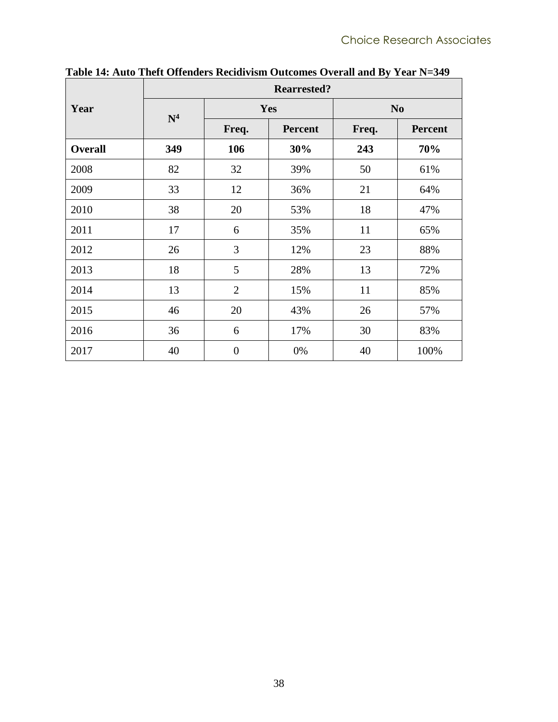|                | <b>Rearrested?</b> |                  |                |                |                |  |  |  |  |  |  |
|----------------|--------------------|------------------|----------------|----------------|----------------|--|--|--|--|--|--|
| Year           | $\mathbf{N}^4$     |                  | Yes            | N <sub>0</sub> |                |  |  |  |  |  |  |
|                |                    | Freq.            | <b>Percent</b> | Freq.          | <b>Percent</b> |  |  |  |  |  |  |
| <b>Overall</b> | 349                | 106              | 30%            | 243            | 70%            |  |  |  |  |  |  |
| 2008           | 82                 | 32               | 39%            | 50             | 61%            |  |  |  |  |  |  |
| 2009           | 33                 | 12               | 36%            | 21             | 64%            |  |  |  |  |  |  |
| 2010           | 38                 | 20               | 53%            | 18             | 47%            |  |  |  |  |  |  |
| 2011           | 17                 | 6                | 35%            | 11             | 65%            |  |  |  |  |  |  |
| 2012           | 26                 | 3                | 12%            | 23             | 88%            |  |  |  |  |  |  |
| 2013           | 18                 | 5                | 28%            | 13             | 72%            |  |  |  |  |  |  |
| 2014           | 13                 | $\overline{2}$   | 15%            | 11             | 85%            |  |  |  |  |  |  |
| 2015           | 46                 | 20               | 43%            | 26             | 57%            |  |  |  |  |  |  |
| 2016           | 36                 | 6                | 17%            | 30             | 83%            |  |  |  |  |  |  |
| 2017           | 40                 | $\boldsymbol{0}$ | 0%             | 40             | 100%           |  |  |  |  |  |  |

<span id="page-45-0"></span>**Table 14: Auto Theft Offenders Recidivism Outcomes Overall and By Year N=349**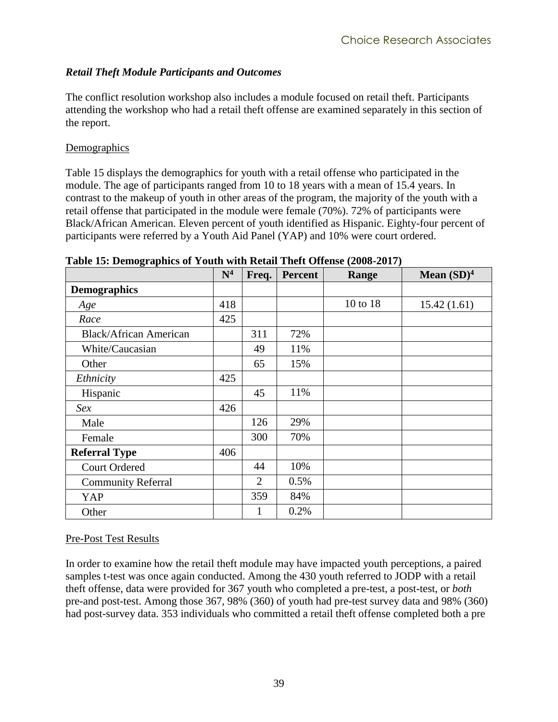#### <span id="page-46-0"></span>*Retail Theft Module Participants and Outcomes*

The conflict resolution workshop also includes a module focused on retail theft. Participants attending the workshop who had a retail theft offense are examined separately in this section of the report.

#### <span id="page-46-1"></span>**Demographics**

[Table 15](#page-46-3) displays the demographics for youth with a retail offense who participated in the module. The age of participants ranged from 10 to 18 years with a mean of 15.4 years. In contrast to the makeup of youth in other areas of the program, the majority of the youth with a retail offense that participated in the module were female (70%). 72% of participants were Black/African American. Eleven percent of youth identified as Hispanic. Eighty-four percent of participants were referred by a Youth Aid Panel (YAP) and 10% were court ordered.

|                               | N <sup>4</sup> | Freq.          | <b>Percent</b> | Range    | Mean $(SD)^4$ |
|-------------------------------|----------------|----------------|----------------|----------|---------------|
| <b>Demographics</b>           |                |                |                |          |               |
| Age                           | 418            |                |                | 10 to 18 | 15.42(1.61)   |
| Race                          | 425            |                |                |          |               |
| <b>Black/African American</b> |                | 311            | 72%            |          |               |
| White/Caucasian               |                | 49             | 11%            |          |               |
| Other                         |                | 65             | 15%            |          |               |
| Ethnicity                     | 425            |                |                |          |               |
| Hispanic                      |                | 45             | 11%            |          |               |
| Sex                           | 426            |                |                |          |               |
| Male                          |                | 126            | 29%            |          |               |
| Female                        |                | 300            | 70%            |          |               |
| <b>Referral Type</b>          | 406            |                |                |          |               |
| <b>Court Ordered</b>          |                | 44             | 10%            |          |               |
| <b>Community Referral</b>     |                | $\overline{2}$ | 0.5%           |          |               |
| YAP                           |                | 359            | 84%            |          |               |
| Other                         |                | 1              | 0.2%           |          |               |

<span id="page-46-3"></span>**Table 15: Demographics of Youth with Retail Theft Offense (2008-2017)**

#### <span id="page-46-2"></span>Pre-Post Test Results

In order to examine how the retail theft module may have impacted youth perceptions, a paired samples t-test was once again conducted. Among the 430 youth referred to JODP with a retail theft offense, data were provided for 367 youth who completed a pre-test, a post-test, or *both* pre-and post-test. Among those 367, 98% (360) of youth had pre-test survey data and 98% (360) had post-survey data. 353 individuals who committed a retail theft offense completed both a pre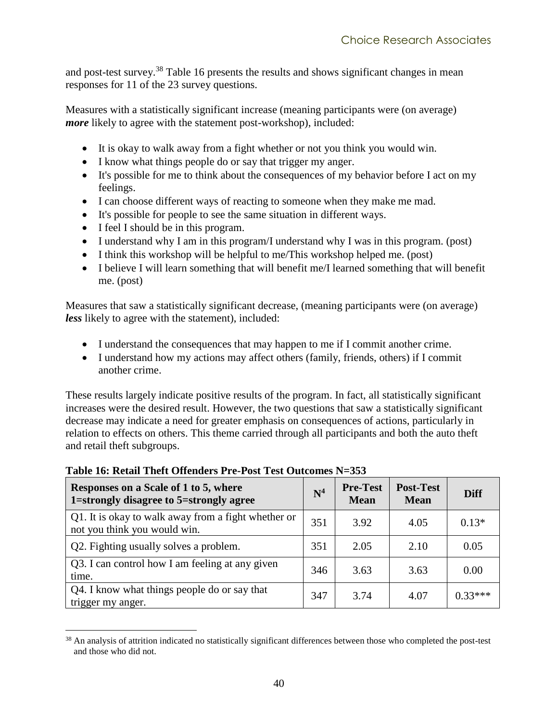and post-test survey.<sup>38</sup> [Table](#page-47-0) 16 presents the results and shows significant changes in mean responses for 11 of the 23 survey questions.

Measures with a statistically significant increase (meaning participants were (on average) *more* likely to agree with the statement post-workshop), included:

- It is okay to walk away from a fight whether or not you think you would win.
- I know what things people do or say that trigger my anger.
- It's possible for me to think about the consequences of my behavior before I act on my feelings.
- I can choose different ways of reacting to someone when they make me mad.
- It's possible for people to see the same situation in different ways.
- I feel I should be in this program.

 $\overline{a}$ 

- I understand why I am in this program/I understand why I was in this program. (post)
- I think this workshop will be helpful to me/This workshop helped me. (post)
- I believe I will learn something that will benefit me/I learned something that will benefit me. (post)

Measures that saw a statistically significant decrease, (meaning participants were (on average) *less* likely to agree with the statement), included:

- I understand the consequences that may happen to me if I commit another crime.
- I understand how my actions may affect others (family, friends, others) if I commit another crime.

These results largely indicate positive results of the program. In fact, all statistically significant increases were the desired result. However, the two questions that saw a statistically significant decrease may indicate a need for greater emphasis on consequences of actions, particularly in relation to effects on others. This theme carried through all participants and both the auto theft and retail theft subgroups.

| Responses on a Scale of 1 to 5, where<br>1=strongly disagree to 5=strongly agree    | $\mathbf{N}^4$ | <b>Pre-Test</b><br><b>Mean</b> | <b>Post-Test</b><br><b>Mean</b> | <b>Diff</b> |
|-------------------------------------------------------------------------------------|----------------|--------------------------------|---------------------------------|-------------|
| Q1. It is okay to walk away from a fight whether or<br>not you think you would win. | 351            | 3.92                           | 4.05                            | $0.13*$     |
| Q2. Fighting usually solves a problem.                                              | 351            | 2.05                           | 2.10                            | 0.05        |
| Q3. I can control how I am feeling at any given<br>time.                            | 346            | 3.63                           | 3.63                            | 0.00        |
| Q4. I know what things people do or say that<br>trigger my anger.                   | 347            | 3.74                           | 4.07                            | $0.33***$   |

#### <span id="page-47-0"></span>**Table 16: Retail Theft Offenders Pre-Post Test Outcomes N=353**

<sup>&</sup>lt;sup>38</sup> An analysis of attrition indicated no statistically significant differences between those who completed the post-test and those who did not.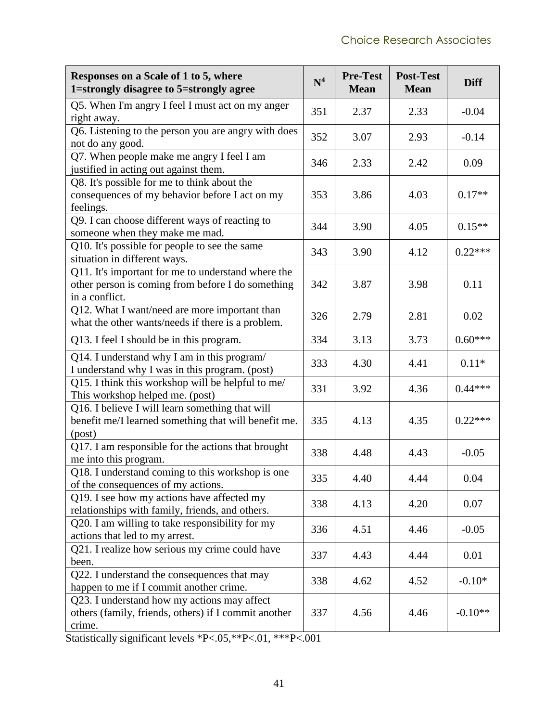| Responses on a Scale of 1 to 5, where<br>1=strongly disagree to 5=strongly agree                                          | $\mathbf{N}^4$ | <b>Pre-Test</b><br><b>Mean</b> | <b>Post-Test</b><br><b>Mean</b> | <b>Diff</b> |
|---------------------------------------------------------------------------------------------------------------------------|----------------|--------------------------------|---------------------------------|-------------|
| Q5. When I'm angry I feel I must act on my anger<br>right away.                                                           | 351            | 2.37                           | 2.33                            | $-0.04$     |
| Q6. Listening to the person you are angry with does<br>not do any good.                                                   | 352            | 3.07                           | 2.93                            | $-0.14$     |
| Q7. When people make me angry I feel I am<br>justified in acting out against them.                                        | 346            | 2.33                           | 2.42                            | 0.09        |
| Q8. It's possible for me to think about the<br>consequences of my behavior before I act on my<br>feelings.                | 353            | 3.86                           | 4.03                            | $0.17**$    |
| Q9. I can choose different ways of reacting to<br>someone when they make me mad.                                          | 344            | 3.90                           | 4.05                            | $0.15**$    |
| Q10. It's possible for people to see the same<br>situation in different ways.                                             | 343            | 3.90                           | 4.12                            | $0.22***$   |
| Q11. It's important for me to understand where the<br>other person is coming from before I do something<br>in a conflict. | 342            | 3.87                           | 3.98                            | 0.11        |
| Q12. What I want/need are more important than<br>what the other wants/needs if there is a problem.                        | 326            | 2.79                           | 2.81                            | 0.02        |
| Q13. I feel I should be in this program.                                                                                  | 334            | 3.13                           | 3.73                            | $0.60***$   |
| Q14. I understand why I am in this program/<br>I understand why I was in this program. (post)                             | 333            | 4.30                           | 4.41                            | $0.11*$     |
| Q15. I think this workshop will be helpful to me/<br>This workshop helped me. (post)                                      | 331            | 3.92                           | 4.36                            | $0.44***$   |
| Q16. I believe I will learn something that will<br>benefit me/I learned something that will benefit me.<br>(post)         | 335            | 4.13                           | 4.35                            | $0.22***$   |
| Q17. I am responsible for the actions that brought<br>me into this program.                                               | 338            | 4.48                           | 4.43                            | $-0.05$     |
| O18. I understand coming to this workshop is one<br>of the consequences of my actions.                                    | 335            | 4.40                           | 4.44                            | 0.04        |
| Q19. I see how my actions have affected my<br>relationships with family, friends, and others.                             | 338            | 4.13                           | 4.20                            | 0.07        |
| Q20. I am willing to take responsibility for my<br>actions that led to my arrest.                                         | 336            | 4.51                           | 4.46                            | $-0.05$     |
| Q21. I realize how serious my crime could have<br>been.                                                                   | 337            | 4.43                           | 4.44                            | 0.01        |
| Q22. I understand the consequences that may<br>happen to me if I commit another crime.                                    | 338            | 4.62                           | 4.52                            | $-0.10*$    |
| Q23. I understand how my actions may affect<br>others (family, friends, others) if I commit another<br>crime.             | 337            | 4.56                           | 4.46                            | $-0.10**$   |

Statistically significant levels \*P<.05,\*\*P<.01, \*\*\*P<.001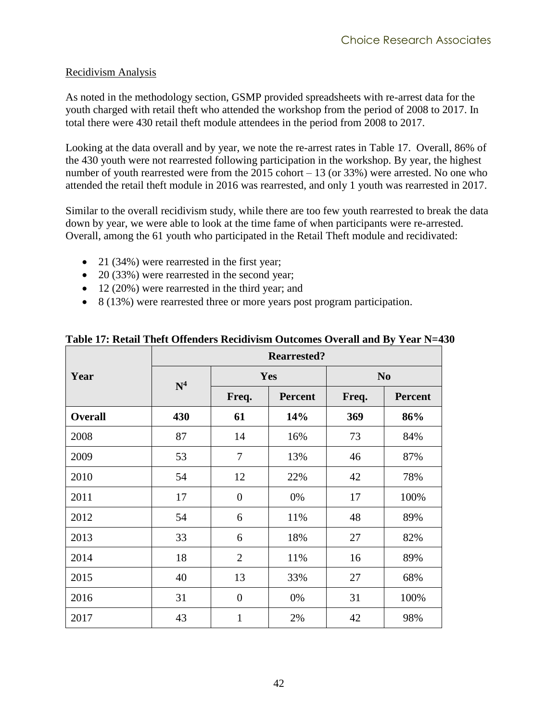#### <span id="page-49-0"></span>Recidivism Analysis

As noted in the methodology section, GSMP provided spreadsheets with re-arrest data for the youth charged with retail theft who attended the workshop from the period of 2008 to 2017. In total there were 430 retail theft module attendees in the period from 2008 to 2017.

Looking at the data overall and by year, we note the re-arrest rates in [Table 17.](#page-49-1) Overall, 86% of the 430 youth were not rearrested following participation in the workshop. By year, the highest number of youth rearrested were from the 2015 cohort – 13 (or 33%) were arrested. No one who attended the retail theft module in 2016 was rearrested, and only 1 youth was rearrested in 2017.

Similar to the overall recidivism study, while there are too few youth rearrested to break the data down by year, we were able to look at the time fame of when participants were re-arrested. Overall, among the 61 youth who participated in the Retail Theft module and recidivated:

- 21 (34%) were rearrested in the first year;
- 20 (33%) were rearrested in the second year;
- 12 (20%) were rearrested in the third year; and
- 8 (13%) were rearrested three or more years post program participation.

|                | <b>Rearrested?</b> |                |                |                |                |  |  |
|----------------|--------------------|----------------|----------------|----------------|----------------|--|--|
| Year           | N <sup>4</sup>     |                | Yes            | N <sub>0</sub> |                |  |  |
|                |                    | Freq.          | <b>Percent</b> | Freq.          | <b>Percent</b> |  |  |
| <b>Overall</b> | 430                | 61             | 14%            | 369            | 86%            |  |  |
| 2008           | 87                 | 14             | 16%            | 73             | 84%            |  |  |
| 2009           | 53                 | $\tau$         | 13%            | 46             | 87%            |  |  |
| 2010           | 54                 | 12             | 22%            | 42             | 78%            |  |  |
| 2011           | 17                 | $\overline{0}$ | 0%             | 17             | 100%           |  |  |
| 2012           | 54                 | 6              | 11%            | 48             | 89%            |  |  |
| 2013           | 33                 | 6              | 18%            | 27             | 82%            |  |  |
| 2014           | 18                 | $\overline{2}$ | 11%            | 16             | 89%            |  |  |
| 2015           | 40                 | 13             | 33%            | 27             | 68%            |  |  |
| 2016           | 31                 | $\overline{0}$ | 0%             | 31             | 100%           |  |  |
| 2017           | 43                 | $\mathbf{1}$   | 2%             | 42             | 98%            |  |  |

#### <span id="page-49-1"></span>**Table 17: Retail Theft Offenders Recidivism Outcomes Overall and By Year N=430**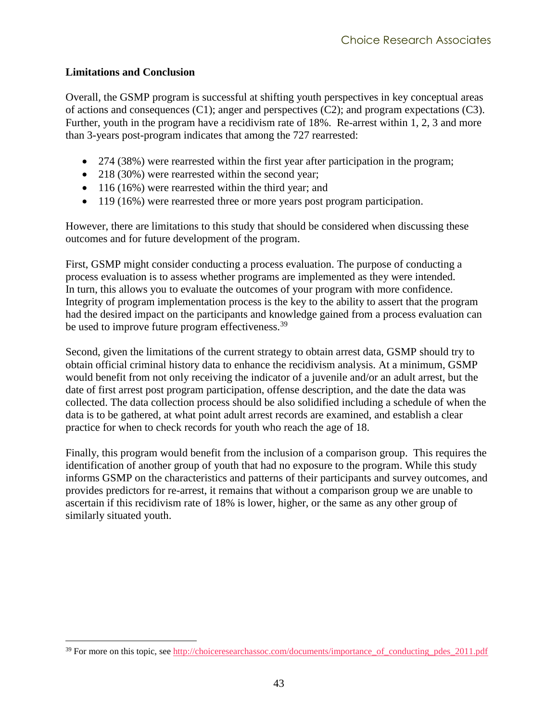#### <span id="page-50-0"></span>**Limitations and Conclusion**

Overall, the GSMP program is successful at shifting youth perspectives in key conceptual areas of actions and consequences (C1); anger and perspectives (C2); and program expectations (C3). Further, youth in the program have a recidivism rate of 18%. Re-arrest within 1, 2, 3 and more than 3-years post-program indicates that among the 727 rearrested:

- 274 (38%) were rearrested within the first year after participation in the program;
- 218 (30%) were rearrested within the second year;
- 116 (16%) were rearrested within the third year; and
- 119 (16%) were rearrested three or more years post program participation.

However, there are limitations to this study that should be considered when discussing these outcomes and for future development of the program.

First, GSMP might consider conducting a process evaluation. The purpose of conducting a process evaluation is to assess whether programs are implemented as they were intended. In turn, this allows you to evaluate the outcomes of your program with more confidence. Integrity of program implementation process is the key to the ability to assert that the program had the desired impact on the participants and knowledge gained from a process evaluation can be used to improve future program effectiveness.<sup>39</sup>

Second, given the limitations of the current strategy to obtain arrest data, GSMP should try to obtain official criminal history data to enhance the recidivism analysis. At a minimum, GSMP would benefit from not only receiving the indicator of a juvenile and/or an adult arrest, but the date of first arrest post program participation, offense description, and the date the data was collected. The data collection process should be also solidified including a schedule of when the data is to be gathered, at what point adult arrest records are examined, and establish a clear practice for when to check records for youth who reach the age of 18.

Finally, this program would benefit from the inclusion of a comparison group. This requires the identification of another group of youth that had no exposure to the program. While this study informs GSMP on the characteristics and patterns of their participants and survey outcomes, and provides predictors for re-arrest, it remains that without a comparison group we are unable to ascertain if this recidivism rate of 18% is lower, higher, or the same as any other group of similarly situated youth.

 $\overline{a}$ <sup>39</sup> For more on this topic, see [http://choiceresearchassoc.com/documents/importance\\_of\\_conducting\\_pdes\\_2011.pdf](http://choiceresearchassoc.com/documents/importance_of_conducting_pdes_2011.pdf)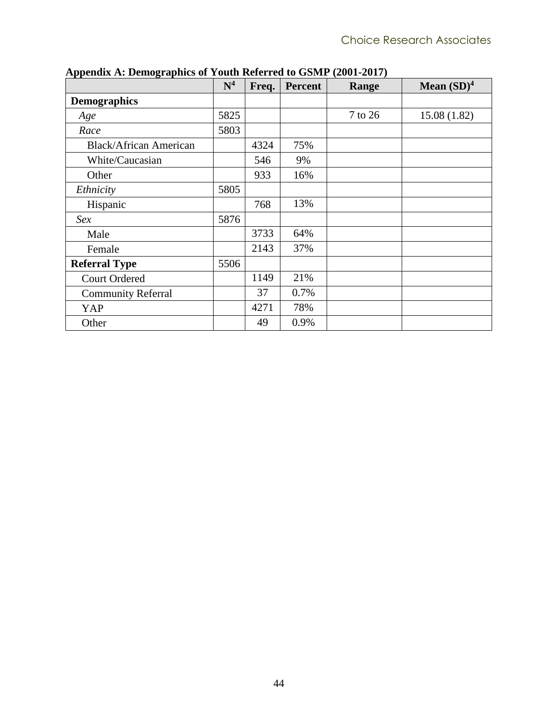|                               | $\mathbf{N}^4$ | Freq. | <b>Percent</b> | Range   | Mean $(SD)^4$ |
|-------------------------------|----------------|-------|----------------|---------|---------------|
| <b>Demographics</b>           |                |       |                |         |               |
| Age                           | 5825           |       |                | 7 to 26 | 15.08(1.82)   |
| Race                          | 5803           |       |                |         |               |
| <b>Black/African American</b> |                | 4324  | 75%            |         |               |
| White/Caucasian               |                | 546   | 9%             |         |               |
| Other                         |                | 933   | 16%            |         |               |
| Ethnicity                     | 5805           |       |                |         |               |
| Hispanic                      |                | 768   | 13%            |         |               |
| Sex                           | 5876           |       |                |         |               |
| Male                          |                | 3733  | 64%            |         |               |
| Female                        |                | 2143  | 37%            |         |               |
| <b>Referral Type</b>          | 5506           |       |                |         |               |
| <b>Court Ordered</b>          |                | 1149  | 21%            |         |               |
| <b>Community Referral</b>     |                | 37    | 0.7%           |         |               |
| YAP                           |                | 4271  | 78%            |         |               |
| Other                         |                | 49    | 0.9%           |         |               |

<span id="page-51-0"></span>**Appendix A: Demographics of Youth Referred to GSMP (2001-2017)**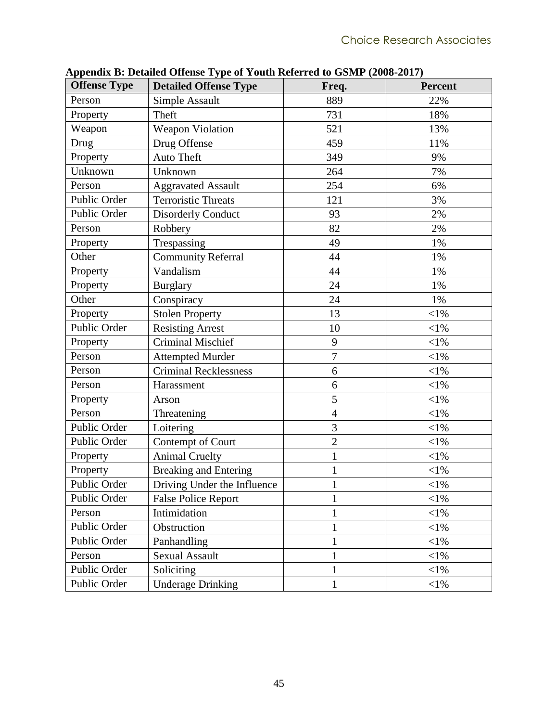| <b>Offense Type</b> | <b>Detailed Offense Type</b> | Freq.          | <b>Percent</b> |
|---------------------|------------------------------|----------------|----------------|
| Person              | Simple Assault               | 889            | 22%            |
| Property            | Theft                        | 731            | 18%            |
| Weapon              | <b>Weapon Violation</b>      | 521            | 13%            |
| Drug                | Drug Offense                 | 459            | 11%            |
| Property            | <b>Auto Theft</b>            | 349            | 9%             |
| Unknown             | Unknown                      | 264            | 7%             |
| Person              | <b>Aggravated Assault</b>    | 254            | 6%             |
| Public Order        | <b>Terroristic Threats</b>   | 121            | 3%             |
| Public Order        | <b>Disorderly Conduct</b>    | 93             | 2%             |
| Person              | Robbery                      | 82             | 2%             |
| Property            | Trespassing                  | 49             | 1%             |
| Other               | <b>Community Referral</b>    | 44             | 1%             |
| Property            | Vandalism                    | 44             | 1%             |
| Property            | <b>Burglary</b>              | 24             | 1%             |
| Other               | Conspiracy                   | 24             | 1%             |
| Property            | <b>Stolen Property</b>       | 13             | $<$ l%         |
| Public Order        | <b>Resisting Arrest</b>      | 10             | $<$ l $%$      |
| Property            | <b>Criminal Mischief</b>     | 9              | $<$ l $%$      |
| Person              | <b>Attempted Murder</b>      | $\overline{7}$ | $<$ l $%$      |
| Person              | <b>Criminal Recklessness</b> | 6              | $<$ 1%         |
| Person              | Harassment                   | 6              | $<$ 1%         |
| Property            | Arson                        | 5              | $<$ l $%$      |
| Person              | Threatening                  | $\overline{4}$ | $<$ l $%$      |
| Public Order        | Loitering                    | 3              | $<$ l%         |
| Public Order        | Contempt of Court            | $\overline{2}$ | $<$ l%         |
| Property            | <b>Animal Cruelty</b>        | $\mathbf{1}$   | $<$ l%         |
| Property            | <b>Breaking and Entering</b> | 1              | $<$ l $%$      |
| Public Order        | Driving Under the Influence  | 1              | $<$ l%         |
| Public Order        | <b>False Police Report</b>   | 1              | $<\!\!1\%$     |
| Person              | Intimidation                 | $\mathbf{1}$   | $<$ 1%         |
| Public Order        | Obstruction                  | $\mathbf{1}$   | $<$ 1%         |
| Public Order        | Panhandling                  |                | $<$ 1%         |
| Person              | Sexual Assault               | $\mathbf{1}$   | $<$ 1%         |
| Public Order        | Soliciting                   | $\mathbf{1}$   | $<\!\!1\%$     |
| Public Order        | <b>Underage Drinking</b>     | 1              | $<$ 1%         |

<span id="page-52-0"></span>**Appendix B: Detailed Offense Type of Youth Referred to GSMP (2008-2017)**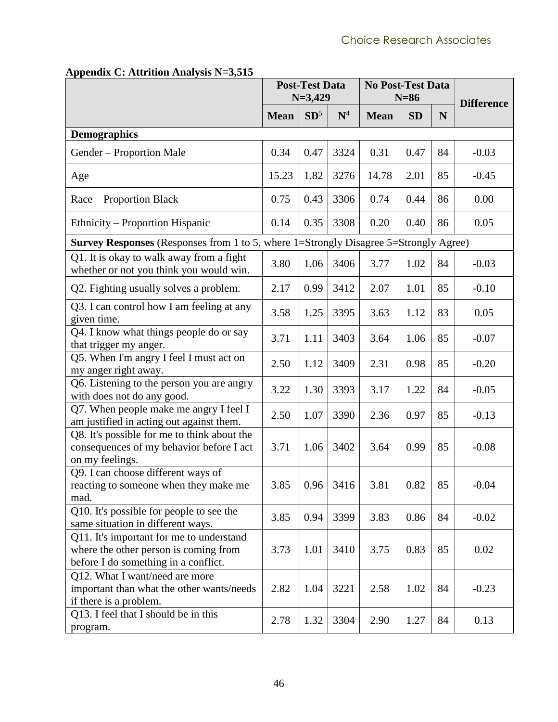|                                                                                                                           | <b>Post-Test Data</b><br>$N=3,429$ |                 | <b>No Post-Test Data</b><br>$N=86$ |             |           | <b>Difference</b> |         |
|---------------------------------------------------------------------------------------------------------------------------|------------------------------------|-----------------|------------------------------------|-------------|-----------|-------------------|---------|
|                                                                                                                           | <b>Mean</b>                        | SD <sup>5</sup> | $\mathbf{N}^4$                     | <b>Mean</b> | <b>SD</b> | N                 |         |
| <b>Demographics</b>                                                                                                       |                                    |                 |                                    |             |           |                   |         |
| Gender – Proportion Male                                                                                                  | 0.34                               | 0.47            | 3324                               | 0.31        | 0.47      | 84                | $-0.03$ |
| Age                                                                                                                       | 15.23                              | 1.82            | 3276                               | 14.78       | 2.01      | 85                | $-0.45$ |
| Race – Proportion Black                                                                                                   | 0.75                               | 0.43            | 3306                               | 0.74        | 0.44      | 86                | 0.00    |
| Ethnicity – Proportion Hispanic                                                                                           | 0.14                               | 0.35            | 3308                               | 0.20        | 0.40      | 86                | 0.05    |
| <b>Survey Responses</b> (Responses from 1 to 5, where 1=Strongly Disagree 5=Strongly Agree)                               |                                    |                 |                                    |             |           |                   |         |
| Q1. It is okay to walk away from a fight<br>whether or not you think you would win.                                       | 3.80                               | 1.06            | 3406                               | 3.77        | 1.02      | 84                | $-0.03$ |
| Q2. Fighting usually solves a problem.                                                                                    | 2.17                               | 0.99            | 3412                               | 2.07        | 1.01      | 85                | $-0.10$ |
| Q3. I can control how I am feeling at any<br>given time.                                                                  | 3.58                               | 1.25            | 3395                               | 3.63        | 1.12      | 83                | 0.05    |
| Q4. I know what things people do or say<br>that trigger my anger.                                                         | 3.71                               | 1.11            | 3403                               | 3.64        | 1.06      | 85                | $-0.07$ |
| Q5. When I'm angry I feel I must act on<br>my anger right away.                                                           | 2.50                               | 1.12            | 3409                               | 2.31        | 0.98      | 85                | $-0.20$ |
| Q6. Listening to the person you are angry<br>with does not do any good.                                                   | 3.22                               | 1.30            | 3393                               | 3.17        | 1.22      | 84                | $-0.05$ |
| Q7. When people make me angry I feel I<br>am justified in acting out against them.                                        | 2.50                               | 1.07            | 3390                               | 2.36        | 0.97      | 85                | $-0.13$ |
| Q8. It's possible for me to think about the<br>consequences of my behavior before I act<br>on my feelings.                | 3.71                               | 1.06            | 3402                               | 3.64        | 0.99      | 85                | $-0.08$ |
| Q9. I can choose different ways of<br>reacting to someone when they make me<br>mad.                                       | 3.85                               |                 | $0.96$ 3416                        | 3.81        | 0.82      | 85                | $-0.04$ |
| Q10. It's possible for people to see the<br>same situation in different ways.                                             | 3.85                               | 0.94            | 3399                               | 3.83        | 0.86      | 84                | $-0.02$ |
| Q11. It's important for me to understand<br>where the other person is coming from<br>before I do something in a conflict. | 3.73                               | 1.01            | 3410                               | 3.75        | 0.83      | 85                | 0.02    |
| Q12. What I want/need are more<br>important than what the other wants/needs<br>if there is a problem.                     | 2.82                               | 1.04            | 3221                               | 2.58        | 1.02      | 84                | $-0.23$ |
| Q13. I feel that I should be in this<br>program.                                                                          | 2.78                               | 1.32            | 3304                               | 2.90        | 1.27      | 84                | 0.13    |

#### <span id="page-53-0"></span>**Appendix C: Attrition Analysis N=3,515**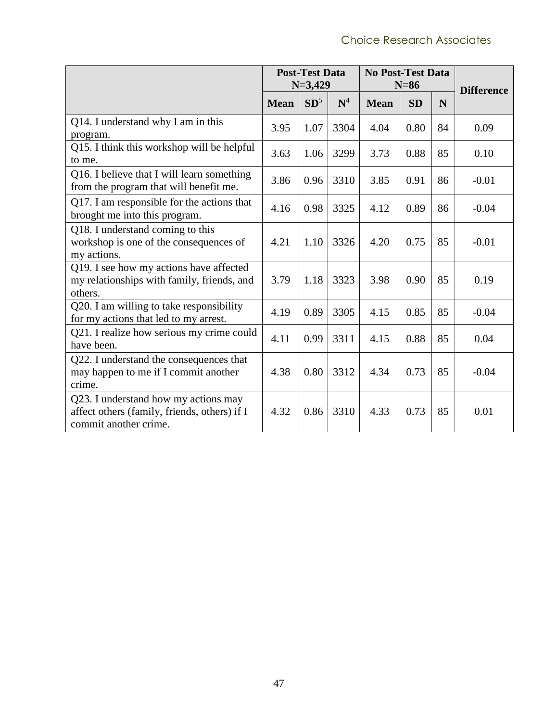|                                                                                                               | <b>Post-Test Data</b><br>$N=3,429$ |        | <b>No Post-Test Data</b><br>$N=86$ |             |           | <b>Difference</b> |         |
|---------------------------------------------------------------------------------------------------------------|------------------------------------|--------|------------------------------------|-------------|-----------|-------------------|---------|
|                                                                                                               | <b>Mean</b>                        | $SD^5$ | $\mathbf{N}^4$                     | <b>Mean</b> | <b>SD</b> | N                 |         |
| Q14. I understand why I am in this<br>program.                                                                | 3.95                               | 1.07   | 3304                               | 4.04        | 0.80      | 84                | 0.09    |
| Q15. I think this workshop will be helpful<br>to me.                                                          | 3.63                               | 1.06   | 3299                               | 3.73        | 0.88      | 85                | 0.10    |
| Q16. I believe that I will learn something<br>from the program that will benefit me.                          | 3.86                               | 0.96   | 3310                               | 3.85        | 0.91      | 86                | $-0.01$ |
| Q17. I am responsible for the actions that<br>brought me into this program.                                   | 4.16                               | 0.98   | 3325                               | 4.12        | 0.89      | 86                | $-0.04$ |
| Q18. I understand coming to this<br>workshop is one of the consequences of<br>my actions.                     | 4.21                               | 1.10   | 3326                               | 4.20        | 0.75      | 85                | $-0.01$ |
| Q19. I see how my actions have affected<br>my relationships with family, friends, and<br>others.              | 3.79                               | 1.18   | 3323                               | 3.98        | 0.90      | 85                | 0.19    |
| Q20. I am willing to take responsibility<br>for my actions that led to my arrest.                             | 4.19                               | 0.89   | 3305                               | 4.15        | 0.85      | 85                | $-0.04$ |
| Q21. I realize how serious my crime could<br>have been.                                                       | 4.11                               | 0.99   | 3311                               | 4.15        | 0.88      | 85                | 0.04    |
| Q22. I understand the consequences that<br>may happen to me if I commit another<br>crime.                     | 4.38                               | 0.80   | 3312                               | 4.34        | 0.73      | 85                | $-0.04$ |
| Q23. I understand how my actions may<br>affect others (family, friends, others) if I<br>commit another crime. | 4.32                               | 0.86   | 3310                               | 4.33        | 0.73      | 85                | 0.01    |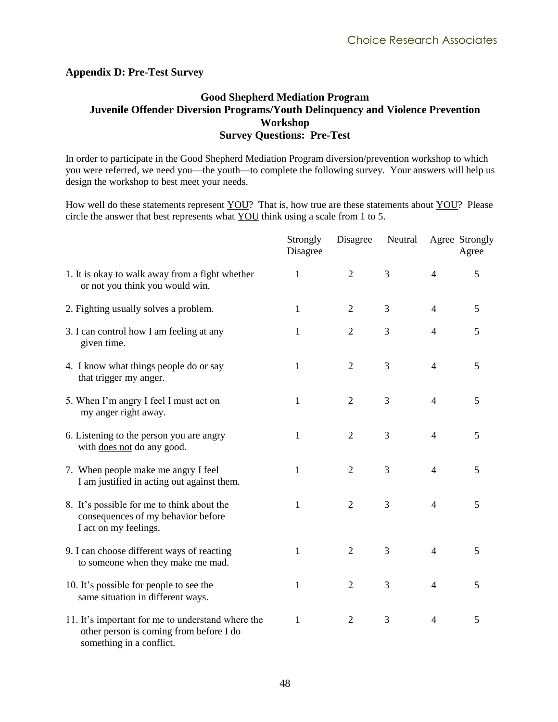#### <span id="page-55-0"></span>**Appendix D: Pre-Test Survey**

#### **Good Shepherd Mediation Program Juvenile Offender Diversion Programs/Youth Delinquency and Violence Prevention Workshop Survey Questions: Pre-Test**

In order to participate in the Good Shepherd Mediation Program diversion/prevention workshop to which you were referred, we need you—the youth—to complete the following survey. Your answers will help us design the workshop to best meet your needs.

How well do these statements represent YOU? That is, how true are these statements about YOU? Please circle the answer that best represents what YOU think using a scale from 1 to 5.

|                                                                                                                          | Strongly<br>Disagree | Disagree       | Neutral |                | Agree Strongly<br>Agree |
|--------------------------------------------------------------------------------------------------------------------------|----------------------|----------------|---------|----------------|-------------------------|
| 1. It is okay to walk away from a fight whether<br>or not you think you would win.                                       | $\mathbf{1}$         | $\overline{2}$ | 3       | 4              | 5                       |
| 2. Fighting usually solves a problem.                                                                                    | 1                    | $\overline{2}$ | 3       | $\overline{4}$ | 5                       |
| 3. I can control how I am feeling at any<br>given time.                                                                  | 1                    | $\overline{2}$ | 3       | 4              | 5                       |
| 4. I know what things people do or say<br>that trigger my anger.                                                         | $\mathbf{1}$         | $\overline{2}$ | 3       | $\overline{4}$ | 5                       |
| 5. When I'm angry I feel I must act on<br>my anger right away.                                                           | 1                    | $\overline{2}$ | 3       | $\overline{4}$ | 5                       |
| 6. Listening to the person you are angry<br>with does not do any good.                                                   | $\mathbf{1}$         | $\overline{2}$ | 3       | $\overline{4}$ | 5                       |
| 7. When people make me angry I feel<br>I am justified in acting out against them.                                        | $\mathbf{1}$         | $\overline{2}$ | 3       | $\overline{4}$ | 5                       |
| 8. It's possible for me to think about the<br>consequences of my behavior before<br>I act on my feelings.                | 1                    | $\overline{2}$ | 3       | $\overline{4}$ | 5                       |
| 9. I can choose different ways of reacting<br>to someone when they make me mad.                                          | $\mathbf{1}$         | $\overline{2}$ | 3       | $\overline{4}$ | 5                       |
| 10. It's possible for people to see the<br>same situation in different ways.                                             | $\mathbf{1}$         | $\overline{2}$ | 3       | $\overline{4}$ | 5                       |
| 11. It's important for me to understand where the<br>other person is coming from before I do<br>something in a conflict. | $\mathbf{1}$         | $\overline{2}$ | 3       | $\overline{4}$ | 5                       |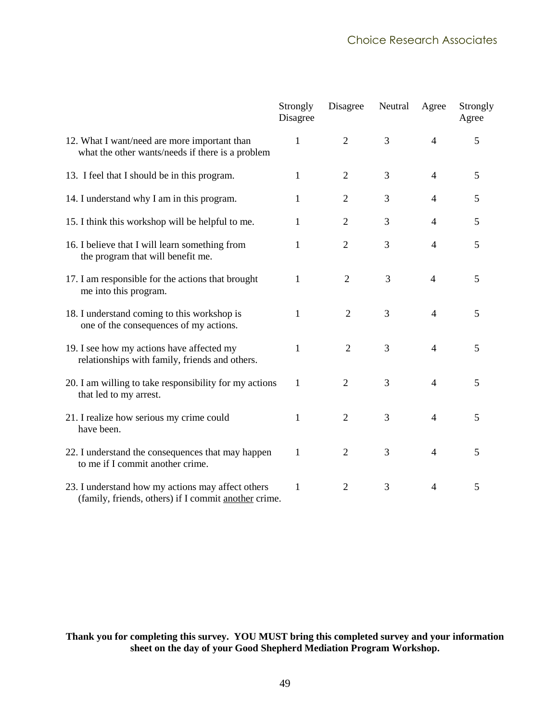|                                                                                                           | Strongly<br>Disagree | Disagree       | Neutral | Agree          | Strongly<br>Agree |
|-----------------------------------------------------------------------------------------------------------|----------------------|----------------|---------|----------------|-------------------|
| 12. What I want/need are more important than<br>what the other wants/needs if there is a problem          | 1                    | $\overline{2}$ | 3       | $\overline{4}$ | 5                 |
| 13. I feel that I should be in this program.                                                              | 1                    | 2              | 3       | $\overline{4}$ | 5                 |
| 14. I understand why I am in this program.                                                                | 1                    | $\overline{2}$ | 3       | 4              | 5                 |
| 15. I think this workshop will be helpful to me.                                                          | 1                    | $\overline{2}$ | 3       | 4              | 5                 |
| 16. I believe that I will learn something from<br>the program that will benefit me.                       | $\mathbf{1}$         | $\overline{2}$ | 3       | $\overline{4}$ | 5                 |
| 17. I am responsible for the actions that brought<br>me into this program.                                | 1                    | $\overline{2}$ | 3       | 4              | 5                 |
| 18. I understand coming to this workshop is<br>one of the consequences of my actions.                     | 1                    | $\overline{2}$ | 3       | $\overline{4}$ | 5                 |
| 19. I see how my actions have affected my<br>relationships with family, friends and others.               | 1                    | $\overline{2}$ | 3       | $\overline{4}$ | 5                 |
| 20. I am willing to take responsibility for my actions<br>that led to my arrest.                          | 1                    | $\overline{2}$ | 3       | $\overline{4}$ | 5                 |
| 21. I realize how serious my crime could<br>have been.                                                    | 1                    | $\overline{2}$ | 3       | $\overline{4}$ | 5                 |
| 22. I understand the consequences that may happen<br>to me if I commit another crime.                     | 1                    | $\overline{2}$ | 3       | $\overline{4}$ | 5                 |
| 23. I understand how my actions may affect others<br>(family, friends, others) if I commit another crime. | $\mathbf{1}$         | $\overline{2}$ | 3       | $\overline{4}$ | 5                 |

#### **Thank you for completing this survey. YOU MUST bring this completed survey and your information sheet on the day of your Good Shepherd Mediation Program Workshop.**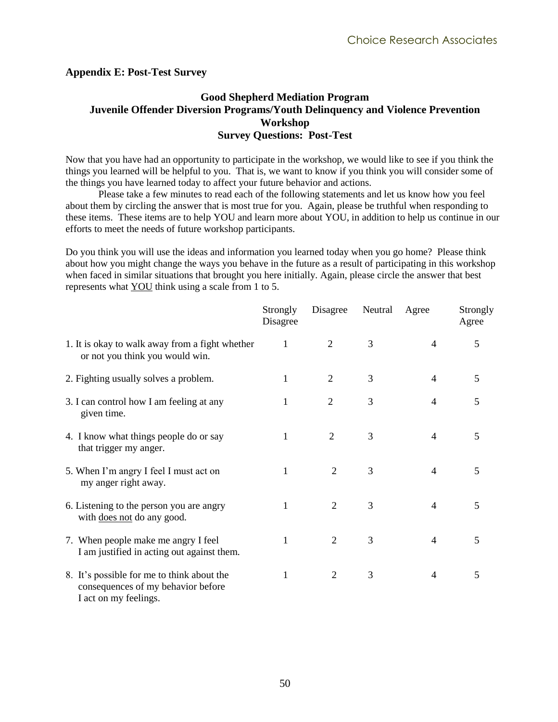#### <span id="page-57-0"></span>**Appendix E: Post-Test Survey**

#### **Good Shepherd Mediation Program Juvenile Offender Diversion Programs/Youth Delinquency and Violence Prevention Workshop Survey Questions: Post-Test**

Now that you have had an opportunity to participate in the workshop, we would like to see if you think the things you learned will be helpful to you. That is, we want to know if you think you will consider some of the things you have learned today to affect your future behavior and actions.

Please take a few minutes to read each of the following statements and let us know how you feel about them by circling the answer that is most true for you. Again, please be truthful when responding to these items. These items are to help YOU and learn more about YOU, in addition to help us continue in our efforts to meet the needs of future workshop participants.

Do you think you will use the ideas and information you learned today when you go home? Please think about how you might change the ways you behave in the future as a result of participating in this workshop when faced in similar situations that brought you here initially. Again, please circle the answer that best represents what YOU think using a scale from 1 to 5.

|                                                                                                           | Strongly<br>Disagree | Disagree       | Neutral | Agree          | Strongly<br>Agree |
|-----------------------------------------------------------------------------------------------------------|----------------------|----------------|---------|----------------|-------------------|
| 1. It is okay to walk away from a fight whether<br>or not you think you would win.                        | $\mathbf{1}$         | $\overline{2}$ | 3       | 4              | 5                 |
| 2. Fighting usually solves a problem.                                                                     | 1                    | $\overline{2}$ | 3       | 4              | 5                 |
| 3. I can control how I am feeling at any<br>given time.                                                   | 1                    | $\overline{2}$ | 3       | 4              | 5                 |
| 4. I know what things people do or say<br>that trigger my anger.                                          | 1                    | $\overline{2}$ | 3       | 4              | 5                 |
| 5. When I'm angry I feel I must act on<br>my anger right away.                                            | 1                    | 2              | 3       | 4              | 5                 |
| 6. Listening to the person you are angry<br>with does not do any good.                                    | 1                    | $\overline{2}$ | 3       | 4              | 5                 |
| 7. When people make me angry I feel<br>I am justified in acting out against them.                         | 1                    | 2              | 3       | $\overline{4}$ | 5                 |
| 8. It's possible for me to think about the<br>consequences of my behavior before<br>I act on my feelings. | 1                    | 2              | 3       | 4              | 5                 |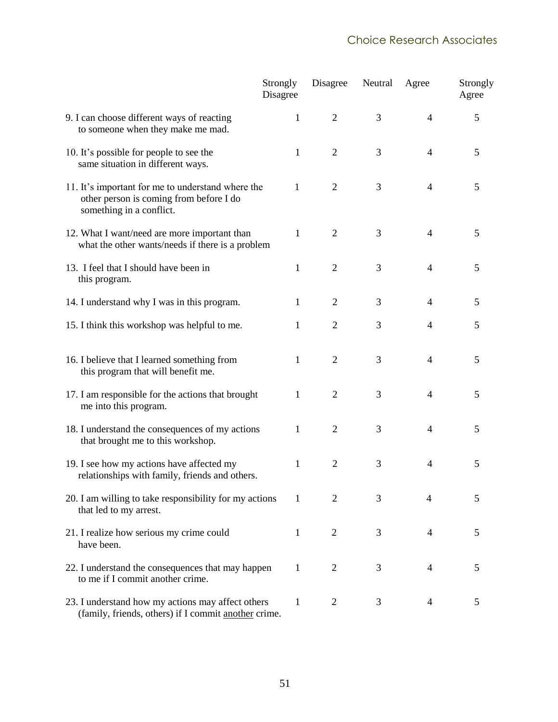|                                                                                                                          | Strongly<br>Disagree | Disagree       | Neutral | Agree          | Strongly<br>Agree |
|--------------------------------------------------------------------------------------------------------------------------|----------------------|----------------|---------|----------------|-------------------|
| 9. I can choose different ways of reacting<br>to someone when they make me mad.                                          | 1                    | $\overline{2}$ | 3       | $\overline{4}$ | 5                 |
| 10. It's possible for people to see the<br>same situation in different ways.                                             | 1                    | $\overline{2}$ | 3       | 4              | 5                 |
| 11. It's important for me to understand where the<br>other person is coming from before I do<br>something in a conflict. | $\mathbf{1}$         | $\overline{2}$ | 3       | $\overline{4}$ | 5                 |
| 12. What I want/need are more important than<br>what the other wants/needs if there is a problem                         | 1                    | $\overline{2}$ | 3       | $\overline{4}$ | 5                 |
| 13. I feel that I should have been in<br>this program.                                                                   | 1                    | $\overline{2}$ | 3       | $\overline{4}$ | 5                 |
| 14. I understand why I was in this program.                                                                              | 1                    | $\overline{2}$ | 3       | 4              | 5                 |
| 15. I think this workshop was helpful to me.                                                                             | 1                    | $\overline{2}$ | 3       | $\overline{4}$ | 5                 |
| 16. I believe that I learned something from<br>this program that will benefit me.                                        | 1                    | $\overline{2}$ | 3       | $\overline{4}$ | 5                 |
| 17. I am responsible for the actions that brought<br>me into this program.                                               | 1                    | $\overline{2}$ | 3       | $\overline{4}$ | 5                 |
| 18. I understand the consequences of my actions<br>that brought me to this workshop.                                     | 1                    | $\overline{2}$ | 3       | $\overline{4}$ | 5                 |
| 19. I see how my actions have affected my<br>relationships with family, friends and others.                              | 1                    | $\overline{2}$ | 3       | $\overline{4}$ | 5                 |
| 20. I am willing to take responsibility for my actions<br>that led to my arrest.                                         | 1                    | $\overline{2}$ | 3       | 4              | 5                 |
| 21. I realize how serious my crime could<br>have been.                                                                   | 1                    | 2              | 3       | $\overline{4}$ | 5                 |
| 22. I understand the consequences that may happen<br>to me if I commit another crime.                                    | 1                    | $\overline{2}$ | 3       | 4              | 5                 |
| 23. I understand how my actions may affect others<br>(family, friends, others) if I commit another crime.                | 1                    | $\overline{2}$ | 3       | 4              | 5                 |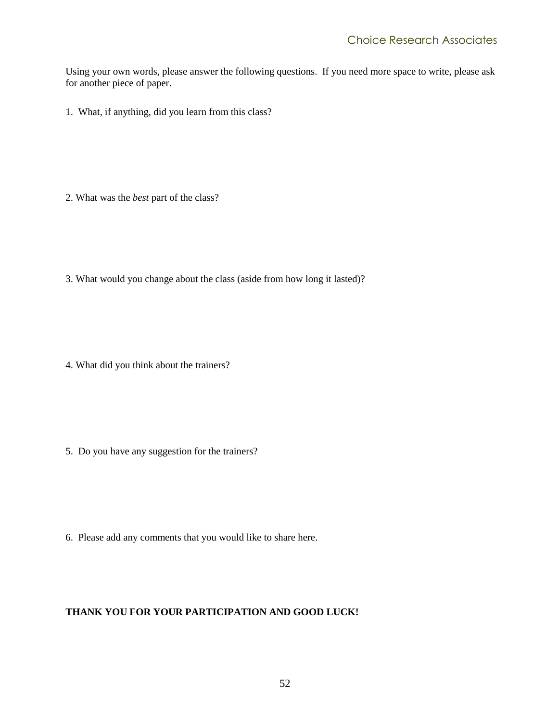Using your own words, please answer the following questions. If you need more space to write, please ask for another piece of paper.

1. What, if anything, did you learn from this class?

- 2. What was the *best* part of the class?
- 3. What would you change about the class (aside from how long it lasted)?

4. What did you think about the trainers?

5. Do you have any suggestion for the trainers?

6. Please add any comments that you would like to share here.

#### **THANK YOU FOR YOUR PARTICIPATION AND GOOD LUCK!**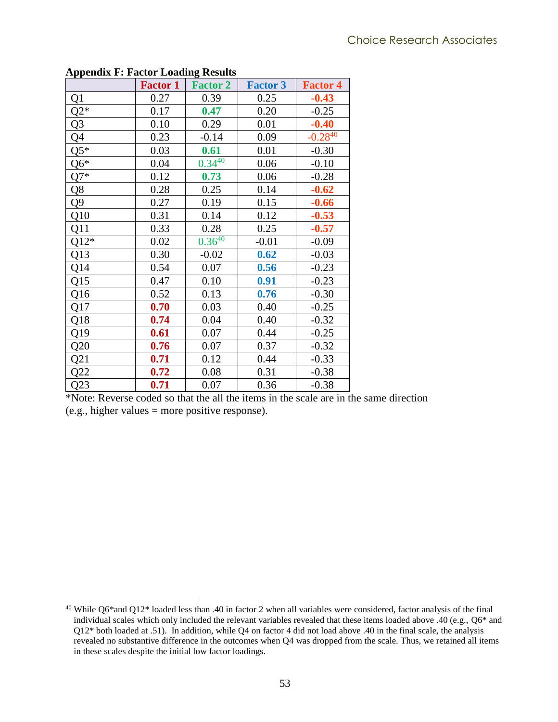<span id="page-60-1"></span>

| $-1$ $-1$      | <b>Factor 1</b> | <b>Factor 2</b> | <b>Factor 3</b> | <b>Factor 4</b> |
|----------------|-----------------|-----------------|-----------------|-----------------|
| Q1             | 0.27            | 0.39            | 0.25            | $-0.43$         |
| $Q2*$          | 0.17            | 0.47            | 0.20            | $-0.25$         |
| Q <sub>3</sub> | 0.10            | 0.29            | 0.01            | $-0.40$         |
| Q4             | 0.23            | $-0.14$         | 0.09            | $-0.28^{40}$    |
| $Q5*$          | 0.03            | 0.61            | 0.01            | $-0.30$         |
| $Q6*$          | 0.04            | $0.34^{40}$     | 0.06            | $-0.10$         |
| $Q7*$          | 0.12            | 0.73            | 0.06            | $-0.28$         |
| Q8             | 0.28            | 0.25            | 0.14            | $-0.62$         |
| Q <sub>9</sub> | 0.27            | 0.19            | 0.15            | $-0.66$         |
| Q10            | 0.31            | 0.14            | 0.12            | $-0.53$         |
| Q11            | 0.33            | 0.28            | 0.25            | $-0.57$         |
| $Q12*$         | 0.02            | $0.36^{40}$     | $-0.01$         | $-0.09$         |
| Q13            | 0.30            | $-0.02$         | 0.62            | $-0.03$         |
| Q14            | 0.54            | 0.07            | 0.56            | $-0.23$         |
| Q15            | 0.47            | 0.10            | 0.91            | $-0.23$         |
| Q16            | 0.52            | 0.13            | 0.76            | $-0.30$         |
| Q17            | 0.70            | 0.03            | 0.40            | $-0.25$         |
| Q18            | 0.74            | 0.04            | 0.40            | $-0.32$         |
| Q19            | 0.61            | 0.07            | 0.44            | $-0.25$         |
| Q20            | 0.76            | 0.07            | 0.37            | $-0.32$         |
| Q21            | 0.71            | 0.12            | 0.44            | $-0.33$         |
| Q22            | 0.72            | 0.08            | 0.31            | $-0.38$         |
| Q23            | 0.71            | 0.07            | 0.36            | $-0.38$         |

#### <span id="page-60-0"></span>**Appendix F: Factor Loading Results**

 $\overline{a}$ 

\*Note: Reverse coded so that the all the items in the scale are in the same direction (e.g., higher values = more positive response).

 $40$  While Q6\*and Q12\* loaded less than .40 in factor 2 when all variables were considered, factor analysis of the final individual scales which only included the relevant variables revealed that these items loaded above .40 (e.g., Q6\* and Q12\* both loaded at .51). In addition, while Q4 on factor 4 did not load above .40 in the final scale, the analysis revealed no substantive difference in the outcomes when Q4 was dropped from the scale. Thus, we retained all items in these scales despite the initial low factor loadings.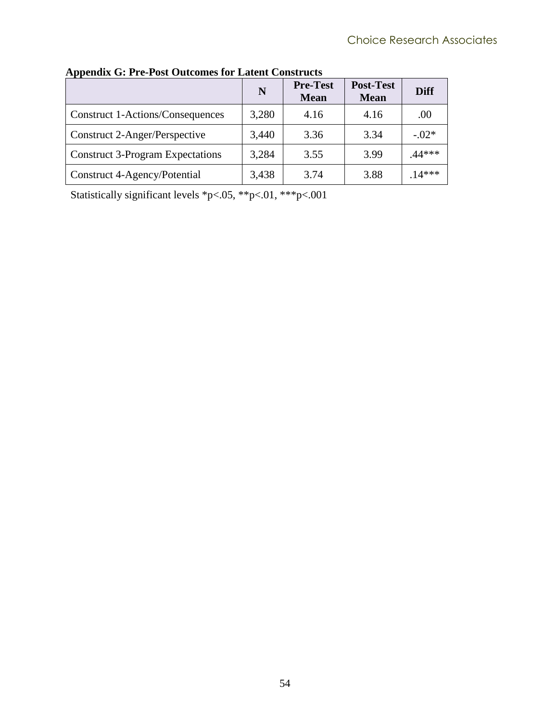|                                         | N     | <b>Pre-Test</b><br><b>Mean</b> | <b>Post-Test</b><br><b>Mean</b> | <b>Diff</b> |
|-----------------------------------------|-------|--------------------------------|---------------------------------|-------------|
| Construct 1-Actions/Consequences        | 3,280 | 4.16                           | 4.16                            | .00         |
| Construct 2-Anger/Perspective           | 3,440 | 3.36                           | 3.34                            | $-.02*$     |
| <b>Construct 3-Program Expectations</b> | 3,284 | 3.55                           | 3.99                            | .44***      |
| Construct 4-Agency/Potential            | 3,438 | 3.74                           | 3.88                            | $.14***$    |

<span id="page-61-0"></span>**Appendix G: Pre-Post Outcomes for Latent Constructs**

Statistically significant levels \*p<.05, \*\*p<.01, \*\*\*p<.001